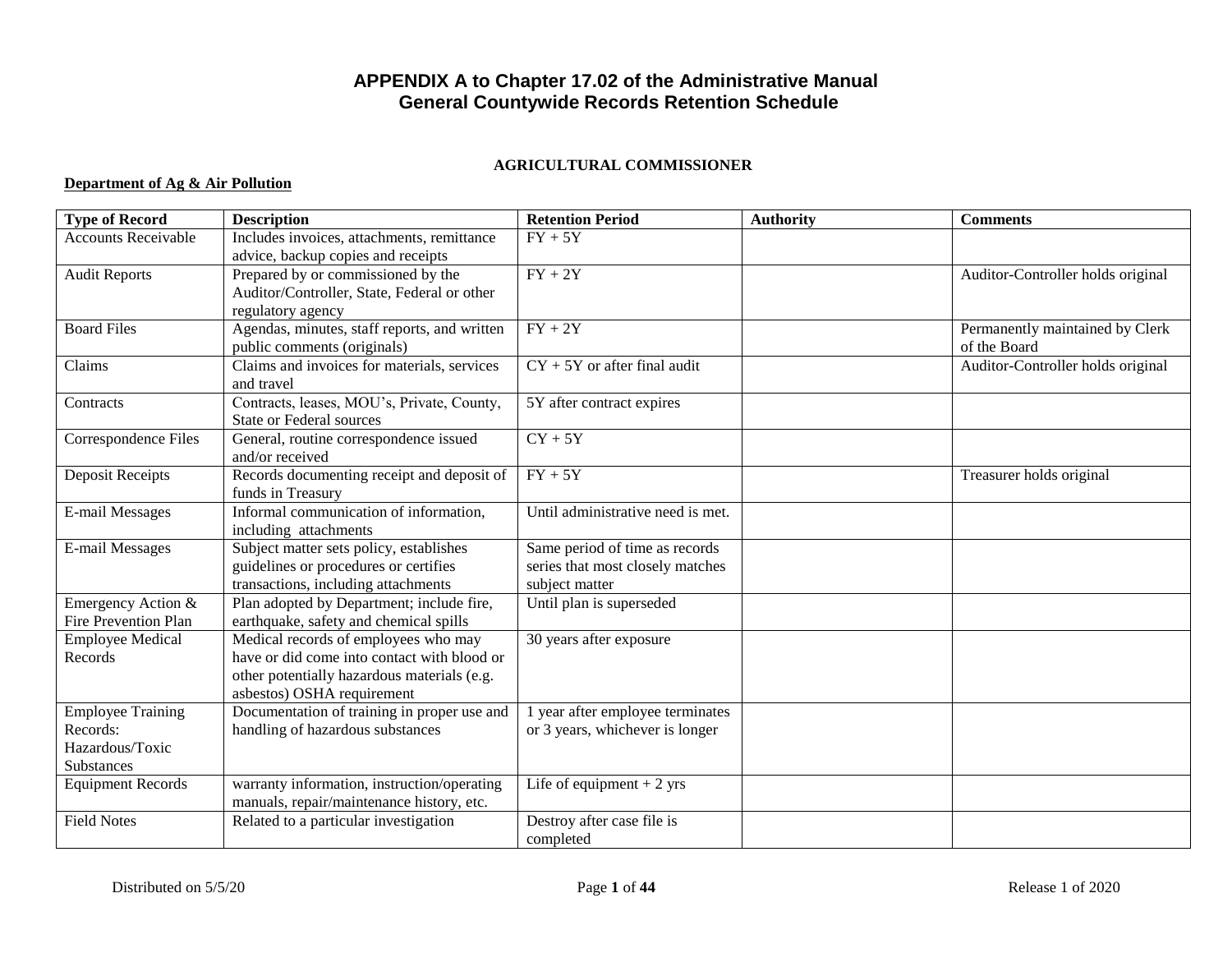# **APPENDIX A to Chapter 17.02 of the Administrative Manual General Countywide Records Retention Schedule**

### **AGRICULTURAL COMMISSIONER**

### **Department of Ag & Air Pollution**

| <b>Type of Record</b>       | <b>Description</b>                           | <b>Retention Period</b>           | <b>Authority</b> | <b>Comments</b>                   |
|-----------------------------|----------------------------------------------|-----------------------------------|------------------|-----------------------------------|
| <b>Accounts Receivable</b>  | Includes invoices, attachments, remittance   | $FY + 5Y$                         |                  |                                   |
|                             | advice, backup copies and receipts           |                                   |                  |                                   |
| <b>Audit Reports</b>        | Prepared by or commissioned by the           | $\overline{FY} + 2\overline{Y}$   |                  | Auditor-Controller holds original |
|                             | Auditor/Controller, State, Federal or other  |                                   |                  |                                   |
|                             | regulatory agency                            |                                   |                  |                                   |
| <b>Board Files</b>          | Agendas, minutes, staff reports, and written | $FY + 2Y$                         |                  | Permanently maintained by Clerk   |
|                             | public comments (originals)                  |                                   |                  | of the Board                      |
| Claims                      | Claims and invoices for materials, services  | $CY + 5Y$ or after final audit    |                  | Auditor-Controller holds original |
|                             | and travel                                   |                                   |                  |                                   |
| Contracts                   | Contracts, leases, MOU's, Private, County,   | 5Y after contract expires         |                  |                                   |
|                             | <b>State or Federal sources</b>              |                                   |                  |                                   |
| Correspondence Files        | General, routine correspondence issued       | $CY + 5Y$                         |                  |                                   |
|                             | and/or received                              |                                   |                  |                                   |
| Deposit Receipts            | Records documenting receipt and deposit of   | $\overline{FY} + 5Y$              |                  | Treasurer holds original          |
|                             | funds in Treasury                            |                                   |                  |                                   |
| E-mail Messages             | Informal communication of information,       | Until administrative need is met. |                  |                                   |
|                             | including attachments                        |                                   |                  |                                   |
| E-mail Messages             | Subject matter sets policy, establishes      | Same period of time as records    |                  |                                   |
|                             | guidelines or procedures or certifies        | series that most closely matches  |                  |                                   |
|                             | transactions, including attachments          | subject matter                    |                  |                                   |
| Emergency Action &          | Plan adopted by Department; include fire,    | Until plan is superseded          |                  |                                   |
| <b>Fire Prevention Plan</b> | earthquake, safety and chemical spills       |                                   |                  |                                   |
| <b>Employee Medical</b>     | Medical records of employees who may         | 30 years after exposure           |                  |                                   |
| Records                     | have or did come into contact with blood or  |                                   |                  |                                   |
|                             | other potentially hazardous materials (e.g.  |                                   |                  |                                   |
|                             | asbestos) OSHA requirement                   |                                   |                  |                                   |
| <b>Employee Training</b>    | Documentation of training in proper use and  | 1 year after employee terminates  |                  |                                   |
| Records:                    | handling of hazardous substances             | or 3 years, whichever is longer   |                  |                                   |
| Hazardous/Toxic             |                                              |                                   |                  |                                   |
| Substances                  |                                              |                                   |                  |                                   |
| <b>Equipment Records</b>    | warranty information, instruction/operating  | Life of equipment $+2$ yrs        |                  |                                   |
|                             | manuals, repair/maintenance history, etc.    |                                   |                  |                                   |
| <b>Field Notes</b>          | Related to a particular investigation        | Destroy after case file is        |                  |                                   |
|                             |                                              | completed                         |                  |                                   |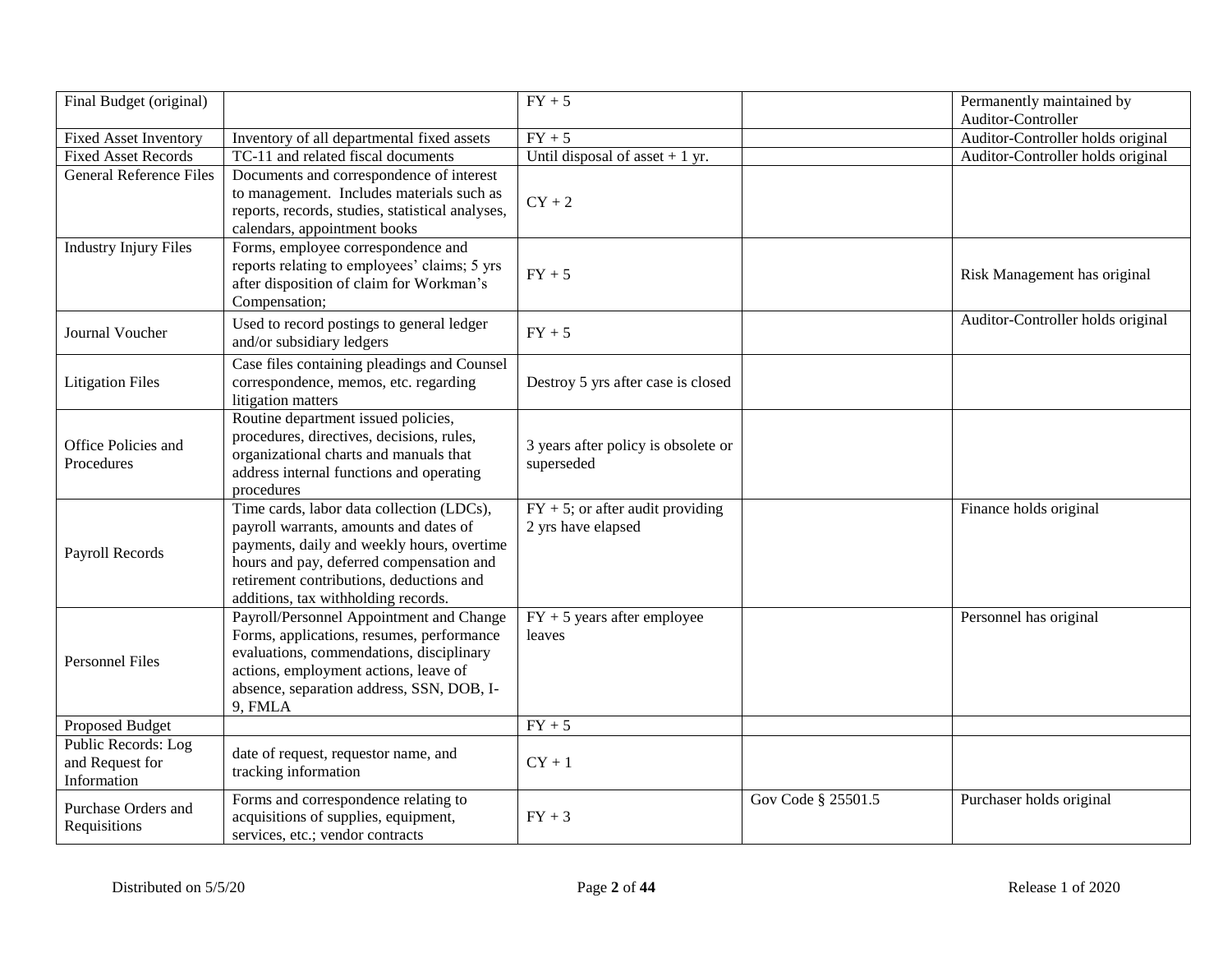| Final Budget (original)                               |                                                                                                                                                                                                                                                                  | $FY + 5$                                                  |                    | Permanently maintained by<br>Auditor-Controller |
|-------------------------------------------------------|------------------------------------------------------------------------------------------------------------------------------------------------------------------------------------------------------------------------------------------------------------------|-----------------------------------------------------------|--------------------|-------------------------------------------------|
| <b>Fixed Asset Inventory</b>                          | Inventory of all departmental fixed assets                                                                                                                                                                                                                       | $FY + 5$                                                  |                    | Auditor-Controller holds original               |
| <b>Fixed Asset Records</b>                            | TC-11 and related fiscal documents                                                                                                                                                                                                                               | Until disposal of asset $+1$ yr.                          |                    | Auditor-Controller holds original               |
| <b>General Reference Files</b>                        | Documents and correspondence of interest<br>to management. Includes materials such as<br>reports, records, studies, statistical analyses,<br>calendars, appointment books                                                                                        | $CY + 2$                                                  |                    |                                                 |
| <b>Industry Injury Files</b>                          | Forms, employee correspondence and<br>reports relating to employees' claims; 5 yrs<br>after disposition of claim for Workman's<br>Compensation;                                                                                                                  | $FY + 5$                                                  |                    | Risk Management has original                    |
| Journal Voucher                                       | Used to record postings to general ledger<br>and/or subsidiary ledgers                                                                                                                                                                                           | $FY + 5$                                                  |                    | Auditor-Controller holds original               |
| <b>Litigation Files</b>                               | Case files containing pleadings and Counsel<br>correspondence, memos, etc. regarding<br>litigation matters                                                                                                                                                       | Destroy 5 yrs after case is closed                        |                    |                                                 |
| Office Policies and<br>Procedures                     | Routine department issued policies,<br>procedures, directives, decisions, rules,<br>organizational charts and manuals that<br>address internal functions and operating<br>procedures                                                                             | 3 years after policy is obsolete or<br>superseded         |                    |                                                 |
| Payroll Records                                       | Time cards, labor data collection (LDCs),<br>payroll warrants, amounts and dates of<br>payments, daily and weekly hours, overtime<br>hours and pay, deferred compensation and<br>retirement contributions, deductions and<br>additions, tax withholding records. | $FY + 5$ ; or after audit providing<br>2 yrs have elapsed |                    | Finance holds original                          |
| <b>Personnel Files</b>                                | Payroll/Personnel Appointment and Change<br>Forms, applications, resumes, performance<br>evaluations, commendations, disciplinary<br>actions, employment actions, leave of<br>absence, separation address, SSN, DOB, I-<br>9, FMLA                               | $FY + 5$ years after employee<br>leaves                   |                    | Personnel has original                          |
| Proposed Budget                                       |                                                                                                                                                                                                                                                                  | $FY + 5$                                                  |                    |                                                 |
| Public Records: Log<br>and Request for<br>Information | date of request, requestor name, and<br>tracking information                                                                                                                                                                                                     | $CY + 1$                                                  |                    |                                                 |
| Purchase Orders and<br>Requisitions                   | Forms and correspondence relating to<br>acquisitions of supplies, equipment,<br>services, etc.; vendor contracts                                                                                                                                                 | $FY + 3$                                                  | Gov Code § 25501.5 | Purchaser holds original                        |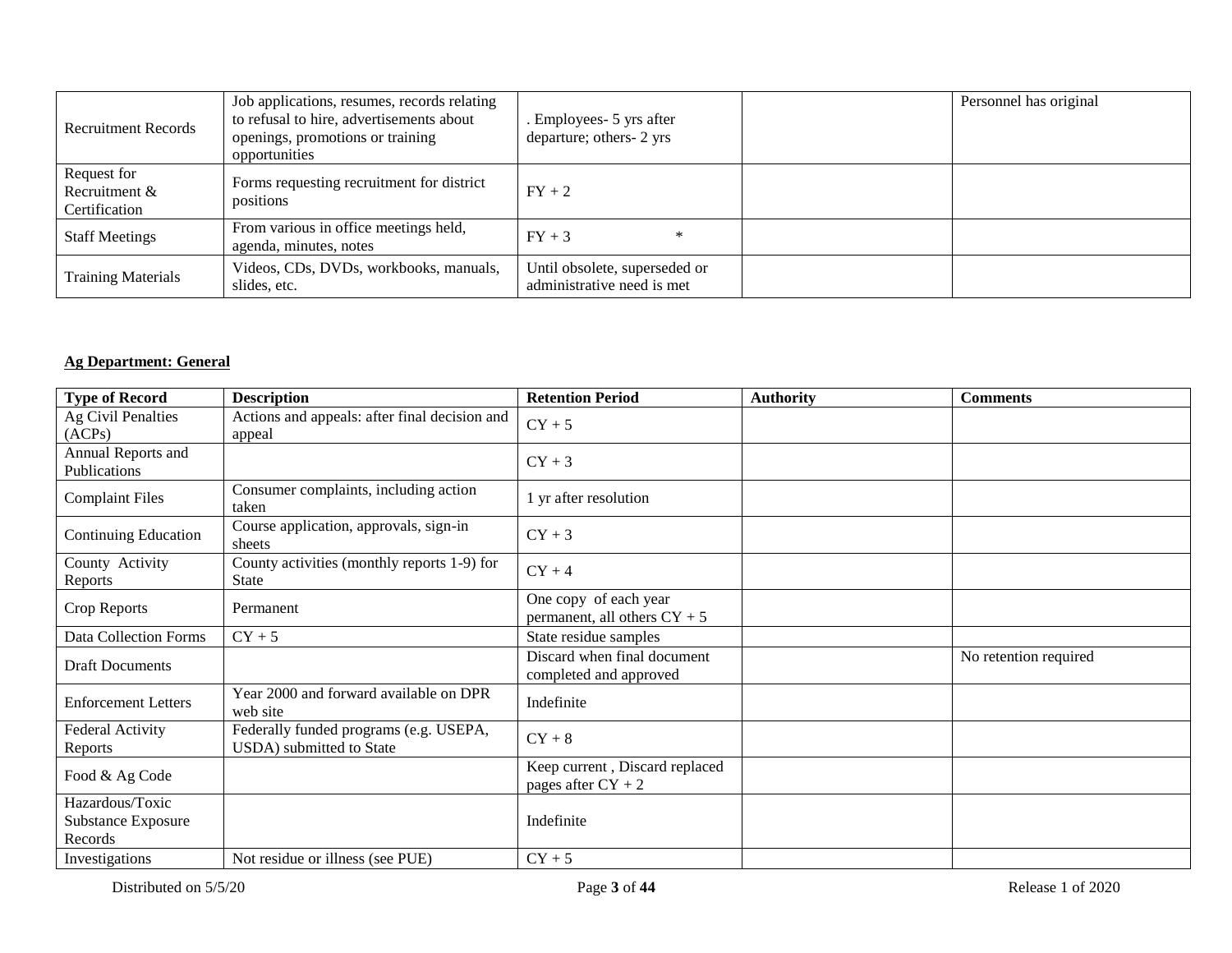| <b>Recruitment Records</b>                    | Job applications, resumes, records relating<br>to refusal to hire, advertisements about<br>openings, promotions or training<br>opportunities | . Employees - 5 yrs after<br>departure; others- 2 yrs       | Personnel has original |
|-----------------------------------------------|----------------------------------------------------------------------------------------------------------------------------------------------|-------------------------------------------------------------|------------------------|
| Request for<br>Recruitment &<br>Certification | Forms requesting recruitment for district<br>positions                                                                                       | $FY + 2$                                                    |                        |
| <b>Staff Meetings</b>                         | From various in office meetings held,<br>agenda, minutes, notes                                                                              | $FY + 3$<br>∗                                               |                        |
| <b>Training Materials</b>                     | Videos, CDs, DVDs, workbooks, manuals,<br>slides, etc.                                                                                       | Until obsolete, superseded or<br>administrative need is met |                        |

## **Ag Department: General**

| <b>Type of Record</b>                            | <b>Description</b>                                                 | <b>Retention Period</b>                                 | <b>Authority</b> | <b>Comments</b>       |
|--------------------------------------------------|--------------------------------------------------------------------|---------------------------------------------------------|------------------|-----------------------|
| Ag Civil Penalties<br>(ACPs)                     | Actions and appeals: after final decision and<br>appeal            | $CY + 5$                                                |                  |                       |
| Annual Reports and<br>Publications               |                                                                    | $CY + 3$                                                |                  |                       |
| <b>Complaint Files</b>                           | Consumer complaints, including action<br>taken                     | 1 yr after resolution                                   |                  |                       |
| Continuing Education                             | Course application, approvals, sign-in<br>sheets                   | $CY + 3$                                                |                  |                       |
| County Activity<br>Reports                       | County activities (monthly reports 1-9) for<br><b>State</b>        | $CY + 4$                                                |                  |                       |
| Crop Reports                                     | Permanent                                                          | One copy of each year<br>permanent, all others $CY + 5$ |                  |                       |
| Data Collection Forms                            | $CY + 5$                                                           | State residue samples                                   |                  |                       |
| <b>Draft Documents</b>                           |                                                                    | Discard when final document<br>completed and approved   |                  | No retention required |
| <b>Enforcement Letters</b>                       | Year 2000 and forward available on DPR<br>web site                 | Indefinite                                              |                  |                       |
| Federal Activity<br>Reports                      | Federally funded programs (e.g. USEPA,<br>USDA) submitted to State | $CY + 8$                                                |                  |                       |
| Food & Ag Code                                   |                                                                    | Keep current, Discard replaced<br>pages after $CY + 2$  |                  |                       |
| Hazardous/Toxic<br>Substance Exposure<br>Records |                                                                    | Indefinite                                              |                  |                       |
| Investigations                                   | Not residue or illness (see PUE)                                   | $CY + 5$                                                |                  |                       |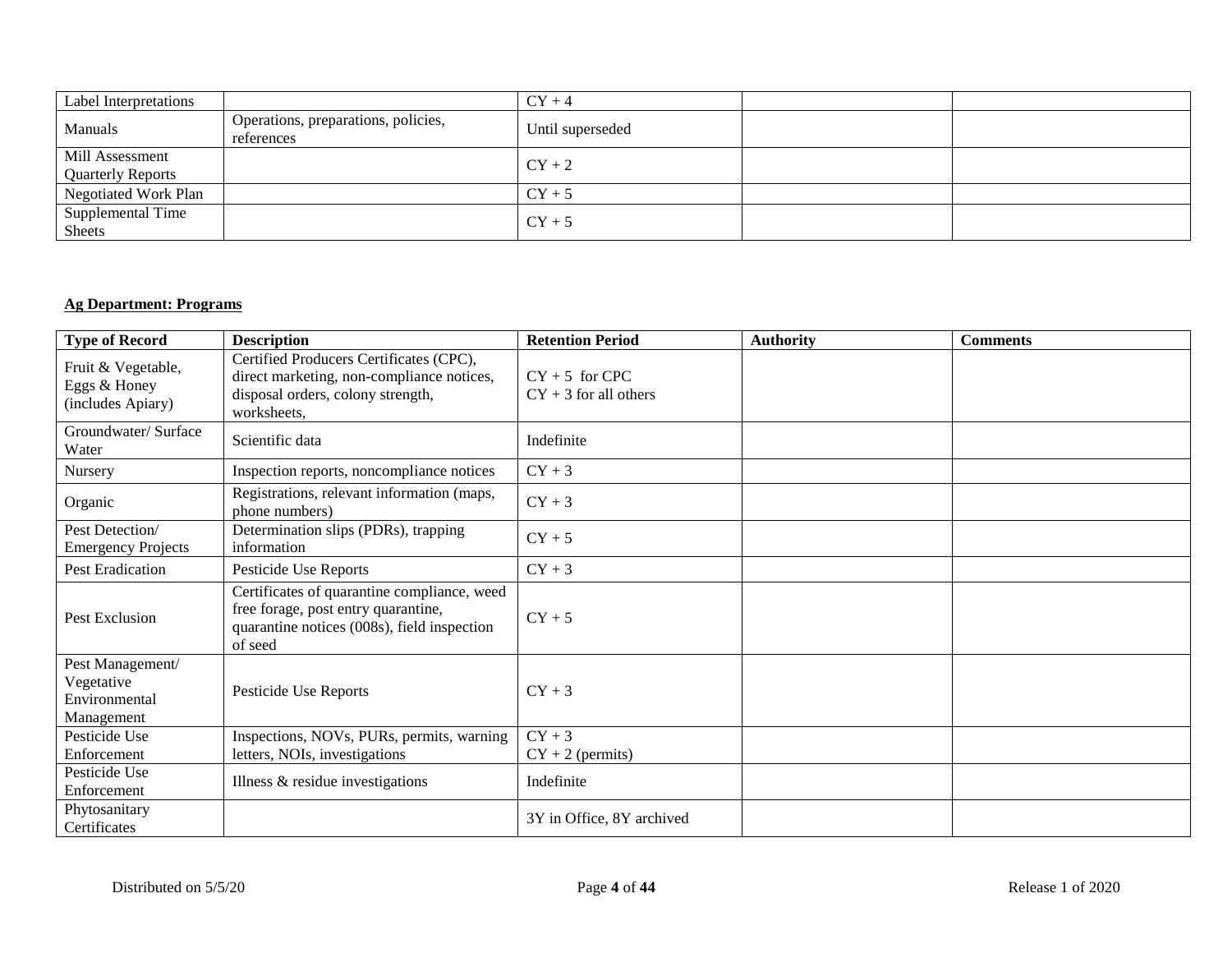| Label Interpretations                       |                                                   | $CY + 4$         |  |
|---------------------------------------------|---------------------------------------------------|------------------|--|
| Manuals                                     | Operations, preparations, policies,<br>references | Until superseded |  |
| Mill Assessment<br><b>Quarterly Reports</b> |                                                   | $CY+2$           |  |
| Negotiated Work Plan                        |                                                   | $CY + 5$         |  |
| Supplemental Time<br><b>Sheets</b>          |                                                   | $CY + 5$         |  |

## **Ag Department: Programs**

| <b>Type of Record</b>                                         | <b>Description</b>                                                                                                                           | <b>Retention Period</b>                     | <b>Authority</b> | <b>Comments</b> |
|---------------------------------------------------------------|----------------------------------------------------------------------------------------------------------------------------------------------|---------------------------------------------|------------------|-----------------|
| Fruit & Vegetable,<br>Eggs & Honey<br>(includes Apiary)       | Certified Producers Certificates (CPC),<br>direct marketing, non-compliance notices,<br>disposal orders, colony strength,<br>worksheets,     | $CY + 5$ for CPC<br>$CY + 3$ for all others |                  |                 |
| Groundwater/ Surface<br>Water                                 | Scientific data                                                                                                                              | Indefinite                                  |                  |                 |
| Nursery                                                       | Inspection reports, noncompliance notices                                                                                                    | $CY + 3$                                    |                  |                 |
| Organic                                                       | Registrations, relevant information (maps,<br>phone numbers)                                                                                 | $CY + 3$                                    |                  |                 |
| Pest Detection/<br><b>Emergency Projects</b>                  | Determination slips (PDRs), trapping<br>information                                                                                          | $CY + 5$                                    |                  |                 |
| <b>Pest Eradication</b>                                       | Pesticide Use Reports                                                                                                                        | $CY + 3$                                    |                  |                 |
| Pest Exclusion                                                | Certificates of quarantine compliance, weed<br>free forage, post entry quarantine,<br>quarantine notices (008s), field inspection<br>of seed | $CY + 5$                                    |                  |                 |
| Pest Management/<br>Vegetative<br>Environmental<br>Management | Pesticide Use Reports                                                                                                                        | $CY + 3$                                    |                  |                 |
| Pesticide Use                                                 | Inspections, NOVs, PURs, permits, warning                                                                                                    | $CY+3$                                      |                  |                 |
| Enforcement                                                   | letters, NOIs, investigations                                                                                                                | $CY + 2$ (permits)                          |                  |                 |
| Pesticide Use<br>Enforcement                                  | Illness & residue investigations                                                                                                             | Indefinite                                  |                  |                 |
| Phytosanitary<br>Certificates                                 |                                                                                                                                              | 3Y in Office, 8Y archived                   |                  |                 |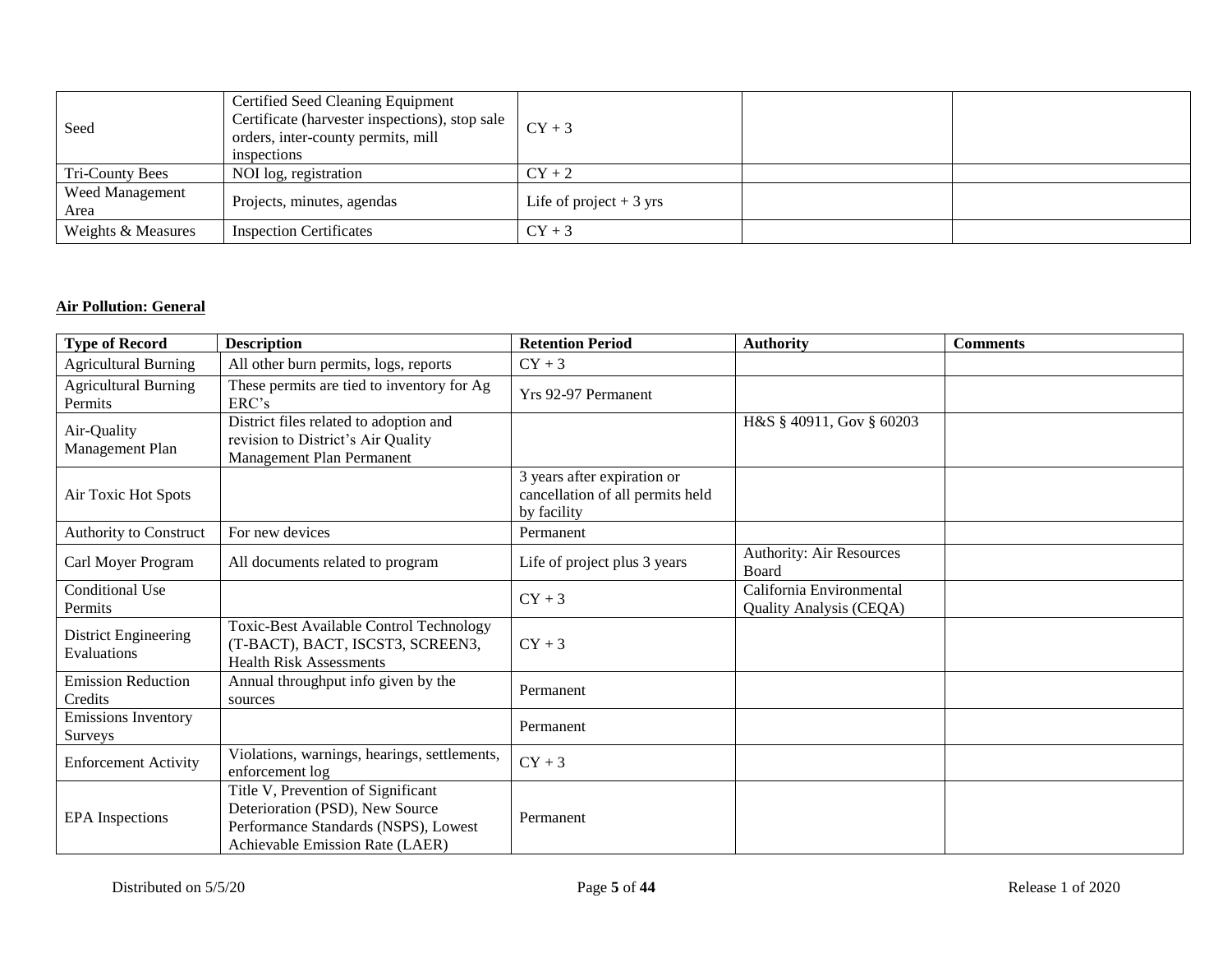| Seed                           | Certified Seed Cleaning Equipment<br>Certificate (harvester inspections), stop sale<br>orders, inter-county permits, mill<br>inspections | $CY + 3$                 |  |
|--------------------------------|------------------------------------------------------------------------------------------------------------------------------------------|--------------------------|--|
| Tri-County Bees                | NOI log, registration                                                                                                                    | $CY + 2$                 |  |
| <b>Weed Management</b><br>Area | Projects, minutes, agendas                                                                                                               | Life of project $+3$ yrs |  |
| Weights & Measures             | <b>Inspection Certificates</b>                                                                                                           | $CY + 3$                 |  |

## **Air Pollution: General**

| <b>Type of Record</b>                  | <b>Description</b>                                                                                                                               | <b>Retention Period</b>                                                        | <b>Authority</b>                                    | <b>Comments</b> |
|----------------------------------------|--------------------------------------------------------------------------------------------------------------------------------------------------|--------------------------------------------------------------------------------|-----------------------------------------------------|-----------------|
| <b>Agricultural Burning</b>            | All other burn permits, logs, reports                                                                                                            | $CY + 3$                                                                       |                                                     |                 |
| <b>Agricultural Burning</b><br>Permits | These permits are tied to inventory for Ag<br>ERC's                                                                                              | Yrs 92-97 Permanent                                                            |                                                     |                 |
| Air-Quality<br>Management Plan         | District files related to adoption and<br>revision to District's Air Quality<br>Management Plan Permanent                                        |                                                                                | H&S § 40911, Gov § 60203                            |                 |
| Air Toxic Hot Spots                    |                                                                                                                                                  | 3 years after expiration or<br>cancellation of all permits held<br>by facility |                                                     |                 |
| Authority to Construct                 | For new devices                                                                                                                                  | Permanent                                                                      |                                                     |                 |
| Carl Moyer Program                     | All documents related to program                                                                                                                 | Life of project plus 3 years                                                   | <b>Authority: Air Resources</b><br>Board            |                 |
| <b>Conditional Use</b><br>Permits      |                                                                                                                                                  | $CY + 3$                                                                       | California Environmental<br>Quality Analysis (CEQA) |                 |
| District Engineering<br>Evaluations    | <b>Toxic-Best Available Control Technology</b><br>(T-BACT), BACT, ISCST3, SCREEN3,<br><b>Health Risk Assessments</b>                             | $CY + 3$                                                                       |                                                     |                 |
| <b>Emission Reduction</b><br>Credits   | Annual throughput info given by the<br>sources                                                                                                   | Permanent                                                                      |                                                     |                 |
| <b>Emissions Inventory</b><br>Surveys  |                                                                                                                                                  | Permanent                                                                      |                                                     |                 |
| <b>Enforcement Activity</b>            | Violations, warnings, hearings, settlements,<br>enforcement log                                                                                  | $CY + 3$                                                                       |                                                     |                 |
| <b>EPA</b> Inspections                 | Title V, Prevention of Significant<br>Deterioration (PSD), New Source<br>Performance Standards (NSPS), Lowest<br>Achievable Emission Rate (LAER) | Permanent                                                                      |                                                     |                 |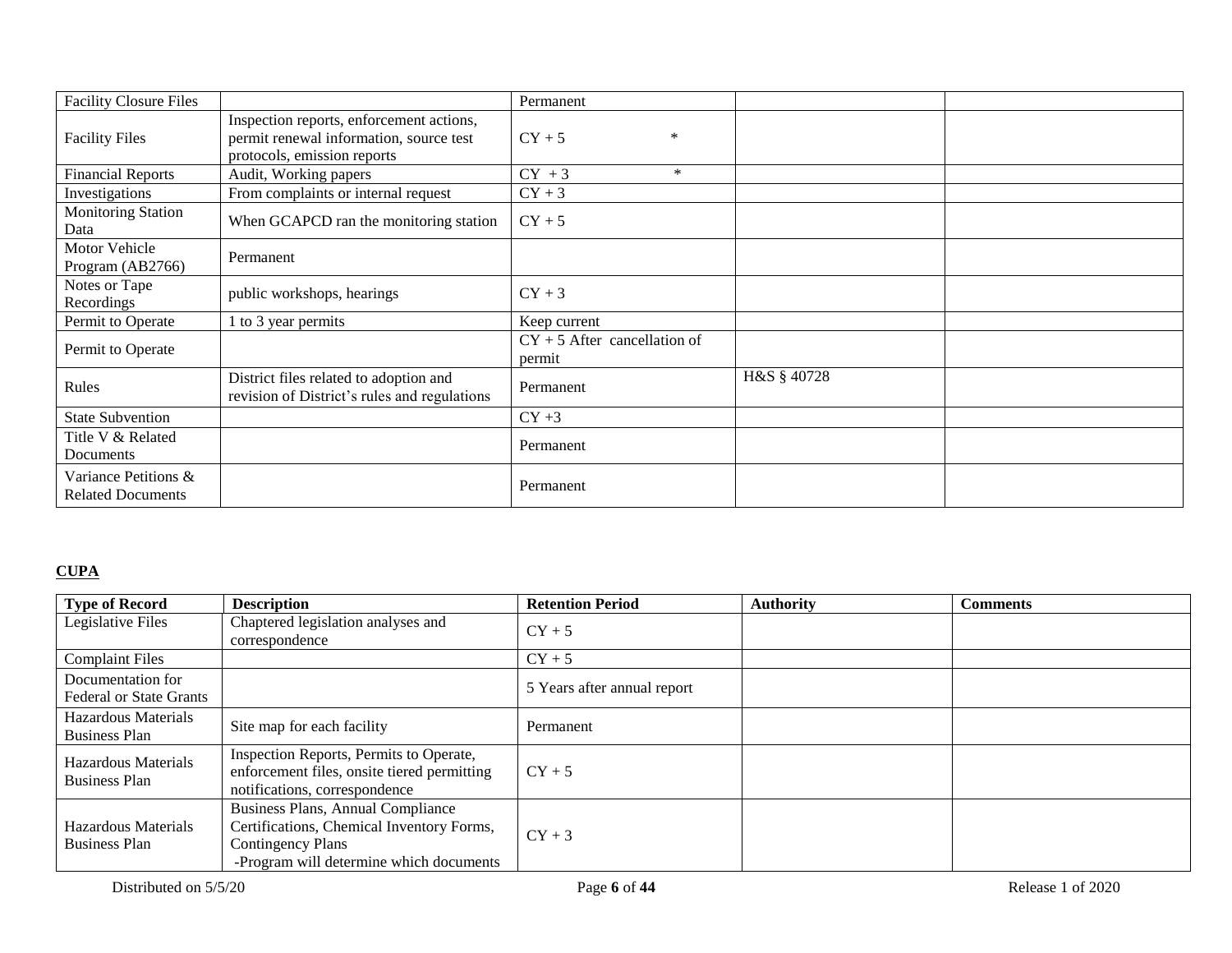| <b>Facility Closure Files</b>                    |                                                                                                                    | Permanent                                |             |  |
|--------------------------------------------------|--------------------------------------------------------------------------------------------------------------------|------------------------------------------|-------------|--|
| <b>Facility Files</b>                            | Inspection reports, enforcement actions,<br>permit renewal information, source test<br>protocols, emission reports | $CY + 5$<br>*                            |             |  |
| <b>Financial Reports</b>                         | Audit, Working papers                                                                                              | $CY + 3$<br>$\ast$                       |             |  |
| Investigations                                   | From complaints or internal request                                                                                | $CY + 3$                                 |             |  |
| <b>Monitoring Station</b><br>Data                | When GCAPCD ran the monitoring station                                                                             | $CY + 5$                                 |             |  |
| Motor Vehicle<br>Program (AB2766)                | Permanent                                                                                                          |                                          |             |  |
| Notes or Tape<br>Recordings                      | public workshops, hearings                                                                                         | $CY + 3$                                 |             |  |
| Permit to Operate                                | 1 to 3 year permits                                                                                                | Keep current                             |             |  |
| Permit to Operate                                |                                                                                                                    | $CY + 5$ After cancellation of<br>permit |             |  |
| Rules                                            | District files related to adoption and<br>revision of District's rules and regulations                             | Permanent                                | H&S § 40728 |  |
| <b>State Subvention</b>                          |                                                                                                                    | $CY + 3$                                 |             |  |
| Title V & Related<br>Documents                   |                                                                                                                    | Permanent                                |             |  |
| Variance Petitions &<br><b>Related Documents</b> |                                                                                                                    | Permanent                                |             |  |

## **CUPA**

| <b>Type of Record</b>                               | <b>Description</b>                                                                                                                                    | <b>Retention Period</b>     | <b>Authority</b> | <b>Comments</b> |
|-----------------------------------------------------|-------------------------------------------------------------------------------------------------------------------------------------------------------|-----------------------------|------------------|-----------------|
| Legislative Files                                   | Chaptered legislation analyses and<br>correspondence                                                                                                  | $CY + 5$                    |                  |                 |
| <b>Complaint Files</b>                              |                                                                                                                                                       | $CY + 5$                    |                  |                 |
| Documentation for<br><b>Federal or State Grants</b> |                                                                                                                                                       | 5 Years after annual report |                  |                 |
| Hazardous Materials<br><b>Business Plan</b>         | Site map for each facility                                                                                                                            | Permanent                   |                  |                 |
| Hazardous Materials<br><b>Business Plan</b>         | Inspection Reports, Permits to Operate,<br>enforcement files, onsite tiered permitting<br>notifications, correspondence                               | $CY + 5$                    |                  |                 |
| Hazardous Materials<br><b>Business Plan</b>         | Business Plans, Annual Compliance<br>Certifications, Chemical Inventory Forms,<br><b>Contingency Plans</b><br>-Program will determine which documents | $CY + 3$                    |                  |                 |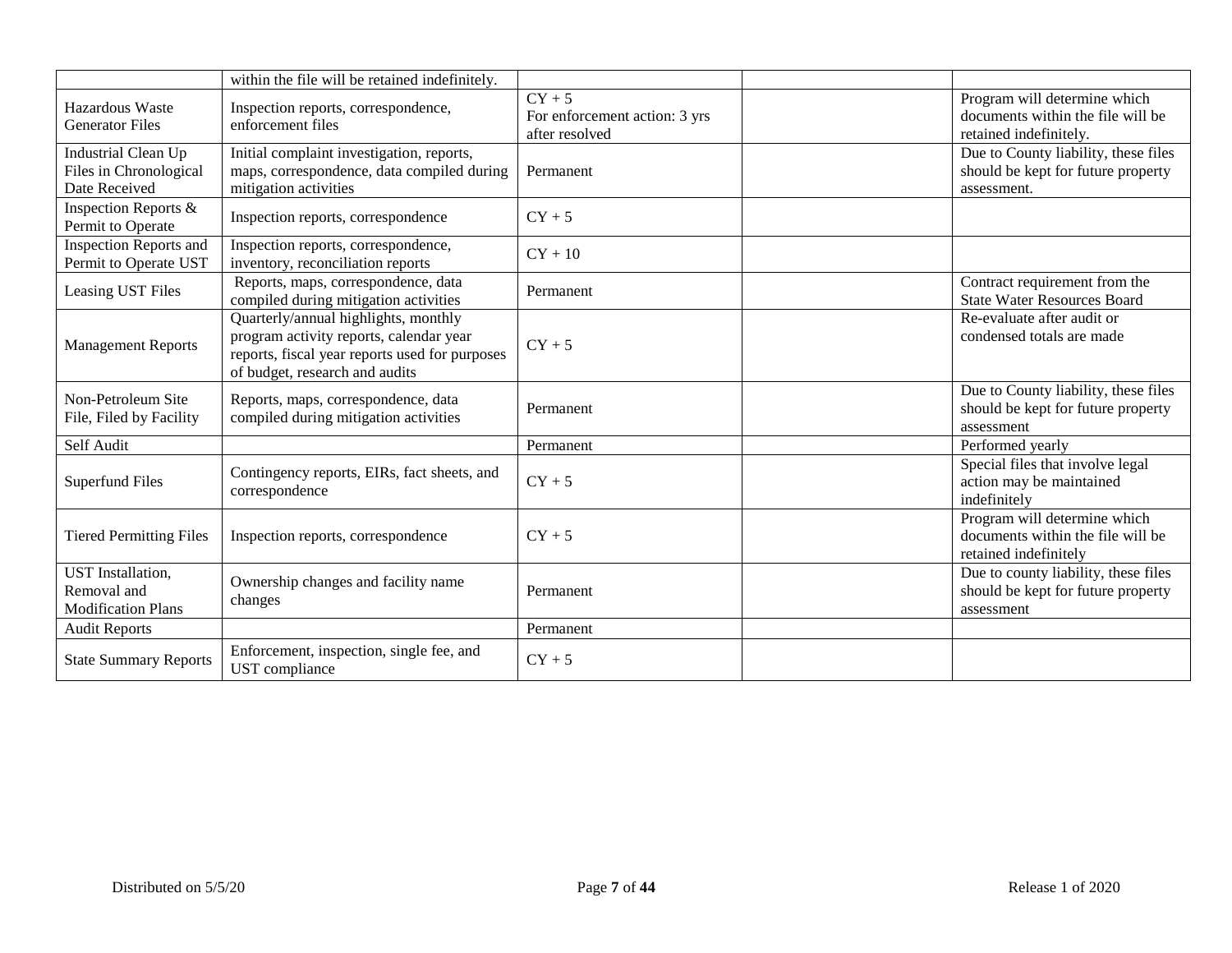|                                                                      | within the file will be retained indefinitely.                                                                                                                      |                                                             |                                                                                             |
|----------------------------------------------------------------------|---------------------------------------------------------------------------------------------------------------------------------------------------------------------|-------------------------------------------------------------|---------------------------------------------------------------------------------------------|
| Hazardous Waste<br><b>Generator Files</b>                            | Inspection reports, correspondence,<br>enforcement files                                                                                                            | $CY + 5$<br>For enforcement action: 3 yrs<br>after resolved | Program will determine which<br>documents within the file will be<br>retained indefinitely. |
| Industrial Clean Up<br>Files in Chronological<br>Date Received       | Initial complaint investigation, reports,<br>maps, correspondence, data compiled during<br>mitigation activities                                                    | Permanent                                                   | Due to County liability, these files<br>should be kept for future property<br>assessment.   |
| Inspection Reports &<br>Permit to Operate                            | Inspection reports, correspondence                                                                                                                                  | $CY + 5$                                                    |                                                                                             |
| Inspection Reports and<br>Permit to Operate UST                      | Inspection reports, correspondence,<br>inventory, reconciliation reports                                                                                            | $CY + 10$                                                   |                                                                                             |
| Leasing UST Files                                                    | Reports, maps, correspondence, data<br>compiled during mitigation activities                                                                                        | Permanent                                                   | Contract requirement from the<br><b>State Water Resources Board</b>                         |
| <b>Management Reports</b>                                            | Quarterly/annual highlights, monthly<br>program activity reports, calendar year<br>reports, fiscal year reports used for purposes<br>of budget, research and audits | $CY + 5$                                                    | Re-evaluate after audit or<br>condensed totals are made                                     |
| Non-Petroleum Site<br>File, Filed by Facility                        | Reports, maps, correspondence, data<br>compiled during mitigation activities                                                                                        | Permanent                                                   | Due to County liability, these files<br>should be kept for future property<br>assessment    |
| Self Audit                                                           |                                                                                                                                                                     | Permanent                                                   | Performed yearly                                                                            |
| <b>Superfund Files</b>                                               | Contingency reports, EIRs, fact sheets, and<br>correspondence                                                                                                       | $CY + 5$                                                    | Special files that involve legal<br>action may be maintained<br>indefinitely                |
| <b>Tiered Permitting Files</b>                                       | Inspection reports, correspondence                                                                                                                                  | $CY + 5$                                                    | Program will determine which<br>documents within the file will be<br>retained indefinitely  |
| <b>UST</b> Installation,<br>Removal and<br><b>Modification Plans</b> | Ownership changes and facility name<br>changes                                                                                                                      | Permanent                                                   | Due to county liability, these files<br>should be kept for future property<br>assessment    |
| <b>Audit Reports</b>                                                 |                                                                                                                                                                     | Permanent                                                   |                                                                                             |
| <b>State Summary Reports</b>                                         | Enforcement, inspection, single fee, and<br>UST compliance                                                                                                          | $CY + 5$                                                    |                                                                                             |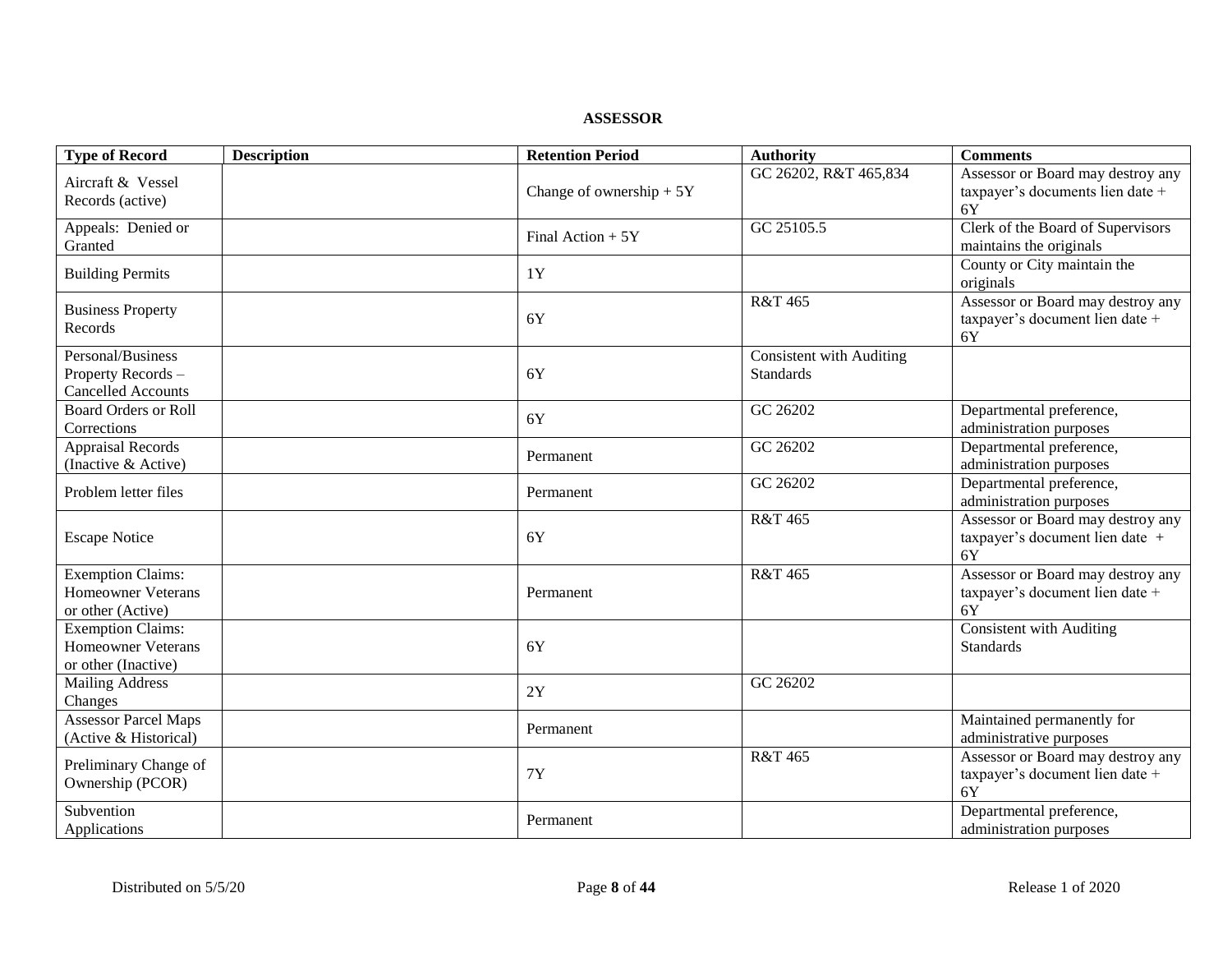**ASSESSOR**

| <b>Type of Record</b>                                                        | <b>Description</b> | <b>Retention Period</b>   | <b>Authority</b>                                    | <b>Comments</b>                                                             |
|------------------------------------------------------------------------------|--------------------|---------------------------|-----------------------------------------------------|-----------------------------------------------------------------------------|
| Aircraft & Vessel<br>Records (active)                                        |                    | Change of ownership $+5Y$ | GC 26202, R&T 465,834                               | Assessor or Board may destroy any<br>taxpayer's documents lien date +<br>6Y |
| Appeals: Denied or<br>Granted                                                |                    | Final Action $+5Y$        | GC 25105.5                                          | Clerk of the Board of Supervisors<br>maintains the originals                |
| <b>Building Permits</b>                                                      |                    | 1Y                        |                                                     | County or City maintain the<br>originals                                    |
| <b>Business Property</b><br>Records                                          |                    | 6Y                        | R&T 465                                             | Assessor or Board may destroy any<br>taxpayer's document lien date +<br>6Y  |
| Personal/Business<br>Property Records -<br><b>Cancelled Accounts</b>         |                    | 6Y                        | <b>Consistent with Auditing</b><br><b>Standards</b> |                                                                             |
| <b>Board Orders or Roll</b><br>Corrections                                   |                    | 6Y                        | GC 26202                                            | Departmental preference,<br>administration purposes                         |
| <b>Appraisal Records</b><br>(Inactive & Active)                              |                    | Permanent                 | GC 26202                                            | Departmental preference,<br>administration purposes                         |
| Problem letter files                                                         |                    | Permanent                 | GC 26202                                            | Departmental preference,<br>administration purposes                         |
| <b>Escape Notice</b>                                                         |                    | 6Y                        | R&T 465                                             | Assessor or Board may destroy any<br>taxpayer's document lien date +<br>6Y  |
| <b>Exemption Claims:</b><br><b>Homeowner Veterans</b><br>or other (Active)   |                    | Permanent                 | R&T 465                                             | Assessor or Board may destroy any<br>taxpayer's document lien date +<br>6Y  |
| <b>Exemption Claims:</b><br><b>Homeowner Veterans</b><br>or other (Inactive) |                    | 6Y                        |                                                     | Consistent with Auditing<br><b>Standards</b>                                |
| <b>Mailing Address</b><br>Changes                                            |                    | 2Y                        | GC 26202                                            |                                                                             |
| <b>Assessor Parcel Maps</b><br>(Active & Historical)                         |                    | Permanent                 |                                                     | Maintained permanently for<br>administrative purposes                       |
| Preliminary Change of<br>Ownership (PCOR)                                    |                    | <b>7Y</b>                 | R&T 465                                             | Assessor or Board may destroy any<br>taxpayer's document lien date +<br>6Y  |
| Subvention<br>Applications                                                   |                    | Permanent                 |                                                     | Departmental preference,<br>administration purposes                         |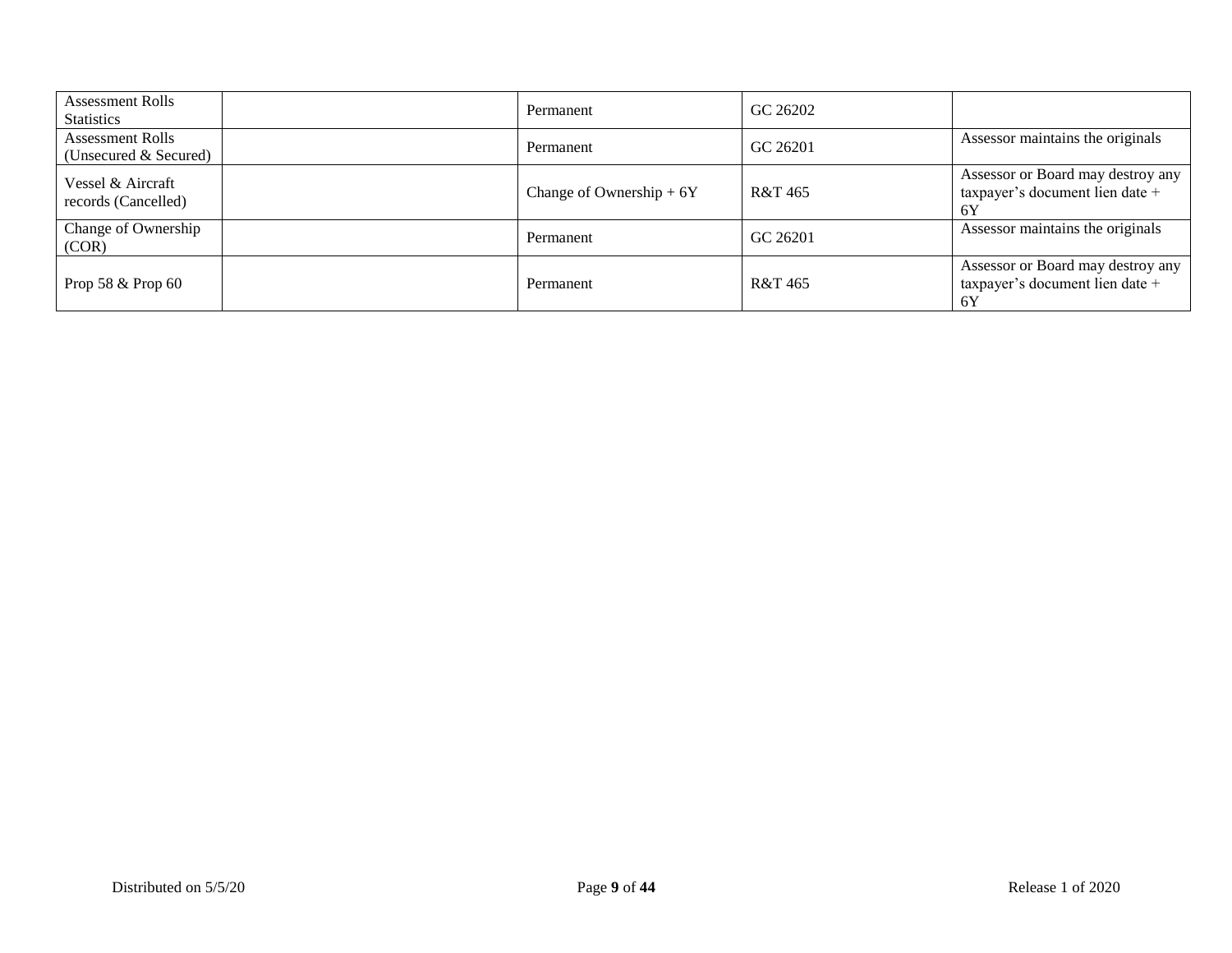| <b>Assessment Rolls</b><br><b>Statistics</b>     | Permanent                 | GC 26202 |                                                                            |
|--------------------------------------------------|---------------------------|----------|----------------------------------------------------------------------------|
| <b>Assessment Rolls</b><br>(Unsecured & Secured) | Permanent                 | GC 26201 | Assessor maintains the originals                                           |
| Vessel & Aircraft<br>records (Cancelled)         | Change of Ownership $+6Y$ | R&T 465  | Assessor or Board may destroy any<br>taxpayer's document lien date +<br>6Y |
| Change of Ownership<br>(COR)                     | Permanent                 | GC 26201 | Assessor maintains the originals                                           |
| Prop 58 & Prop 60                                | Permanent                 | R&T 465  | Assessor or Board may destroy any<br>taxpayer's document lien date +<br>6Y |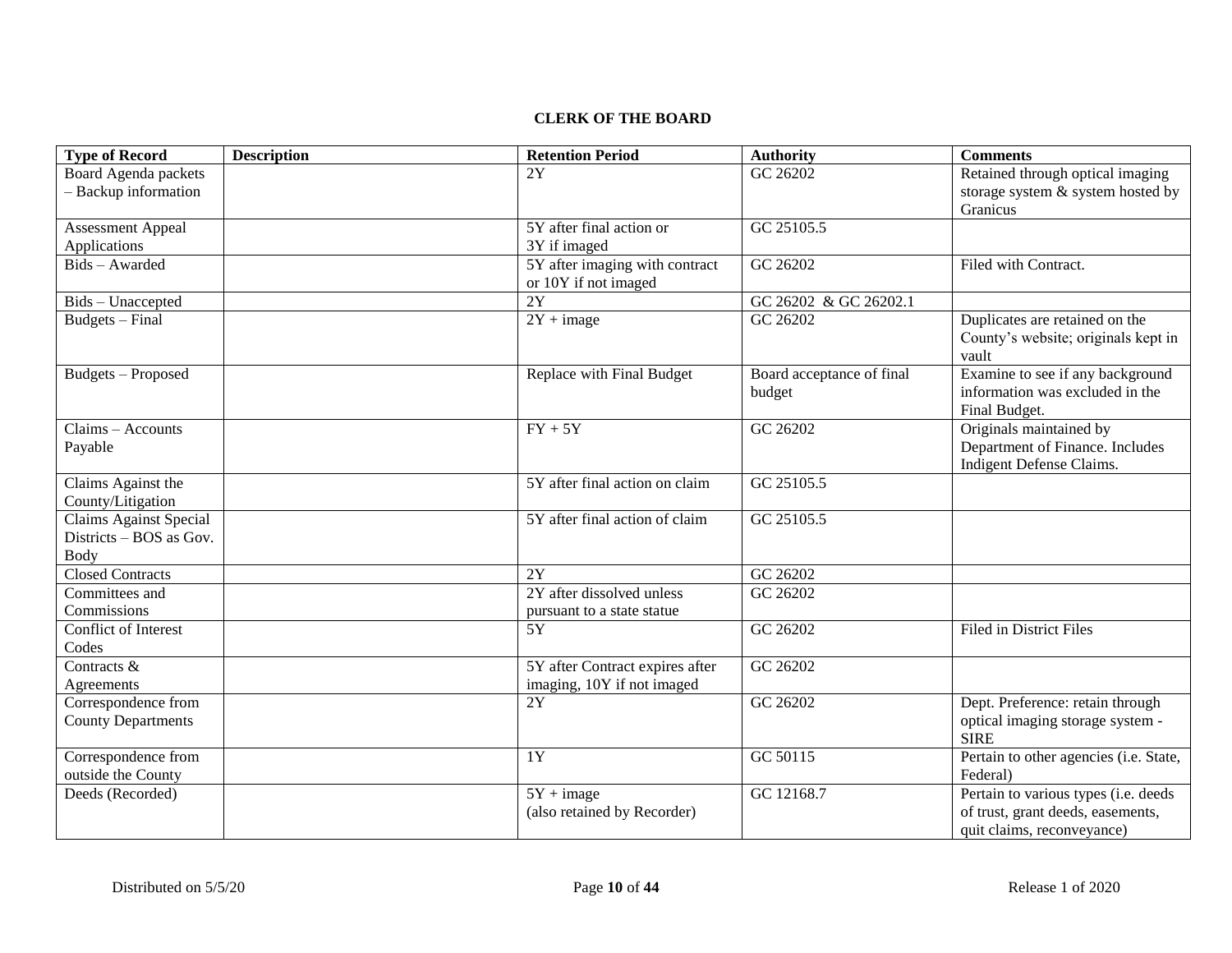### **CLERK OF THE BOARD**

| <b>Type of Record</b>                     | <b>Description</b> | <b>Retention Period</b>          | <b>Authority</b>          | <b>Comments</b>                                 |
|-------------------------------------------|--------------------|----------------------------------|---------------------------|-------------------------------------------------|
| Board Agenda packets                      |                    | 2Y                               | GC 26202                  | Retained through optical imaging                |
| - Backup information                      |                    |                                  |                           | storage system & system hosted by               |
|                                           |                    |                                  |                           | Granicus                                        |
| <b>Assessment Appeal</b>                  |                    | 5Y after final action or         | GC 25105.5                |                                                 |
| Applications                              |                    | 3Y if imaged                     |                           |                                                 |
| Bids - Awarded                            |                    | 5Y after imaging with contract   | GC 26202                  | Filed with Contract.                            |
|                                           |                    | or 10Y if not imaged             |                           |                                                 |
| Bids - Unaccepted                         |                    | $\overline{2Y}$                  | GC 26202 & GC 26202.1     |                                                 |
| Budgets - Final                           |                    | $2Y + image$                     | GC 26202                  | Duplicates are retained on the                  |
|                                           |                    |                                  |                           | County's website; originals kept in             |
|                                           |                    |                                  |                           | vault                                           |
| <b>Budgets</b> - Proposed                 |                    | Replace with Final Budget        | Board acceptance of final | Examine to see if any background                |
|                                           |                    |                                  | budget                    | information was excluded in the                 |
|                                           |                    |                                  |                           | Final Budget.                                   |
| Claims - Accounts                         |                    | $FY + 5Y$                        | GC 26202                  | Originals maintained by                         |
| Payable                                   |                    |                                  |                           | Department of Finance. Includes                 |
|                                           |                    |                                  |                           | Indigent Defense Claims.                        |
| Claims Against the                        |                    | 5Y after final action on claim   | GC 25105.5                |                                                 |
| County/Litigation                         |                    |                                  |                           |                                                 |
| <b>Claims Against Special</b>             |                    | 5Y after final action of claim   | GC 25105.5                |                                                 |
| Districts - BOS as Gov.                   |                    |                                  |                           |                                                 |
| Body                                      |                    |                                  |                           |                                                 |
| <b>Closed Contracts</b><br>Committees and |                    | 2Y<br>2Y after dissolved unless  | GC 26202                  |                                                 |
| Commissions                               |                    |                                  | GC 26202                  |                                                 |
|                                           |                    | pursuant to a state statue       |                           |                                                 |
| Conflict of Interest                      |                    | 5Y                               | GC 26202                  | <b>Filed in District Files</b>                  |
| Codes                                     |                    |                                  |                           |                                                 |
| Contracts &                               |                    | 5Y after Contract expires after  | GC 26202                  |                                                 |
| Agreements                                |                    | imaging, 10Y if not imaged<br>2Y | GC 26202                  | Dept. Preference: retain through                |
| Correspondence from                       |                    |                                  |                           |                                                 |
| <b>County Departments</b>                 |                    |                                  |                           | optical imaging storage system -<br><b>SIRE</b> |
| Correspondence from                       |                    | 1Y                               | GC 50115                  | Pertain to other agencies (i.e. State,          |
| outside the County                        |                    |                                  |                           | Federal)                                        |
| Deeds (Recorded)                          |                    | $5Y + image$                     | GC 12168.7                | Pertain to various types (i.e. deeds            |
|                                           |                    | (also retained by Recorder)      |                           | of trust, grant deeds, easements,               |
|                                           |                    |                                  |                           | quit claims, reconveyance)                      |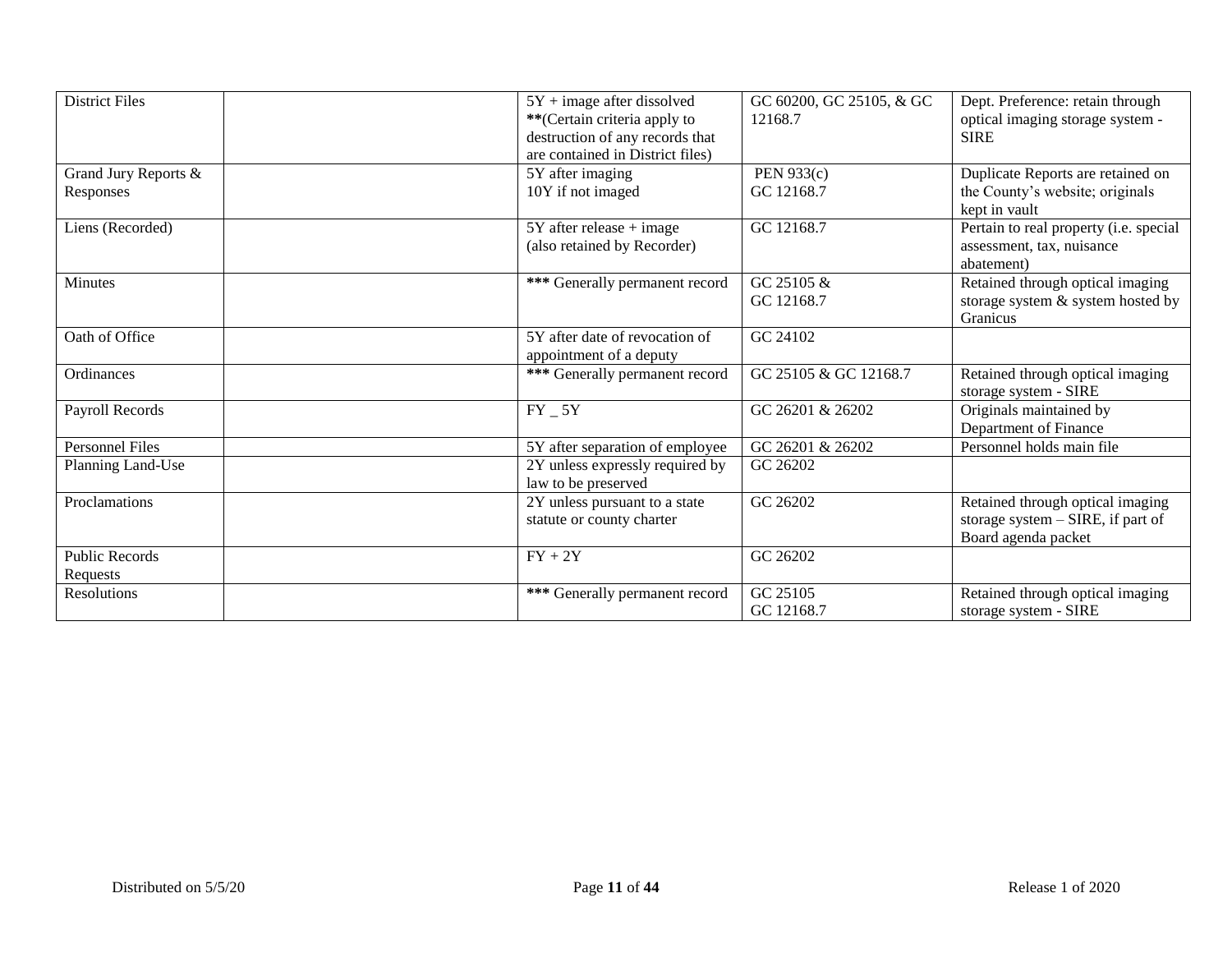| <b>District Files</b>             | $5Y + image$ after dissolved<br>** (Certain criteria apply to<br>destruction of any records that<br>are contained in District files) | GC 60200, GC 25105, & GC<br>12168.7 | Dept. Preference: retain through<br>optical imaging storage system -<br><b>SIRE</b>            |
|-----------------------------------|--------------------------------------------------------------------------------------------------------------------------------------|-------------------------------------|------------------------------------------------------------------------------------------------|
| Grand Jury Reports &<br>Responses | 5Y after imaging<br>10Y if not imaged                                                                                                | PEN 933(c)<br>GC 12168.7            | Duplicate Reports are retained on<br>the County's website; originals<br>kept in vault          |
| Liens (Recorded)                  | $5Y$ after release + image<br>(also retained by Recorder)                                                                            | GC 12168.7                          | Pertain to real property (i.e. special<br>assessment, tax, nuisance<br>abatement)              |
| Minutes                           | *** Generally permanent record                                                                                                       | GC 25105 &<br>GC 12168.7            | Retained through optical imaging<br>storage system & system hosted by<br>Granicus              |
| Oath of Office                    | 5Y after date of revocation of<br>appointment of a deputy                                                                            | GC 24102                            |                                                                                                |
| Ordinances                        | *** Generally permanent record                                                                                                       | GC 25105 & GC 12168.7               | Retained through optical imaging<br>storage system - SIRE                                      |
| Payroll Records                   | $FY_5Y$                                                                                                                              | GC 26201 & 26202                    | Originals maintained by<br>Department of Finance                                               |
| <b>Personnel Files</b>            | 5Y after separation of employee                                                                                                      | GC 26201 & 26202                    | Personnel holds main file                                                                      |
| Planning Land-Use                 | 2Y unless expressly required by<br>law to be preserved                                                                               | GC 26202                            |                                                                                                |
| Proclamations                     | 2Y unless pursuant to a state<br>statute or county charter                                                                           | GC 26202                            | Retained through optical imaging<br>storage system $-$ SIRE, if part of<br>Board agenda packet |
| <b>Public Records</b><br>Requests | $FY + 2Y$                                                                                                                            | GC 26202                            |                                                                                                |
| Resolutions                       | *** Generally permanent record                                                                                                       | GC 25105<br>GC 12168.7              | Retained through optical imaging<br>storage system - SIRE                                      |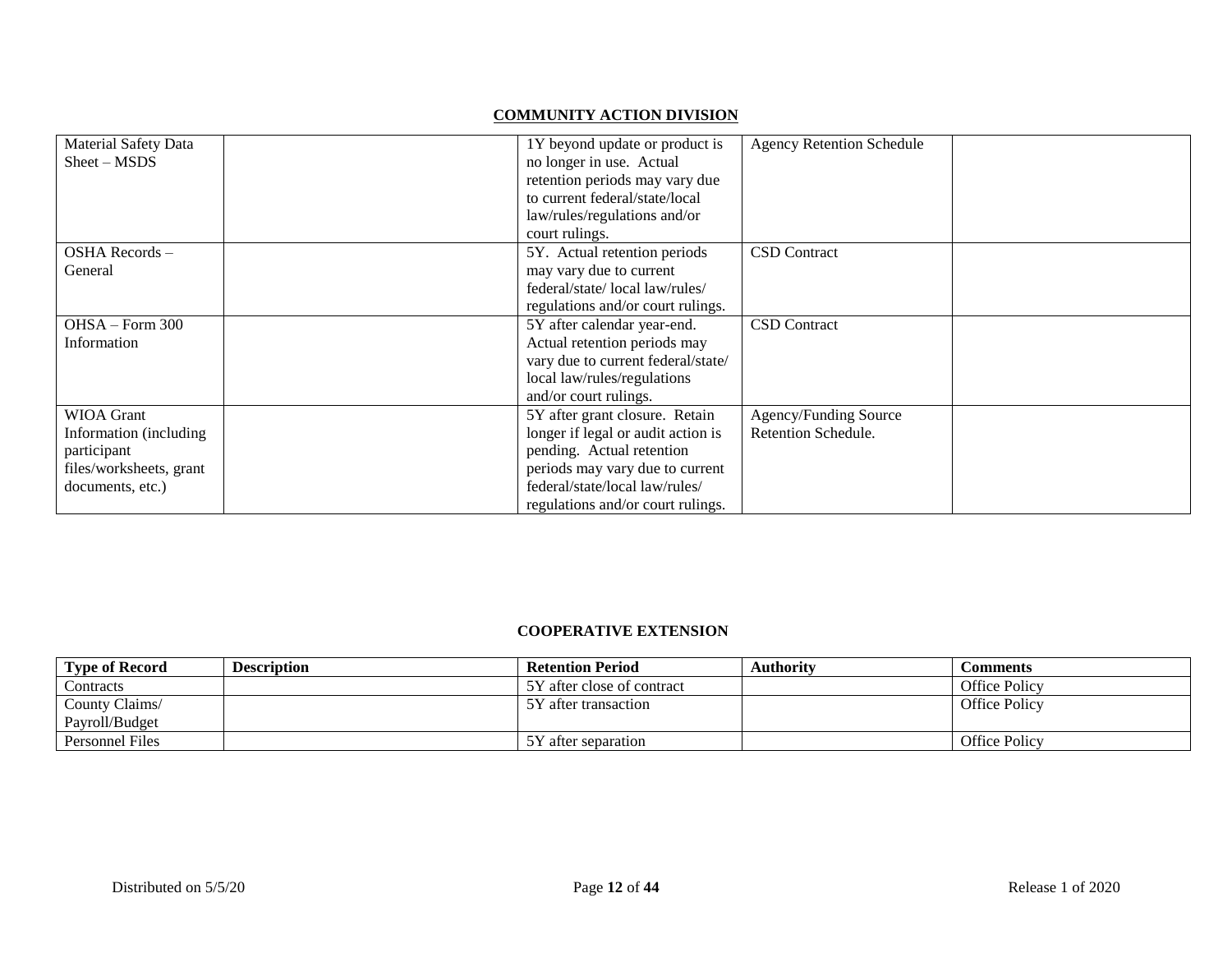## **COMMUNITY ACTION DIVISION**

| <b>Material Safety Data</b><br>$Sheet - MSDS$ | 1Y beyond update or product is<br>no longer in use. Actual<br>retention periods may vary due<br>to current federal/state/local<br>law/rules/regulations and/or<br>court rulings. | <b>Agency Retention Schedule</b> |  |
|-----------------------------------------------|----------------------------------------------------------------------------------------------------------------------------------------------------------------------------------|----------------------------------|--|
| OSHA Records –                                | 5Y. Actual retention periods                                                                                                                                                     | <b>CSD</b> Contract              |  |
| General                                       | may vary due to current                                                                                                                                                          |                                  |  |
|                                               | federal/state/local law/rules/                                                                                                                                                   |                                  |  |
|                                               | regulations and/or court rulings.                                                                                                                                                |                                  |  |
| OHSA - Form 300                               | 5Y after calendar year-end.                                                                                                                                                      | <b>CSD</b> Contract              |  |
| Information                                   | Actual retention periods may                                                                                                                                                     |                                  |  |
|                                               | vary due to current federal/state/                                                                                                                                               |                                  |  |
|                                               | local law/rules/regulations                                                                                                                                                      |                                  |  |
|                                               | and/or court rulings.                                                                                                                                                            |                                  |  |
| <b>WIOA</b> Grant                             | 5Y after grant closure. Retain                                                                                                                                                   | Agency/Funding Source            |  |
| Information (including                        | longer if legal or audit action is                                                                                                                                               | Retention Schedule.              |  |
| participant                                   | pending. Actual retention                                                                                                                                                        |                                  |  |
| files/worksheets, grant                       | periods may vary due to current                                                                                                                                                  |                                  |  |
| documents, etc.)                              | federal/state/local law/rules/                                                                                                                                                   |                                  |  |
|                                               | regulations and/or court rulings.                                                                                                                                                |                                  |  |

#### **COOPERATIVE EXTENSION**

| <b>Type of Record</b> | <b>Description</b> | <b>Retention Period</b>    | <b>Authority</b> | Comments             |
|-----------------------|--------------------|----------------------------|------------------|----------------------|
| Contracts             |                    | 5Y after close of contract |                  | Office Policy        |
| County Claims/        |                    | 5Y after transaction       |                  | <b>Office Policy</b> |
| Pavroll/Budget        |                    |                            |                  |                      |
| Personnel Files       |                    | 5Y after separation        |                  | <b>Office Policy</b> |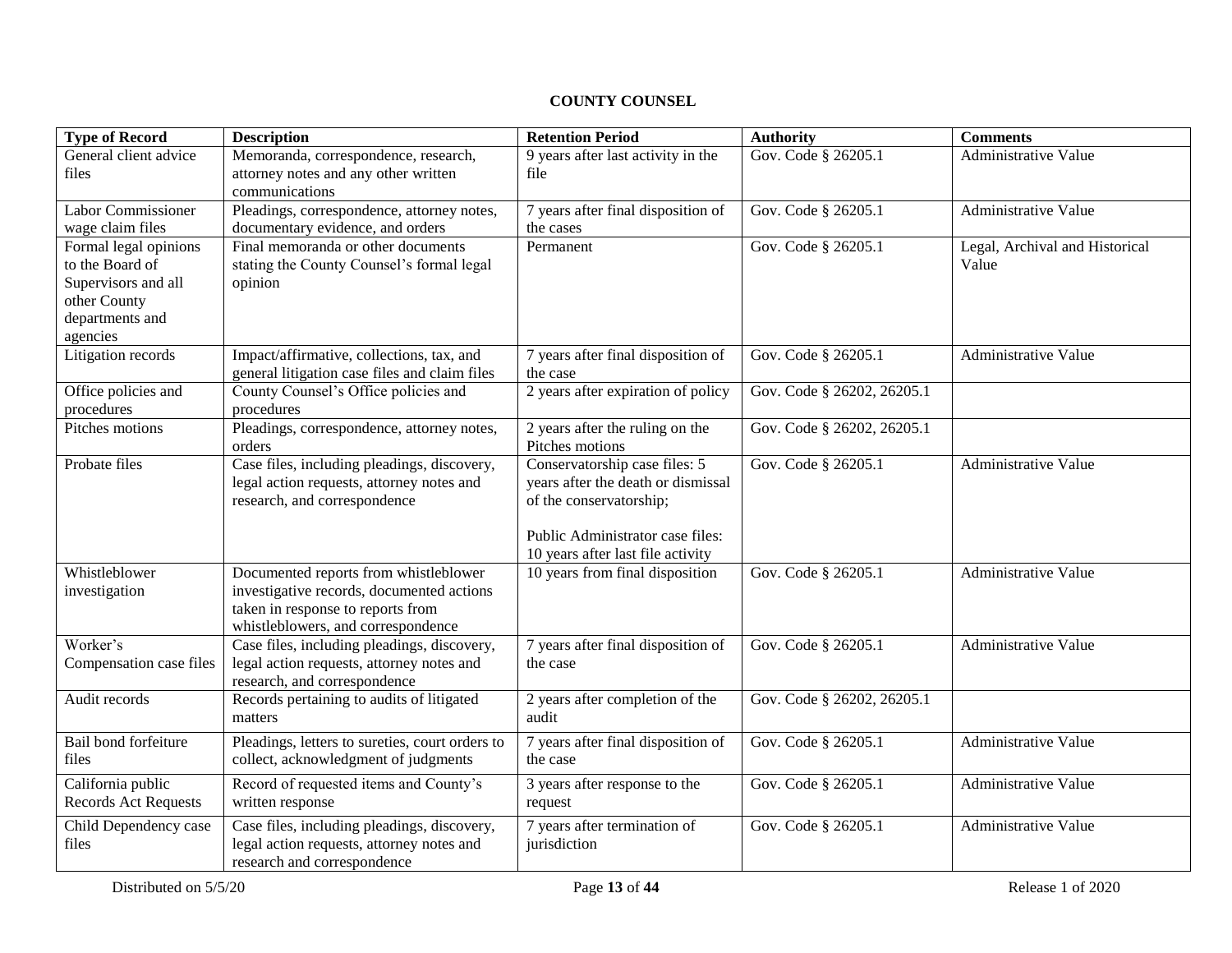## **COUNTY COUNSEL**

| <b>Type of Record</b>                                                                                          | <b>Description</b>                                                                                                                                            | <b>Retention Period</b>                                                                                                                                                 | <b>Authority</b>           | <b>Comments</b>                         |
|----------------------------------------------------------------------------------------------------------------|---------------------------------------------------------------------------------------------------------------------------------------------------------------|-------------------------------------------------------------------------------------------------------------------------------------------------------------------------|----------------------------|-----------------------------------------|
| General client advice<br>files                                                                                 | Memoranda, correspondence, research,<br>attorney notes and any other written<br>communications                                                                | 9 years after last activity in the<br>file                                                                                                                              | Gov. Code § 26205.1        | <b>Administrative Value</b>             |
| Labor Commissioner<br>wage claim files                                                                         | Pleadings, correspondence, attorney notes,<br>documentary evidence, and orders                                                                                | 7 years after final disposition of<br>the cases                                                                                                                         | Gov. Code § 26205.1        | Administrative Value                    |
| Formal legal opinions<br>to the Board of<br>Supervisors and all<br>other County<br>departments and<br>agencies | Final memoranda or other documents<br>stating the County Counsel's formal legal<br>opinion                                                                    | Permanent                                                                                                                                                               | Gov. Code § 26205.1        | Legal, Archival and Historical<br>Value |
| Litigation records                                                                                             | Impact/affirmative, collections, tax, and<br>general litigation case files and claim files                                                                    | 7 years after final disposition of<br>the case                                                                                                                          | Gov. Code § 26205.1        | Administrative Value                    |
| Office policies and<br>procedures                                                                              | County Counsel's Office policies and<br>procedures                                                                                                            | 2 years after expiration of policy                                                                                                                                      | Gov. Code § 26202, 26205.1 |                                         |
| Pitches motions                                                                                                | Pleadings, correspondence, attorney notes,<br>orders                                                                                                          | 2 years after the ruling on the<br>Pitches motions                                                                                                                      | Gov. Code § 26202, 26205.1 |                                         |
| Probate files                                                                                                  | Case files, including pleadings, discovery,<br>legal action requests, attorney notes and<br>research, and correspondence                                      | Conservatorship case files: 5<br>years after the death or dismissal<br>of the conservatorship;<br>Public Administrator case files:<br>10 years after last file activity | Gov. Code § 26205.1        | Administrative Value                    |
| Whistleblower<br>investigation                                                                                 | Documented reports from whistleblower<br>investigative records, documented actions<br>taken in response to reports from<br>whistleblowers, and correspondence | 10 years from final disposition                                                                                                                                         | Gov. Code § 26205.1        | Administrative Value                    |
| Worker's<br>Compensation case files                                                                            | Case files, including pleadings, discovery,<br>legal action requests, attorney notes and<br>research, and correspondence                                      | 7 years after final disposition of<br>the case                                                                                                                          | Gov. Code § 26205.1        | Administrative Value                    |
| Audit records                                                                                                  | Records pertaining to audits of litigated<br>matters                                                                                                          | 2 years after completion of the<br>audit                                                                                                                                | Gov. Code § 26202, 26205.1 |                                         |
| Bail bond forfeiture<br>files                                                                                  | Pleadings, letters to sureties, court orders to<br>collect, acknowledgment of judgments                                                                       | 7 years after final disposition of<br>the case                                                                                                                          | Gov. Code § 26205.1        | Administrative Value                    |
| California public<br><b>Records Act Requests</b>                                                               | Record of requested items and County's<br>written response                                                                                                    | 3 years after response to the<br>request                                                                                                                                | Gov. Code § 26205.1        | Administrative Value                    |
| Child Dependency case<br>files                                                                                 | Case files, including pleadings, discovery,<br>legal action requests, attorney notes and<br>research and correspondence                                       | 7 years after termination of<br>jurisdiction                                                                                                                            | Gov. Code § 26205.1        | Administrative Value                    |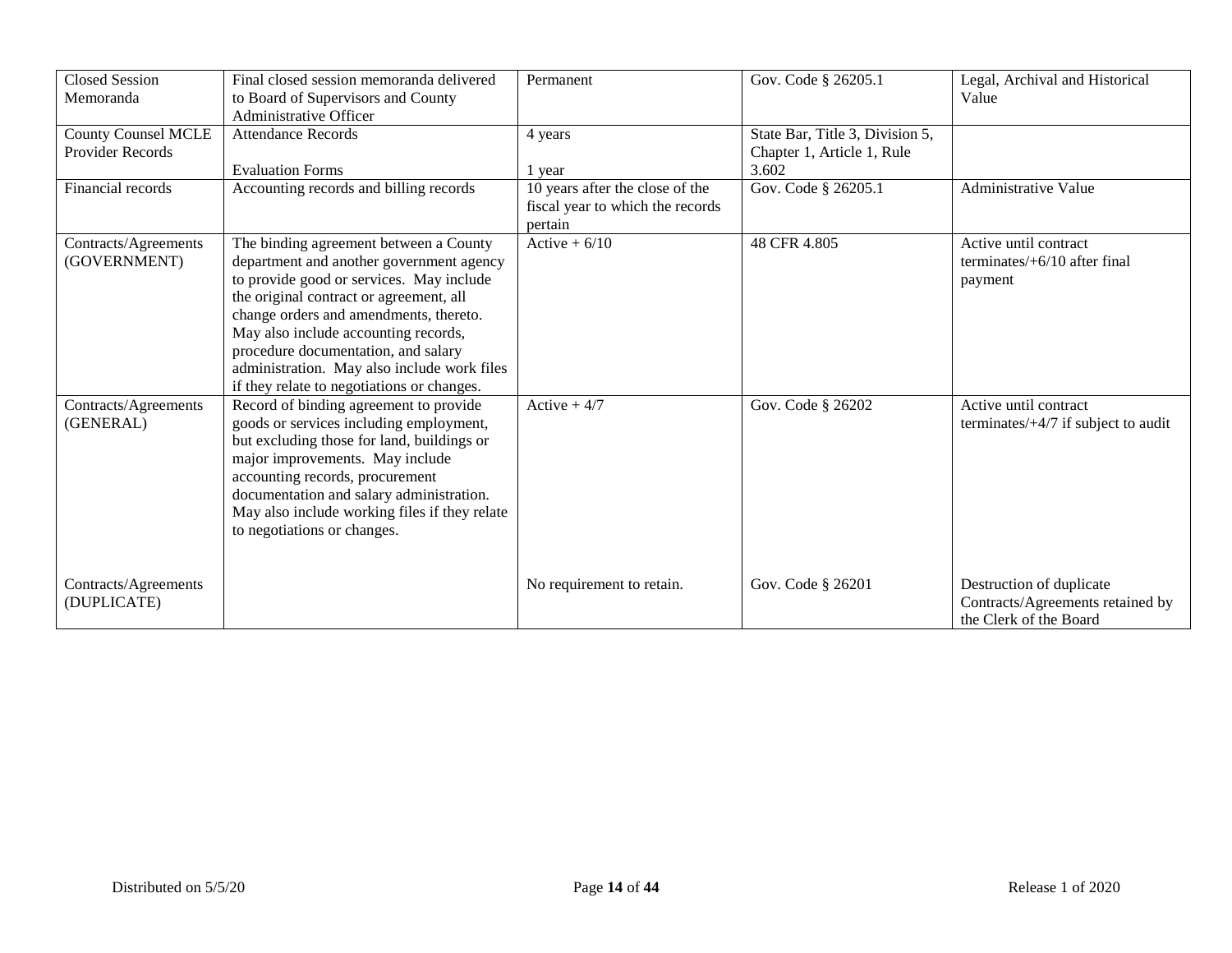| <b>Closed Session</b><br>Memoranda                    | Final closed session memoranda delivered<br>to Board of Supervisors and County<br>Administrative Officer                                                                                                                                                                                                                                                                                        | Permanent                                                                      | Gov. Code § 26205.1                                           | Legal, Archival and Historical<br>Value                                                |
|-------------------------------------------------------|-------------------------------------------------------------------------------------------------------------------------------------------------------------------------------------------------------------------------------------------------------------------------------------------------------------------------------------------------------------------------------------------------|--------------------------------------------------------------------------------|---------------------------------------------------------------|----------------------------------------------------------------------------------------|
| <b>County Counsel MCLE</b><br><b>Provider Records</b> | <b>Attendance Records</b>                                                                                                                                                                                                                                                                                                                                                                       | 4 years                                                                        | State Bar, Title 3, Division 5,<br>Chapter 1, Article 1, Rule |                                                                                        |
|                                                       | <b>Evaluation Forms</b>                                                                                                                                                                                                                                                                                                                                                                         | 1 year                                                                         | 3.602                                                         |                                                                                        |
| Financial records                                     | Accounting records and billing records                                                                                                                                                                                                                                                                                                                                                          | 10 years after the close of the<br>fiscal year to which the records<br>pertain | Gov. Code § 26205.1                                           | Administrative Value                                                                   |
| Contracts/Agreements<br>(GOVERNMENT)                  | The binding agreement between a County<br>department and another government agency<br>to provide good or services. May include<br>the original contract or agreement, all<br>change orders and amendments, thereto.<br>May also include accounting records,<br>procedure documentation, and salary<br>administration. May also include work files<br>if they relate to negotiations or changes. | Active $+ 6/10$                                                                | 48 CFR 4.805                                                  | Active until contract<br>terminates/ $+6/10$ after final<br>payment                    |
| Contracts/Agreements<br>(GENERAL)                     | Record of binding agreement to provide<br>goods or services including employment,<br>but excluding those for land, buildings or<br>major improvements. May include<br>accounting records, procurement<br>documentation and salary administration.<br>May also include working files if they relate<br>to negotiations or changes.                                                               | Active $+4/7$                                                                  | Gov. Code § 26202                                             | Active until contract<br>terminates/ $+4/7$ if subject to audit                        |
| Contracts/Agreements<br>(DUPLICATE)                   |                                                                                                                                                                                                                                                                                                                                                                                                 | No requirement to retain.                                                      | Gov. Code § 26201                                             | Destruction of duplicate<br>Contracts/Agreements retained by<br>the Clerk of the Board |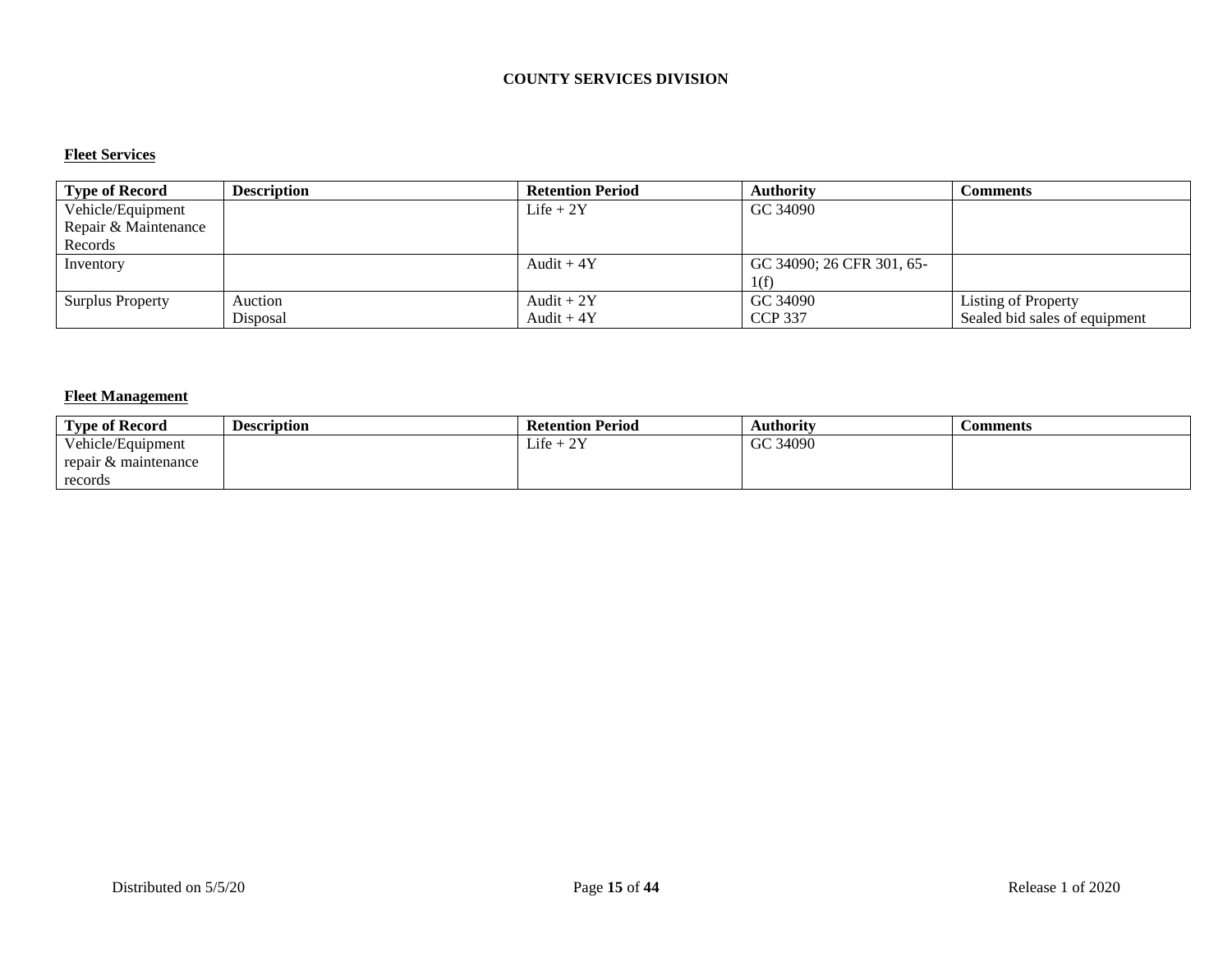### **COUNTY SERVICES DIVISION**

#### **Fleet Services**

| <b>Type of Record</b>   | <b>Description</b> | <b>Retention Period</b> | <b>Authority</b>          | Comments                      |
|-------------------------|--------------------|-------------------------|---------------------------|-------------------------------|
| Vehicle/Equipment       |                    | Life $+2Y$              | GC 34090                  |                               |
| Repair & Maintenance    |                    |                         |                           |                               |
| Records                 |                    |                         |                           |                               |
| Inventory               |                    | Audit $+4Y$             | GC 34090; 26 CFR 301, 65- |                               |
|                         |                    |                         | 1(f)                      |                               |
| <b>Surplus Property</b> | Auction            | Audit + $2Y$            | GC 34090                  | Listing of Property           |
|                         | Disposal           | Audit $+4Y$             | <b>CCP 337</b>            | Sealed bid sales of equipment |

## **Fleet Management**

| <b>Type of Record</b> | Description | <b>Retention Period</b>                        | Authority | <b>Comments</b> |
|-----------------------|-------------|------------------------------------------------|-----------|-----------------|
| Vehicle/Equipment     |             | $Life +$<br>$\Delta V$<br>$\sim$ $\sim$ $\sim$ | GC 34090  |                 |
| repair & maintenance  |             |                                                |           |                 |
| records               |             |                                                |           |                 |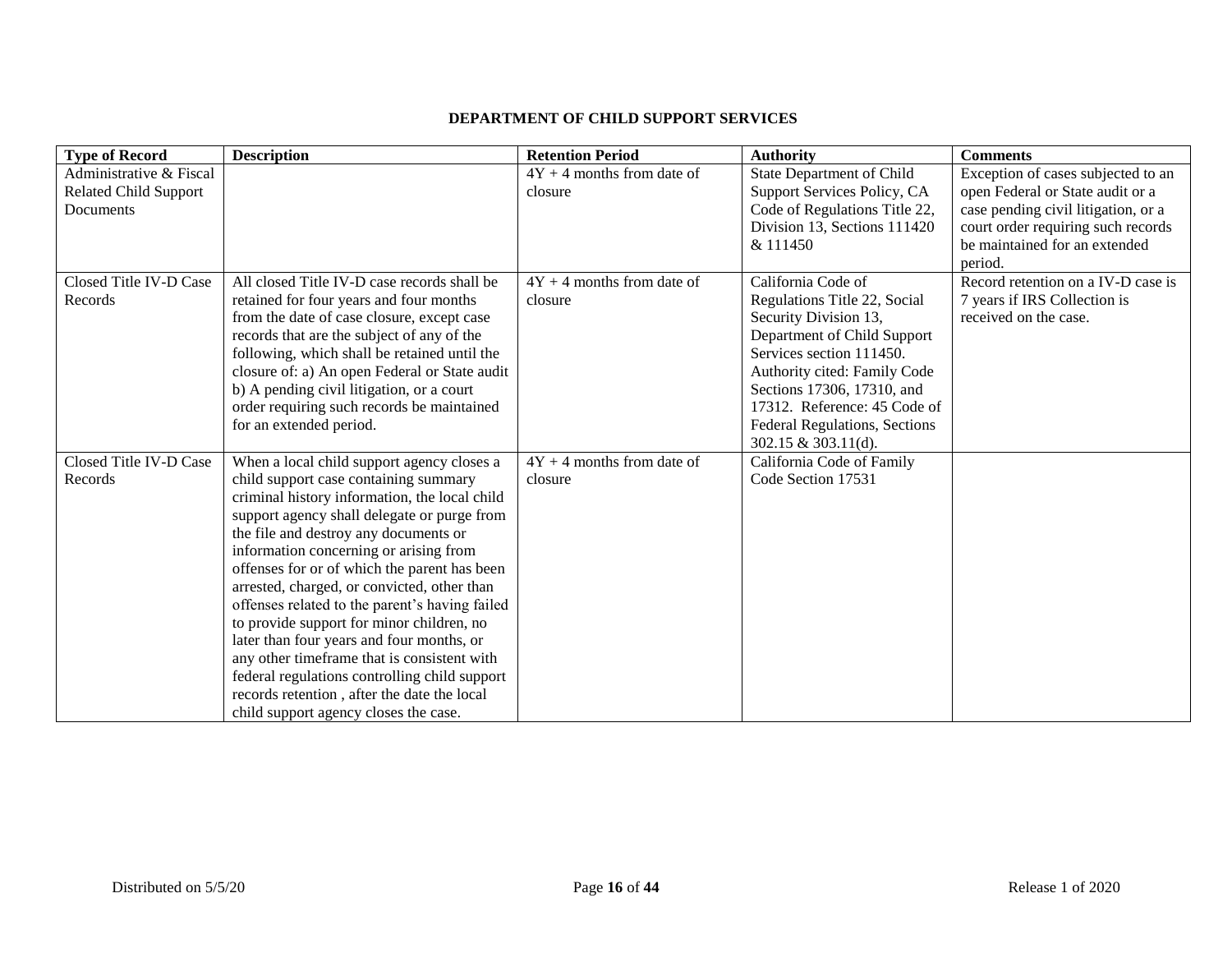## **DEPARTMENT OF CHILD SUPPORT SERVICES**

| <b>Type of Record</b>        | <b>Description</b>                             | <b>Retention Period</b>      | <b>Authority</b>                 | <b>Comments</b>                     |
|------------------------------|------------------------------------------------|------------------------------|----------------------------------|-------------------------------------|
| Administrative & Fiscal      |                                                | $4Y + 4$ months from date of | <b>State Department of Child</b> | Exception of cases subjected to an  |
| <b>Related Child Support</b> |                                                | closure                      | Support Services Policy, CA      | open Federal or State audit or a    |
| Documents                    |                                                |                              | Code of Regulations Title 22,    | case pending civil litigation, or a |
|                              |                                                |                              | Division 13, Sections 111420     | court order requiring such records  |
|                              |                                                |                              | & 111450                         | be maintained for an extended       |
|                              |                                                |                              |                                  | period.                             |
| Closed Title IV-D Case       | All closed Title IV-D case records shall be    | $4Y + 4$ months from date of | California Code of               | Record retention on a IV-D case is  |
| Records                      | retained for four years and four months        | closure                      | Regulations Title 22, Social     | 7 years if IRS Collection is        |
|                              | from the date of case closure, except case     |                              | Security Division 13,            | received on the case.               |
|                              | records that are the subject of any of the     |                              | Department of Child Support      |                                     |
|                              | following, which shall be retained until the   |                              | Services section 111450.         |                                     |
|                              | closure of: a) An open Federal or State audit  |                              | Authority cited: Family Code     |                                     |
|                              | b) A pending civil litigation, or a court      |                              | Sections 17306, 17310, and       |                                     |
|                              | order requiring such records be maintained     |                              | 17312. Reference: 45 Code of     |                                     |
|                              | for an extended period.                        |                              | Federal Regulations, Sections    |                                     |
|                              |                                                |                              | 302.15 & 303.11(d).              |                                     |
| Closed Title IV-D Case       | When a local child support agency closes a     | $4Y + 4$ months from date of | California Code of Family        |                                     |
| Records                      | child support case containing summary          | closure                      | Code Section 17531               |                                     |
|                              | criminal history information, the local child  |                              |                                  |                                     |
|                              | support agency shall delegate or purge from    |                              |                                  |                                     |
|                              | the file and destroy any documents or          |                              |                                  |                                     |
|                              | information concerning or arising from         |                              |                                  |                                     |
|                              | offenses for or of which the parent has been   |                              |                                  |                                     |
|                              | arrested, charged, or convicted, other than    |                              |                                  |                                     |
|                              | offenses related to the parent's having failed |                              |                                  |                                     |
|                              | to provide support for minor children, no      |                              |                                  |                                     |
|                              | later than four years and four months, or      |                              |                                  |                                     |
|                              | any other timeframe that is consistent with    |                              |                                  |                                     |
|                              | federal regulations controlling child support  |                              |                                  |                                     |
|                              | records retention, after the date the local    |                              |                                  |                                     |
|                              | child support agency closes the case.          |                              |                                  |                                     |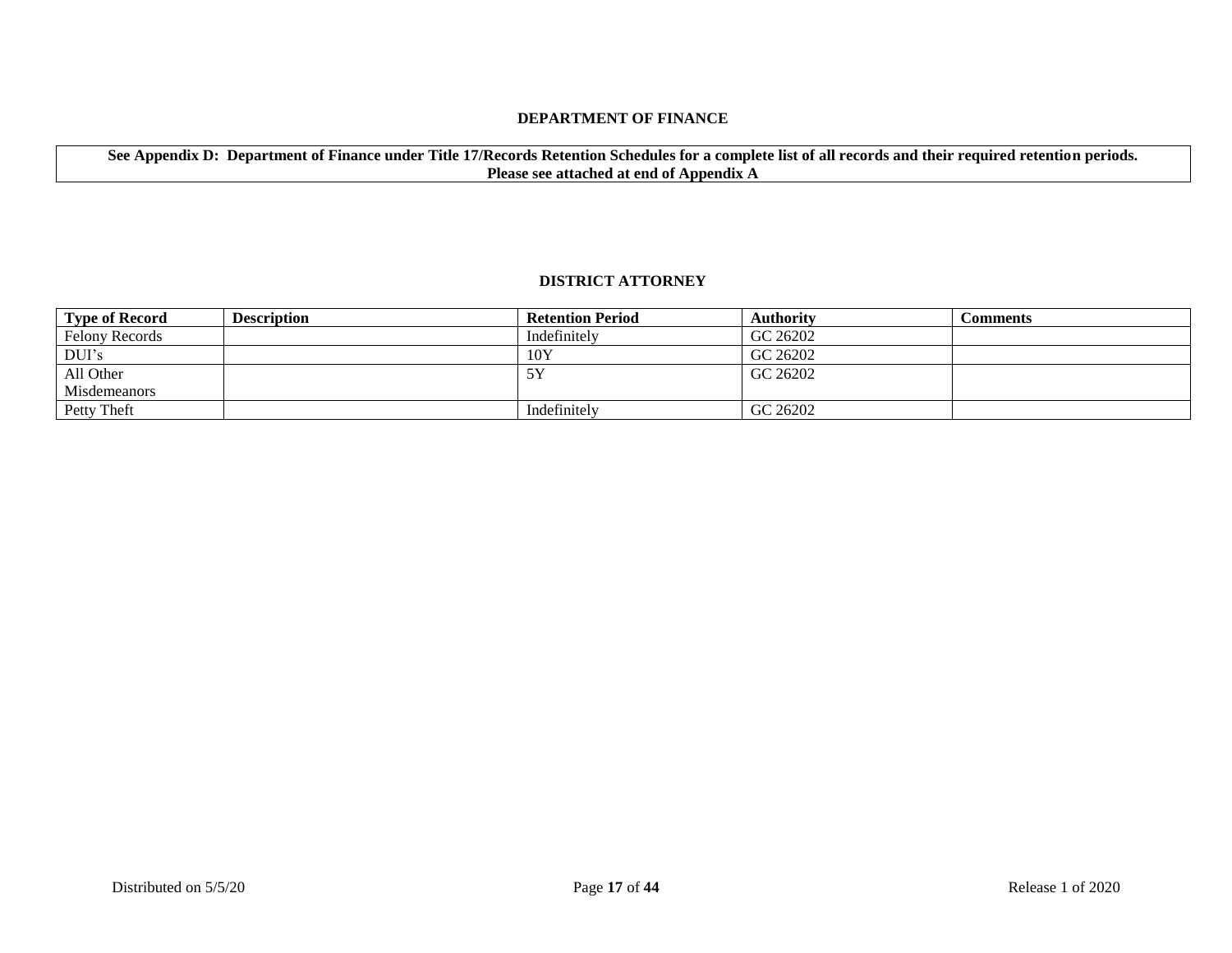#### **DEPARTMENT OF FINANCE**

**See Appendix D: Department of Finance under Title 17/Records Retention Schedules for a complete list of all records and their required retention periods. Please see attached at end of Appendix A**

#### **DISTRICT ATTORNEY**

| Type of Record        | <b>Description</b> | <b>Retention Period</b> | <b>Authority</b> | Comments |
|-----------------------|--------------------|-------------------------|------------------|----------|
| <b>Felony Records</b> |                    | Indefinitely            | GC 26202         |          |
| DUI's                 |                    | 10Y                     | GC 26202         |          |
| All Other             |                    |                         | GC 26202         |          |
| <b>Misdemeanors</b>   |                    |                         |                  |          |
| Petty Theft           |                    | Indefinitely            | GC 26202         |          |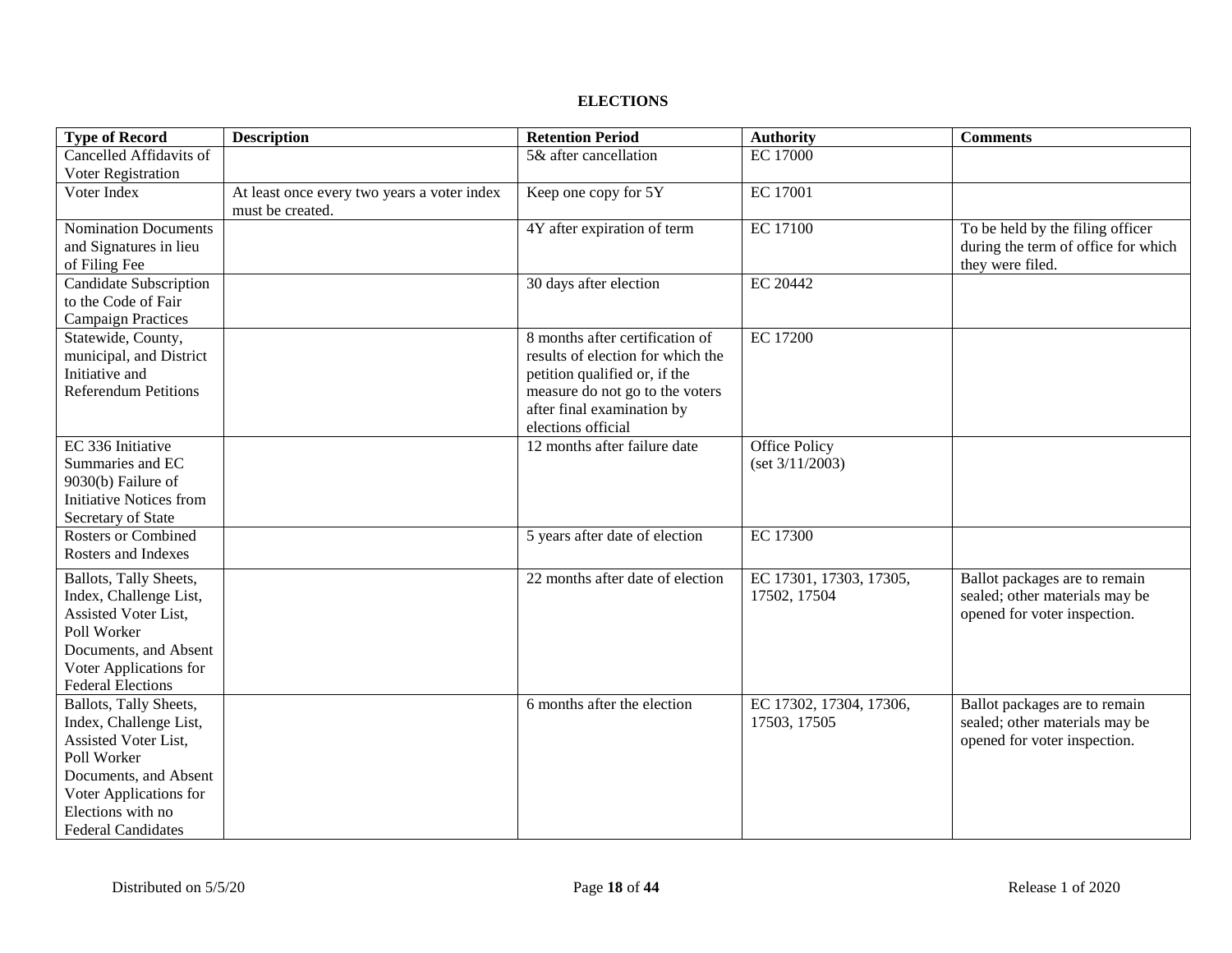#### **ELECTIONS**

| <b>Type of Record</b>                            | <b>Description</b>                          | <b>Retention Period</b>           | <b>Authority</b>        | <b>Comments</b>                                                 |
|--------------------------------------------------|---------------------------------------------|-----------------------------------|-------------------------|-----------------------------------------------------------------|
| Cancelled Affidavits of                          |                                             | 5& after cancellation             | <b>EC 17000</b>         |                                                                 |
| Voter Registration                               |                                             |                                   |                         |                                                                 |
| Voter Index                                      | At least once every two years a voter index | Keep one copy for 5Y              | <b>EC 17001</b>         |                                                                 |
|                                                  | must be created.                            |                                   |                         |                                                                 |
| <b>Nomination Documents</b>                      |                                             | 4Y after expiration of term       | <b>EC 17100</b>         | To be held by the filing officer                                |
| and Signatures in lieu                           |                                             |                                   |                         | during the term of office for which                             |
| of Filing Fee                                    |                                             |                                   |                         | they were filed.                                                |
| Candidate Subscription                           |                                             | 30 days after election            | EC 20442                |                                                                 |
| to the Code of Fair                              |                                             |                                   |                         |                                                                 |
| <b>Campaign Practices</b>                        |                                             |                                   |                         |                                                                 |
| Statewide, County,                               |                                             | 8 months after certification of   | <b>EC 17200</b>         |                                                                 |
| municipal, and District                          |                                             | results of election for which the |                         |                                                                 |
| Initiative and                                   |                                             | petition qualified or, if the     |                         |                                                                 |
| <b>Referendum Petitions</b>                      |                                             | measure do not go to the voters   |                         |                                                                 |
|                                                  |                                             | after final examination by        |                         |                                                                 |
|                                                  |                                             | elections official                |                         |                                                                 |
| EC 336 Initiative                                |                                             | 12 months after failure date      | Office Policy           |                                                                 |
| Summaries and EC                                 |                                             |                                   | (set 3/11/2003)         |                                                                 |
| 9030(b) Failure of<br>Initiative Notices from    |                                             |                                   |                         |                                                                 |
| Secretary of State                               |                                             |                                   |                         |                                                                 |
| <b>Rosters or Combined</b>                       |                                             | 5 years after date of election    | <b>EC 17300</b>         |                                                                 |
| Rosters and Indexes                              |                                             |                                   |                         |                                                                 |
|                                                  |                                             |                                   |                         |                                                                 |
| Ballots, Tally Sheets,                           |                                             | 22 months after date of election  | EC 17301, 17303, 17305, | Ballot packages are to remain                                   |
| Index, Challenge List,                           |                                             |                                   | 17502, 17504            | sealed; other materials may be                                  |
| Assisted Voter List,                             |                                             |                                   |                         | opened for voter inspection.                                    |
| Poll Worker                                      |                                             |                                   |                         |                                                                 |
| Documents, and Absent                            |                                             |                                   |                         |                                                                 |
| Voter Applications for                           |                                             |                                   |                         |                                                                 |
| <b>Federal Elections</b>                         |                                             | 6 months after the election       | EC 17302, 17304, 17306, |                                                                 |
| Ballots, Tally Sheets,<br>Index, Challenge List, |                                             |                                   | 17503, 17505            | Ballot packages are to remain<br>sealed; other materials may be |
| Assisted Voter List,                             |                                             |                                   |                         | opened for voter inspection.                                    |
| Poll Worker                                      |                                             |                                   |                         |                                                                 |
| Documents, and Absent                            |                                             |                                   |                         |                                                                 |
| Voter Applications for                           |                                             |                                   |                         |                                                                 |
| Elections with no                                |                                             |                                   |                         |                                                                 |
| <b>Federal Candidates</b>                        |                                             |                                   |                         |                                                                 |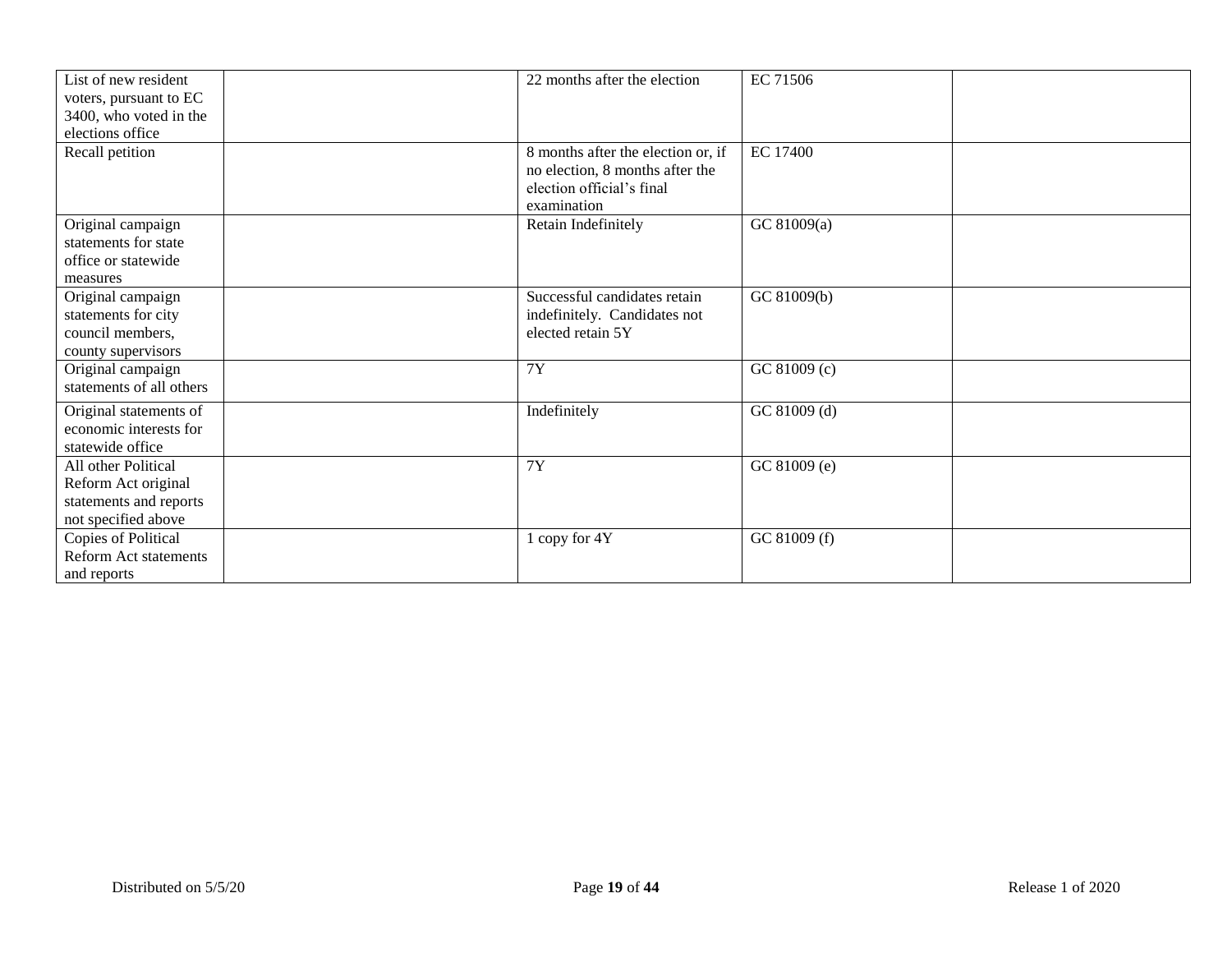| List of new resident<br>voters, pursuant to EC<br>3400, who voted in the<br>elections office | 22 months after the election                                                                                      | EC 71506        |
|----------------------------------------------------------------------------------------------|-------------------------------------------------------------------------------------------------------------------|-----------------|
| Recall petition                                                                              | 8 months after the election or, if<br>no election, 8 months after the<br>election official's final<br>examination | <b>EC 17400</b> |
| Original campaign<br>statements for state<br>office or statewide<br>measures                 | Retain Indefinitely                                                                                               | GC 81009(a)     |
| Original campaign<br>statements for city<br>council members,<br>county supervisors           | Successful candidates retain<br>indefinitely. Candidates not<br>elected retain 5Y                                 | GC 81009(b)     |
| Original campaign<br>statements of all others                                                | <b>7Y</b>                                                                                                         | GC 81009 (c)    |
| Original statements of<br>economic interests for<br>statewide office                         | Indefinitely                                                                                                      | GC 81009 (d)    |
| All other Political<br>Reform Act original<br>statements and reports<br>not specified above  | <b>7Y</b>                                                                                                         | GC 81009 (e)    |
| Copies of Political<br><b>Reform Act statements</b><br>and reports                           | 1 copy for 4Y                                                                                                     | GC 81009 (f)    |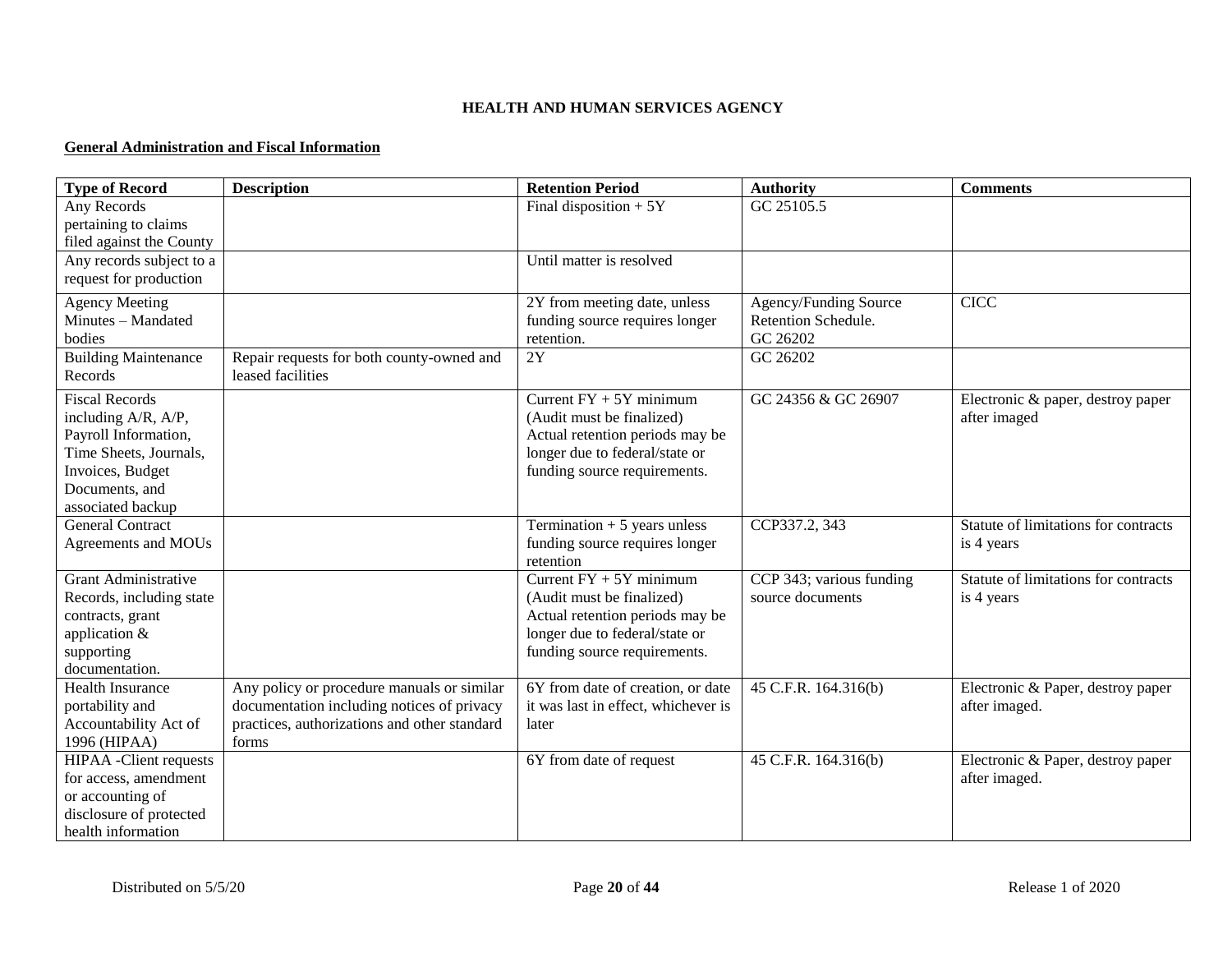### **HEALTH AND HUMAN SERVICES AGENCY**

#### **General Administration and Fiscal Information**

| <b>Type of Record</b>          | <b>Description</b>                           | <b>Retention Period</b>                                        | <b>Authority</b>                  | <b>Comments</b>                      |
|--------------------------------|----------------------------------------------|----------------------------------------------------------------|-----------------------------------|--------------------------------------|
| Any Records                    |                                              | Final disposition $+5Y$                                        | GC 25105.5                        |                                      |
| pertaining to claims           |                                              |                                                                |                                   |                                      |
| filed against the County       |                                              |                                                                |                                   |                                      |
| Any records subject to a       |                                              | Until matter is resolved                                       |                                   |                                      |
| request for production         |                                              |                                                                |                                   |                                      |
| <b>Agency Meeting</b>          |                                              | 2Y from meeting date, unless                                   | Agency/Funding Source             | <b>CICC</b>                          |
| Minutes - Mandated             |                                              | funding source requires longer                                 | Retention Schedule.               |                                      |
| bodies                         |                                              | retention.                                                     | GC 26202                          |                                      |
| <b>Building Maintenance</b>    | Repair requests for both county-owned and    | 2Y                                                             | GC 26202                          |                                      |
| Records                        | leased facilities                            |                                                                |                                   |                                      |
| <b>Fiscal Records</b>          |                                              | Current $FY + 5Y$ minimum                                      | GC 24356 & GC 26907               | Electronic & paper, destroy paper    |
| including A/R, A/P,            |                                              | (Audit must be finalized)                                      |                                   | after imaged                         |
| Payroll Information,           |                                              | Actual retention periods may be                                |                                   |                                      |
| Time Sheets, Journals,         |                                              | longer due to federal/state or                                 |                                   |                                      |
| Invoices, Budget               |                                              | funding source requirements.                                   |                                   |                                      |
| Documents, and                 |                                              |                                                                |                                   |                                      |
| associated backup              |                                              |                                                                |                                   |                                      |
| <b>General Contract</b>        |                                              | Termination $+5$ years unless                                  | CCP337.2, 343                     | Statute of limitations for contracts |
| Agreements and MOUs            |                                              | funding source requires longer                                 |                                   | is 4 years                           |
|                                |                                              | retention                                                      |                                   |                                      |
| Grant Administrative           |                                              | Current $FY + 5Y$ minimum                                      | CCP 343; various funding          | Statute of limitations for contracts |
| Records, including state       |                                              | (Audit must be finalized)                                      | source documents                  | is 4 years                           |
| contracts, grant               |                                              | Actual retention periods may be                                |                                   |                                      |
| application &<br>supporting    |                                              | longer due to federal/state or<br>funding source requirements. |                                   |                                      |
| documentation.                 |                                              |                                                                |                                   |                                      |
| Health Insurance               | Any policy or procedure manuals or similar   | 6Y from date of creation, or date                              | $\overline{45}$ C.F.R. 164.316(b) | Electronic & Paper, destroy paper    |
| portability and                | documentation including notices of privacy   | it was last in effect, whichever is                            |                                   | after imaged.                        |
| Accountability Act of          | practices, authorizations and other standard | later                                                          |                                   |                                      |
| 1996 (HIPAA)                   | forms                                        |                                                                |                                   |                                      |
| <b>HIPAA</b> - Client requests |                                              | 6Y from date of request                                        | 45 C.F.R. 164.316(b)              | Electronic & Paper, destroy paper    |
| for access, amendment          |                                              |                                                                |                                   | after imaged.                        |
| or accounting of               |                                              |                                                                |                                   |                                      |
| disclosure of protected        |                                              |                                                                |                                   |                                      |
| health information             |                                              |                                                                |                                   |                                      |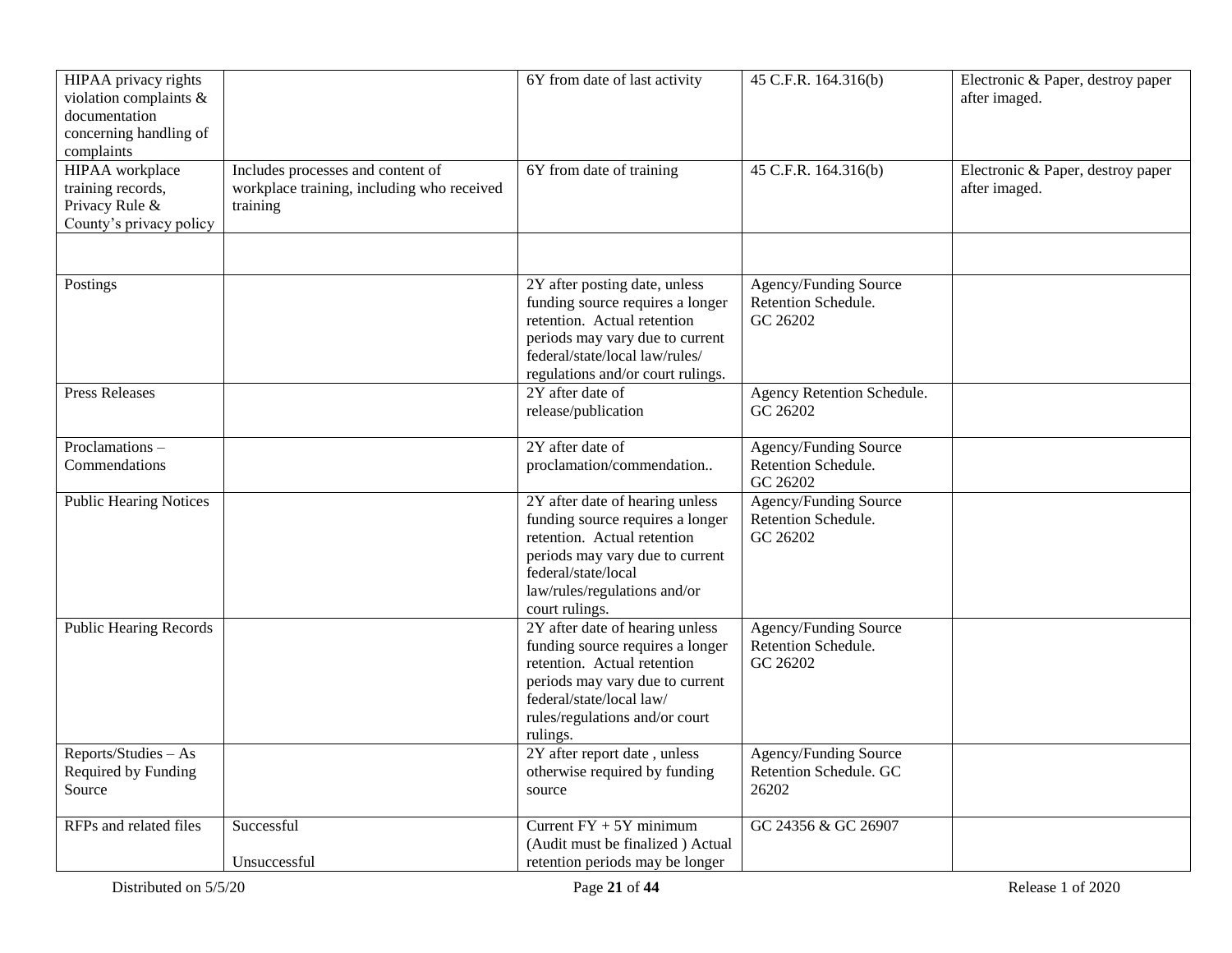| HIPAA privacy rights<br>violation complaints &<br>documentation<br>concerning handling of<br>complaints |                                                                                             | 6Y from date of last activity                                                                                                                                                                                   | 45 C.F.R. 164.316(b)                                     | Electronic & Paper, destroy paper<br>after imaged. |
|---------------------------------------------------------------------------------------------------------|---------------------------------------------------------------------------------------------|-----------------------------------------------------------------------------------------------------------------------------------------------------------------------------------------------------------------|----------------------------------------------------------|----------------------------------------------------|
| HIPAA workplace<br>training records,<br>Privacy Rule &<br>County's privacy policy                       | Includes processes and content of<br>workplace training, including who received<br>training | 6Y from date of training                                                                                                                                                                                        | 45 C.F.R. 164.316(b)                                     | Electronic & Paper, destroy paper<br>after imaged. |
|                                                                                                         |                                                                                             | 2Y after posting date, unless                                                                                                                                                                                   | Agency/Funding Source                                    |                                                    |
| Postings                                                                                                |                                                                                             | funding source requires a longer<br>retention. Actual retention<br>periods may vary due to current<br>federal/state/local law/rules/<br>regulations and/or court rulings.                                       | Retention Schedule.<br>GC 26202                          |                                                    |
| <b>Press Releases</b>                                                                                   |                                                                                             | 2Y after date of<br>release/publication                                                                                                                                                                         | Agency Retention Schedule.<br>GC 26202                   |                                                    |
| Proclamations-<br>Commendations                                                                         |                                                                                             | 2Y after date of<br>proclamation/commendation                                                                                                                                                                   | Agency/Funding Source<br>Retention Schedule.<br>GC 26202 |                                                    |
| <b>Public Hearing Notices</b>                                                                           |                                                                                             | 2Y after date of hearing unless<br>funding source requires a longer<br>retention. Actual retention<br>periods may vary due to current<br>federal/state/local<br>law/rules/regulations and/or<br>court rulings.  | Agency/Funding Source<br>Retention Schedule.<br>GC 26202 |                                                    |
| <b>Public Hearing Records</b>                                                                           |                                                                                             | 2Y after date of hearing unless<br>funding source requires a longer<br>retention. Actual retention<br>periods may vary due to current<br>federal/state/local law/<br>rules/regulations and/or court<br>rulings. | Agency/Funding Source<br>Retention Schedule.<br>GC 26202 |                                                    |
| Reports/Studies - As<br>Required by Funding<br>Source                                                   |                                                                                             | 2Y after report date, unless<br>otherwise required by funding<br>source                                                                                                                                         | Agency/Funding Source<br>Retention Schedule. GC<br>26202 |                                                    |
| RFPs and related files                                                                                  | Successful<br>Unsuccessful                                                                  | Current $FY + 5Y$ minimum<br>(Audit must be finalized) Actual<br>retention periods may be longer                                                                                                                | GC 24356 & GC 26907                                      |                                                    |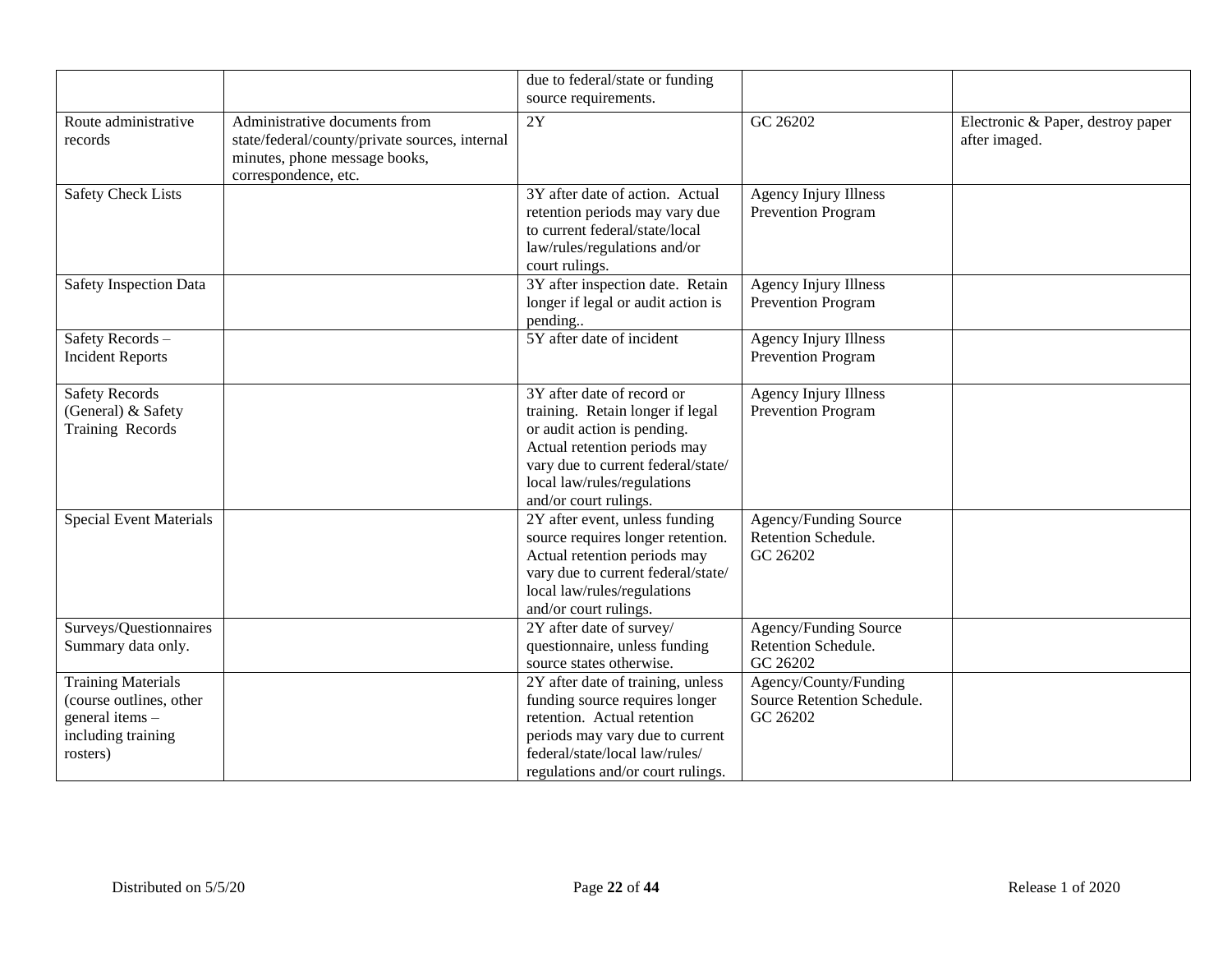|                                                                                                           |                                                                                                                                          | due to federal/state or funding<br>source requirements.                                                                                                                                                                     |                                                                 |                                                    |
|-----------------------------------------------------------------------------------------------------------|------------------------------------------------------------------------------------------------------------------------------------------|-----------------------------------------------------------------------------------------------------------------------------------------------------------------------------------------------------------------------------|-----------------------------------------------------------------|----------------------------------------------------|
| Route administrative<br>records                                                                           | Administrative documents from<br>state/federal/county/private sources, internal<br>minutes, phone message books,<br>correspondence, etc. | $\overline{2Y}$                                                                                                                                                                                                             | GC 26202                                                        | Electronic & Paper, destroy paper<br>after imaged. |
| <b>Safety Check Lists</b>                                                                                 |                                                                                                                                          | 3Y after date of action. Actual<br>retention periods may vary due<br>to current federal/state/local<br>law/rules/regulations and/or<br>court rulings.                                                                       | <b>Agency Injury Illness</b><br>Prevention Program              |                                                    |
| Safety Inspection Data                                                                                    |                                                                                                                                          | 3Y after inspection date. Retain<br>longer if legal or audit action is<br>pending                                                                                                                                           | <b>Agency Injury Illness</b><br>Prevention Program              |                                                    |
| Safety Records -<br><b>Incident Reports</b>                                                               |                                                                                                                                          | 5Y after date of incident                                                                                                                                                                                                   | <b>Agency Injury Illness</b><br>Prevention Program              |                                                    |
| <b>Safety Records</b><br>(General) & Safety<br>Training Records                                           |                                                                                                                                          | 3Y after date of record or<br>training. Retain longer if legal<br>or audit action is pending.<br>Actual retention periods may<br>vary due to current federal/state/<br>local law/rules/regulations<br>and/or court rulings. | <b>Agency Injury Illness</b><br>Prevention Program              |                                                    |
| <b>Special Event Materials</b>                                                                            |                                                                                                                                          | 2Y after event, unless funding<br>source requires longer retention.<br>Actual retention periods may<br>vary due to current federal/state/<br>local law/rules/regulations<br>and/or court rulings.                           | Agency/Funding Source<br>Retention Schedule.<br>GC 26202        |                                                    |
| Surveys/Questionnaires<br>Summary data only.                                                              |                                                                                                                                          | 2Y after date of survey/<br>questionnaire, unless funding<br>source states otherwise.                                                                                                                                       | Agency/Funding Source<br>Retention Schedule.<br>GC 26202        |                                                    |
| <b>Training Materials</b><br>(course outlines, other<br>general items -<br>including training<br>rosters) |                                                                                                                                          | 2Y after date of training, unless<br>funding source requires longer<br>retention. Actual retention<br>periods may vary due to current<br>federal/state/local law/rules/<br>regulations and/or court rulings.                | Agency/County/Funding<br>Source Retention Schedule.<br>GC 26202 |                                                    |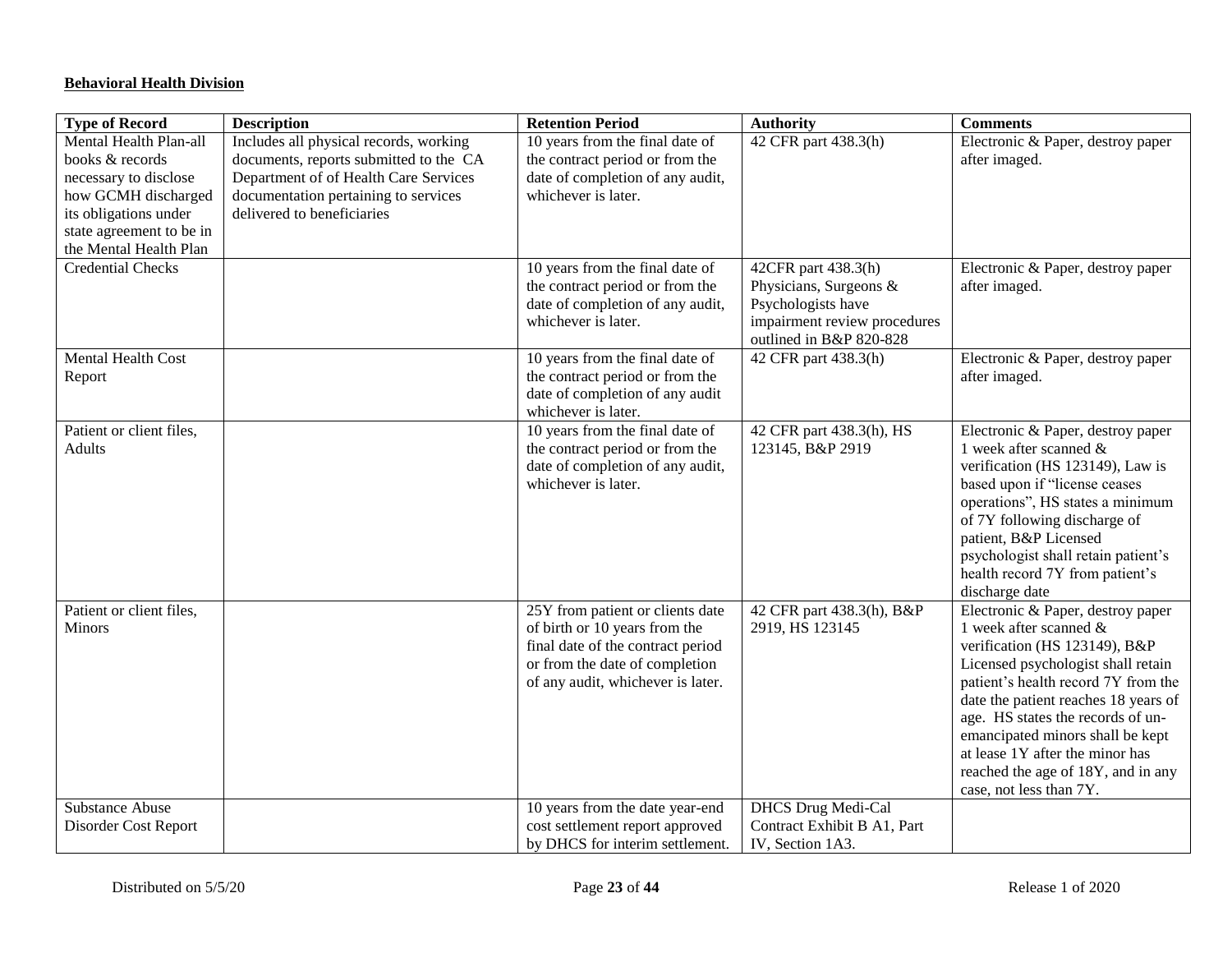## **Behavioral Health Division**

| <b>Type of Record</b>                                                                                                                                                    | <b>Description</b>                                                                                                                                                                              | <b>Retention Period</b>                                                                                                                                                       | <b>Authority</b>                                                                                                               | <b>Comments</b>                                                                                                                                                                                                                                                                                                                                                                                |
|--------------------------------------------------------------------------------------------------------------------------------------------------------------------------|-------------------------------------------------------------------------------------------------------------------------------------------------------------------------------------------------|-------------------------------------------------------------------------------------------------------------------------------------------------------------------------------|--------------------------------------------------------------------------------------------------------------------------------|------------------------------------------------------------------------------------------------------------------------------------------------------------------------------------------------------------------------------------------------------------------------------------------------------------------------------------------------------------------------------------------------|
| Mental Health Plan-all<br>books & records<br>necessary to disclose<br>how GCMH discharged<br>its obligations under<br>state agreement to be in<br>the Mental Health Plan | Includes all physical records, working<br>documents, reports submitted to the CA<br>Department of of Health Care Services<br>documentation pertaining to services<br>delivered to beneficiaries | 10 years from the final date of<br>the contract period or from the<br>date of completion of any audit,<br>whichever is later.                                                 | 42 CFR part 438.3(h)                                                                                                           | Electronic & Paper, destroy paper<br>after imaged.                                                                                                                                                                                                                                                                                                                                             |
| <b>Credential Checks</b>                                                                                                                                                 |                                                                                                                                                                                                 | 10 years from the final date of<br>the contract period or from the<br>date of completion of any audit,<br>whichever is later.                                                 | 42CFR part 438.3(h)<br>Physicians, Surgeons &<br>Psychologists have<br>impairment review procedures<br>outlined in B&P 820-828 | Electronic & Paper, destroy paper<br>after imaged.                                                                                                                                                                                                                                                                                                                                             |
| Mental Health Cost<br>Report                                                                                                                                             |                                                                                                                                                                                                 | 10 years from the final date of<br>the contract period or from the<br>date of completion of any audit<br>whichever is later.                                                  | 42 CFR part 438.3(h)                                                                                                           | Electronic & Paper, destroy paper<br>after imaged.                                                                                                                                                                                                                                                                                                                                             |
| Patient or client files,<br><b>Adults</b>                                                                                                                                |                                                                                                                                                                                                 | 10 years from the final date of<br>the contract period or from the<br>date of completion of any audit,<br>whichever is later.                                                 | 42 CFR part 438.3(h), HS<br>123145, B&P 2919                                                                                   | Electronic & Paper, destroy paper<br>1 week after scanned $\&$<br>verification (HS 123149), Law is<br>based upon if "license ceases<br>operations", HS states a minimum<br>of 7Y following discharge of<br>patient, B&P Licensed<br>psychologist shall retain patient's<br>health record 7Y from patient's<br>discharge date                                                                   |
| Patient or client files,<br>Minors                                                                                                                                       |                                                                                                                                                                                                 | 25Y from patient or clients date<br>of birth or 10 years from the<br>final date of the contract period<br>or from the date of completion<br>of any audit, whichever is later. | 42 CFR part 438.3(h), B&P<br>2919, HS 123145                                                                                   | Electronic & Paper, destroy paper<br>1 week after scanned &<br>verification (HS 123149), B&P<br>Licensed psychologist shall retain<br>patient's health record 7Y from the<br>date the patient reaches 18 years of<br>age. HS states the records of un-<br>emancipated minors shall be kept<br>at lease 1Y after the minor has<br>reached the age of 18Y, and in any<br>case, not less than 7Y. |
| Substance Abuse<br>Disorder Cost Report                                                                                                                                  |                                                                                                                                                                                                 | 10 years from the date year-end<br>cost settlement report approved<br>by DHCS for interim settlement.                                                                         | <b>DHCS</b> Drug Medi-Cal<br>Contract Exhibit B A1, Part<br>IV, Section 1A3.                                                   |                                                                                                                                                                                                                                                                                                                                                                                                |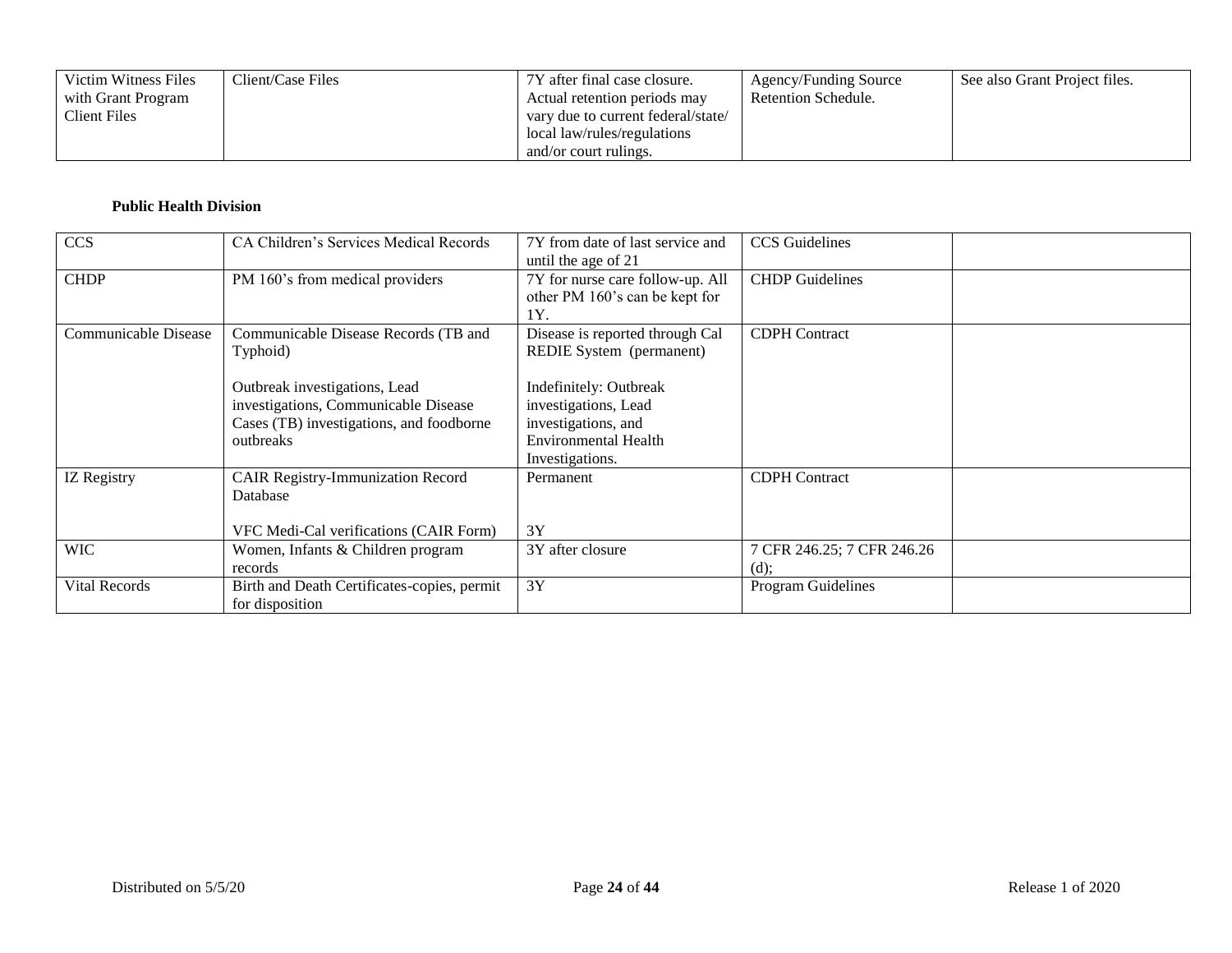| Victim Witness Files | Client/Case Files | 7Y after final case closure.       | Agency/Funding Source | See also Grant Project files. |
|----------------------|-------------------|------------------------------------|-----------------------|-------------------------------|
| with Grant Program   |                   | Actual retention periods may       | Retention Schedule.   |                               |
| Client Files         |                   | vary due to current federal/state/ |                       |                               |
|                      |                   | local law/rules/regulations        |                       |                               |
|                      |                   | and/or court rulings.              |                       |                               |

### **Public Health Division**

| <b>CCS</b>           | CA Children's Services Medical Records                                                                                         | 7Y from date of last service and<br>until the age of 21                                                          | <b>CCS</b> Guidelines              |  |
|----------------------|--------------------------------------------------------------------------------------------------------------------------------|------------------------------------------------------------------------------------------------------------------|------------------------------------|--|
| <b>CHDP</b>          | PM 160's from medical providers                                                                                                | 7Y for nurse care follow-up. All<br>other PM 160's can be kept for<br>1Y.                                        | <b>CHDP</b> Guidelines             |  |
| Communicable Disease | Communicable Disease Records (TB and<br>Typhoid)                                                                               | Disease is reported through Cal<br>REDIE System (permanent)                                                      | <b>CDPH</b> Contract               |  |
|                      | Outbreak investigations, Lead<br>investigations, Communicable Disease<br>Cases (TB) investigations, and foodborne<br>outbreaks | Indefinitely: Outbreak<br>investigations, Lead<br>investigations, and<br>Environmental Health<br>Investigations. |                                    |  |
| IZ Registry          | <b>CAIR Registry-Immunization Record</b><br>Database<br>VFC Medi-Cal verifications (CAIR Form)                                 | Permanent<br>3Y                                                                                                  | <b>CDPH</b> Contract               |  |
| <b>WIC</b>           | Women, Infants & Children program<br>records                                                                                   | 3Y after closure                                                                                                 | 7 CFR 246.25; 7 CFR 246.26<br>(d); |  |
| Vital Records        | Birth and Death Certificates-copies, permit<br>for disposition                                                                 | 3Y                                                                                                               | Program Guidelines                 |  |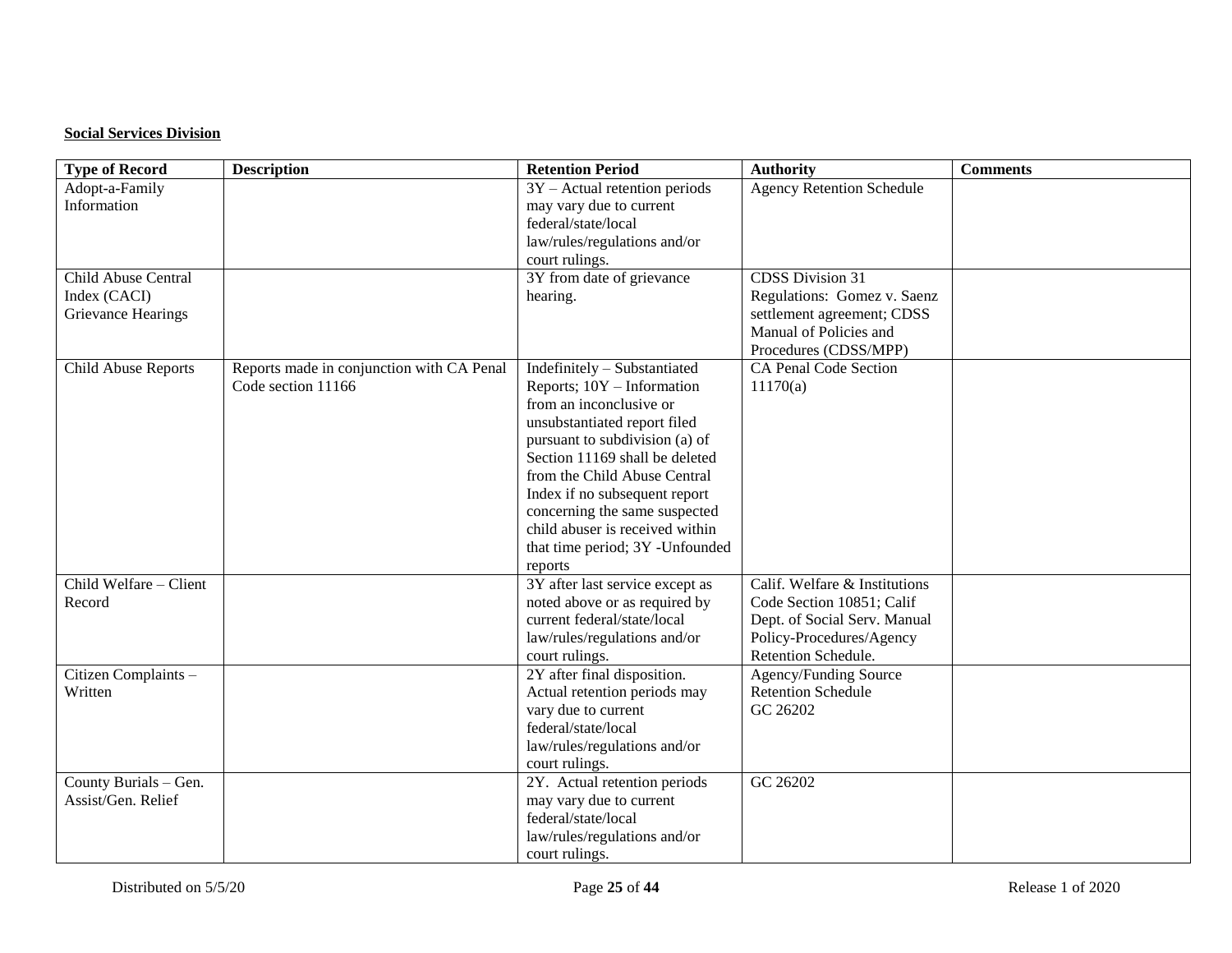## **Social Services Division**

| <b>Type of Record</b>  | <b>Description</b>                        | <b>Retention Period</b>         | <b>Authority</b>                 | <b>Comments</b> |
|------------------------|-------------------------------------------|---------------------------------|----------------------------------|-----------------|
| Adopt-a-Family         |                                           | $3Y -$ Actual retention periods | <b>Agency Retention Schedule</b> |                 |
| Information            |                                           | may vary due to current         |                                  |                 |
|                        |                                           | federal/state/local             |                                  |                 |
|                        |                                           | law/rules/regulations and/or    |                                  |                 |
|                        |                                           | court rulings.                  |                                  |                 |
| Child Abuse Central    |                                           | 3Y from date of grievance       | <b>CDSS Division 31</b>          |                 |
| Index (CACI)           |                                           | hearing.                        | Regulations: Gomez v. Saenz      |                 |
| Grievance Hearings     |                                           |                                 | settlement agreement; CDSS       |                 |
|                        |                                           |                                 | Manual of Policies and           |                 |
|                        |                                           |                                 | Procedures (CDSS/MPP)            |                 |
| Child Abuse Reports    | Reports made in conjunction with CA Penal | Indefinitely - Substantiated    | <b>CA Penal Code Section</b>     |                 |
|                        | Code section 11166                        | Reports; 10Y - Information      | 11170(a)                         |                 |
|                        |                                           | from an inconclusive or         |                                  |                 |
|                        |                                           | unsubstantiated report filed    |                                  |                 |
|                        |                                           | pursuant to subdivision (a) of  |                                  |                 |
|                        |                                           | Section 11169 shall be deleted  |                                  |                 |
|                        |                                           | from the Child Abuse Central    |                                  |                 |
|                        |                                           | Index if no subsequent report   |                                  |                 |
|                        |                                           | concerning the same suspected   |                                  |                 |
|                        |                                           | child abuser is received within |                                  |                 |
|                        |                                           | that time period; 3Y -Unfounded |                                  |                 |
|                        |                                           | reports                         |                                  |                 |
| Child Welfare - Client |                                           | 3Y after last service except as | Calif. Welfare & Institutions    |                 |
| Record                 |                                           | noted above or as required by   | Code Section 10851; Calif        |                 |
|                        |                                           | current federal/state/local     | Dept. of Social Serv. Manual     |                 |
|                        |                                           | law/rules/regulations and/or    | Policy-Procedures/Agency         |                 |
|                        |                                           | court rulings.                  | Retention Schedule.              |                 |
| Citizen Complaints -   |                                           | 2Y after final disposition.     | Agency/Funding Source            |                 |
| Written                |                                           | Actual retention periods may    | <b>Retention Schedule</b>        |                 |
|                        |                                           | vary due to current             | GC 26202                         |                 |
|                        |                                           | federal/state/local             |                                  |                 |
|                        |                                           | law/rules/regulations and/or    |                                  |                 |
|                        |                                           | court rulings.                  |                                  |                 |
| County Burials - Gen.  |                                           | 2Y. Actual retention periods    | GC 26202                         |                 |
| Assist/Gen. Relief     |                                           | may vary due to current         |                                  |                 |
|                        |                                           | federal/state/local             |                                  |                 |
|                        |                                           | law/rules/regulations and/or    |                                  |                 |
|                        |                                           | court rulings.                  |                                  |                 |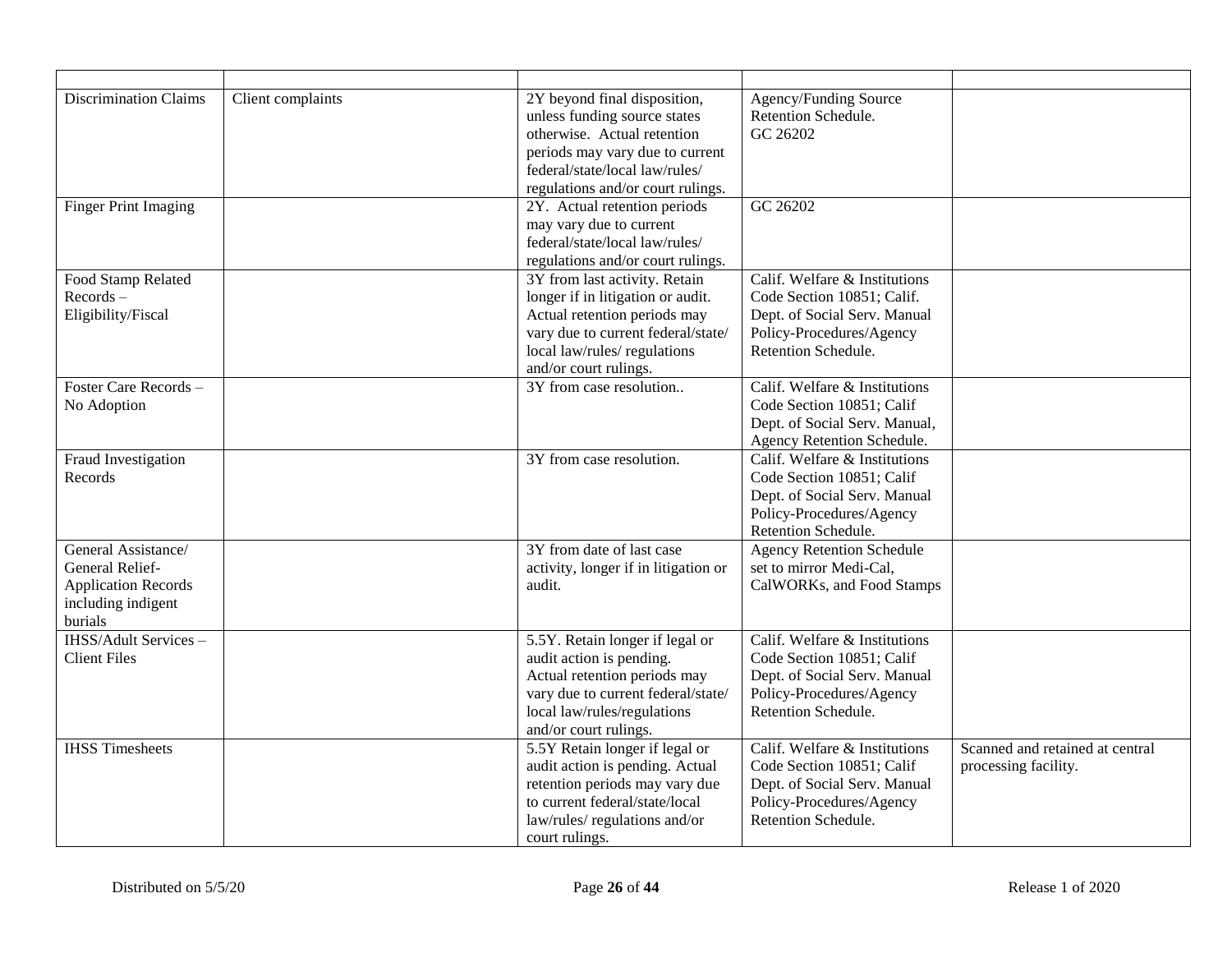| <b>Discrimination Claims</b>                                                                                 | Client complaints | 2Y beyond final disposition,<br>unless funding source states<br>otherwise. Actual retention<br>periods may vary due to current<br>federal/state/local law/rules/<br>regulations and/or court rulings. | Agency/Funding Source<br>Retention Schedule.<br>GC 26202                                                                                       |                                                         |
|--------------------------------------------------------------------------------------------------------------|-------------------|-------------------------------------------------------------------------------------------------------------------------------------------------------------------------------------------------------|------------------------------------------------------------------------------------------------------------------------------------------------|---------------------------------------------------------|
| <b>Finger Print Imaging</b>                                                                                  |                   | 2Y. Actual retention periods<br>may vary due to current<br>federal/state/local law/rules/<br>regulations and/or court rulings.                                                                        | GC 26202                                                                                                                                       |                                                         |
| Food Stamp Related<br>$Re cords -$<br>Eligibility/Fiscal                                                     |                   | 3Y from last activity. Retain<br>longer if in litigation or audit.<br>Actual retention periods may<br>vary due to current federal/state/<br>local law/rules/ regulations<br>and/or court rulings.     | Calif. Welfare & Institutions<br>Code Section 10851; Calif.<br>Dept. of Social Serv. Manual<br>Policy-Procedures/Agency<br>Retention Schedule. |                                                         |
| Foster Care Records -<br>No Adoption                                                                         |                   | 3Y from case resolution                                                                                                                                                                               | Calif. Welfare & Institutions<br>Code Section 10851; Calif<br>Dept. of Social Serv. Manual,<br>Agency Retention Schedule.                      |                                                         |
| Fraud Investigation<br>Records                                                                               |                   | 3Y from case resolution.                                                                                                                                                                              | Calif. Welfare & Institutions<br>Code Section 10851; Calif<br>Dept. of Social Serv. Manual<br>Policy-Procedures/Agency<br>Retention Schedule.  |                                                         |
| General Assistance/<br><b>General Relief-</b><br><b>Application Records</b><br>including indigent<br>burials |                   | 3Y from date of last case<br>activity, longer if in litigation or<br>audit.                                                                                                                           | <b>Agency Retention Schedule</b><br>set to mirror Medi-Cal,<br>CalWORKs, and Food Stamps                                                       |                                                         |
| <b>IHSS/Adult Services -</b><br><b>Client Files</b>                                                          |                   | 5.5Y. Retain longer if legal or<br>audit action is pending.<br>Actual retention periods may<br>vary due to current federal/state/<br>local law/rules/regulations<br>and/or court rulings.             | Calif. Welfare & Institutions<br>Code Section 10851; Calif<br>Dept. of Social Serv. Manual<br>Policy-Procedures/Agency<br>Retention Schedule.  |                                                         |
| <b>IHSS Timesheets</b>                                                                                       |                   | 5.5Y Retain longer if legal or<br>audit action is pending. Actual<br>retention periods may vary due<br>to current federal/state/local<br>law/rules/ regulations and/or<br>court rulings.              | Calif. Welfare & Institutions<br>Code Section 10851; Calif<br>Dept. of Social Serv. Manual<br>Policy-Procedures/Agency<br>Retention Schedule.  | Scanned and retained at central<br>processing facility. |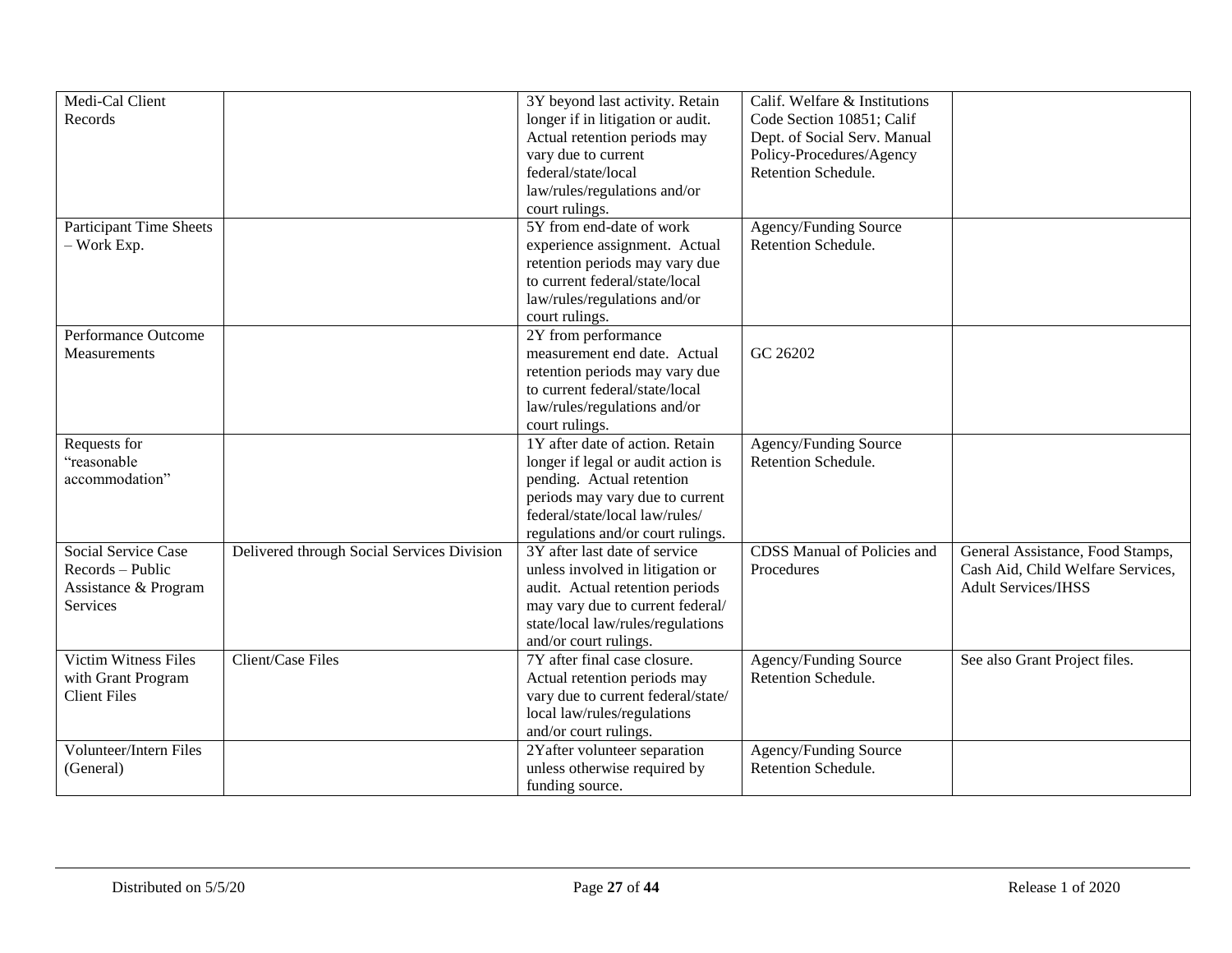| Medi-Cal Client               |                                            | 3Y beyond last activity. Retain    | Calif. Welfare & Institutions      |                                   |
|-------------------------------|--------------------------------------------|------------------------------------|------------------------------------|-----------------------------------|
| Records                       |                                            | longer if in litigation or audit.  | Code Section 10851; Calif          |                                   |
|                               |                                            | Actual retention periods may       | Dept. of Social Serv. Manual       |                                   |
|                               |                                            | vary due to current                | Policy-Procedures/Agency           |                                   |
|                               |                                            | federal/state/local                | Retention Schedule.                |                                   |
|                               |                                            | law/rules/regulations and/or       |                                    |                                   |
|                               |                                            | court rulings.                     |                                    |                                   |
| Participant Time Sheets       |                                            | 5Y from end-date of work           | Agency/Funding Source              |                                   |
|                               |                                            |                                    | Retention Schedule.                |                                   |
| $-$ Work Exp.                 |                                            | experience assignment. Actual      |                                    |                                   |
|                               |                                            | retention periods may vary due     |                                    |                                   |
|                               |                                            | to current federal/state/local     |                                    |                                   |
|                               |                                            | law/rules/regulations and/or       |                                    |                                   |
|                               |                                            | court rulings.                     |                                    |                                   |
| Performance Outcome           |                                            | 2Y from performance                |                                    |                                   |
| Measurements                  |                                            | measurement end date. Actual       | GC 26202                           |                                   |
|                               |                                            | retention periods may vary due     |                                    |                                   |
|                               |                                            | to current federal/state/local     |                                    |                                   |
|                               |                                            | law/rules/regulations and/or       |                                    |                                   |
|                               |                                            | court rulings.                     |                                    |                                   |
| Requests for                  |                                            | 1Y after date of action. Retain    | Agency/Funding Source              |                                   |
| "reasonable                   |                                            | longer if legal or audit action is | Retention Schedule.                |                                   |
| accommodation"                |                                            | pending. Actual retention          |                                    |                                   |
|                               |                                            | periods may vary due to current    |                                    |                                   |
|                               |                                            | federal/state/local law/rules/     |                                    |                                   |
|                               |                                            | regulations and/or court rulings.  |                                    |                                   |
| Social Service Case           | Delivered through Social Services Division | 3Y after last date of service      | <b>CDSS Manual of Policies and</b> | General Assistance, Food Stamps,  |
| Records - Public              |                                            | unless involved in litigation or   | Procedures                         | Cash Aid, Child Welfare Services, |
| Assistance & Program          |                                            | audit. Actual retention periods    |                                    | <b>Adult Services/IHSS</b>        |
| Services                      |                                            | may vary due to current federal/   |                                    |                                   |
|                               |                                            | state/local law/rules/regulations  |                                    |                                   |
|                               |                                            | and/or court rulings.              |                                    |                                   |
| <b>Victim Witness Files</b>   | <b>Client/Case Files</b>                   | 7Y after final case closure.       | Agency/Funding Source              | See also Grant Project files.     |
| with Grant Program            |                                            | Actual retention periods may       | Retention Schedule.                |                                   |
| <b>Client Files</b>           |                                            | vary due to current federal/state/ |                                    |                                   |
|                               |                                            | local law/rules/regulations        |                                    |                                   |
|                               |                                            | and/or court rulings.              |                                    |                                   |
| <b>Volunteer/Intern Files</b> |                                            | 2Yafter volunteer separation       | Agency/Funding Source              |                                   |
| (General)                     |                                            | unless otherwise required by       | Retention Schedule.                |                                   |
|                               |                                            | funding source.                    |                                    |                                   |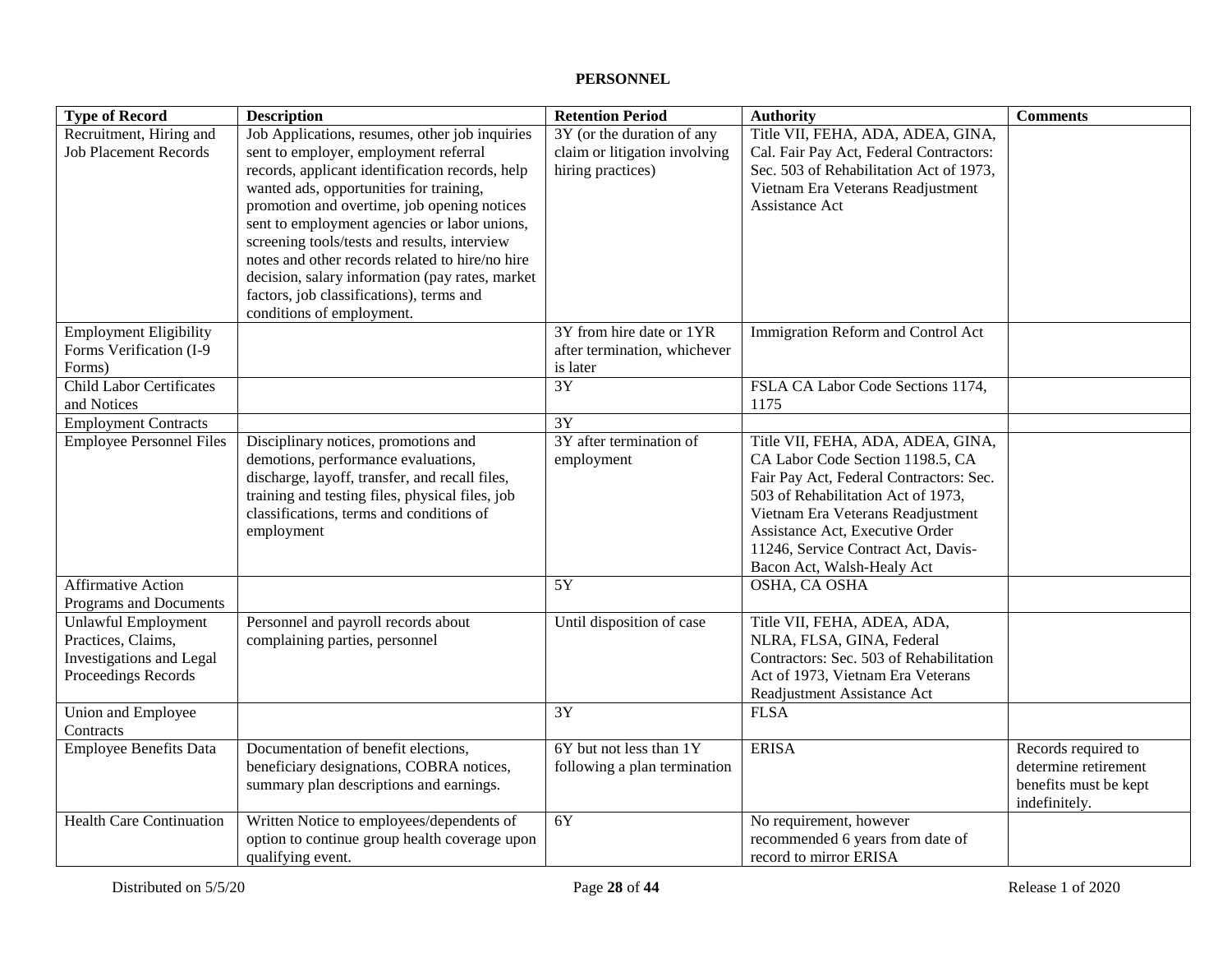## **PERSONNEL**

| <b>Type of Record</b>                                                                               | <b>Description</b>                                                                                                                                                                                                                                                          | <b>Retention Period</b>                                                          | <b>Authority</b>                                                                                                                                                                                                                                                                                    | <b>Comments</b>                                                                       |
|-----------------------------------------------------------------------------------------------------|-----------------------------------------------------------------------------------------------------------------------------------------------------------------------------------------------------------------------------------------------------------------------------|----------------------------------------------------------------------------------|-----------------------------------------------------------------------------------------------------------------------------------------------------------------------------------------------------------------------------------------------------------------------------------------------------|---------------------------------------------------------------------------------------|
| Recruitment, Hiring and<br><b>Job Placement Records</b>                                             | Job Applications, resumes, other job inquiries<br>sent to employer, employment referral<br>records, applicant identification records, help<br>wanted ads, opportunities for training,<br>promotion and overtime, job opening notices                                        | 3Y (or the duration of any<br>claim or litigation involving<br>hiring practices) | Title VII, FEHA, ADA, ADEA, GINA,<br>Cal. Fair Pay Act, Federal Contractors:<br>Sec. 503 of Rehabilitation Act of 1973,<br>Vietnam Era Veterans Readjustment<br>Assistance Act                                                                                                                      |                                                                                       |
|                                                                                                     | sent to employment agencies or labor unions,<br>screening tools/tests and results, interview<br>notes and other records related to hire/no hire<br>decision, salary information (pay rates, market<br>factors, job classifications), terms and<br>conditions of employment. |                                                                                  |                                                                                                                                                                                                                                                                                                     |                                                                                       |
| <b>Employment Eligibility</b><br>Forms Verification (I-9<br>Forms)                                  |                                                                                                                                                                                                                                                                             | 3Y from hire date or 1YR<br>after termination, whichever<br>is later             | Immigration Reform and Control Act                                                                                                                                                                                                                                                                  |                                                                                       |
| <b>Child Labor Certificates</b><br>and Notices                                                      |                                                                                                                                                                                                                                                                             | $\overline{3Y}$                                                                  | FSLA CA Labor Code Sections 1174,<br>1175                                                                                                                                                                                                                                                           |                                                                                       |
| <b>Employment Contracts</b>                                                                         |                                                                                                                                                                                                                                                                             | 3Y                                                                               |                                                                                                                                                                                                                                                                                                     |                                                                                       |
| <b>Employee Personnel Files</b>                                                                     | Disciplinary notices, promotions and<br>demotions, performance evaluations,<br>discharge, layoff, transfer, and recall files,<br>training and testing files, physical files, job<br>classifications, terms and conditions of<br>employment                                  | 3Y after termination of<br>employment                                            | Title VII, FEHA, ADA, ADEA, GINA,<br>CA Labor Code Section 1198.5, CA<br>Fair Pay Act, Federal Contractors: Sec.<br>503 of Rehabilitation Act of 1973,<br>Vietnam Era Veterans Readjustment<br>Assistance Act, Executive Order<br>11246, Service Contract Act, Davis-<br>Bacon Act, Walsh-Healy Act |                                                                                       |
| <b>Affirmative Action</b><br>Programs and Documents                                                 |                                                                                                                                                                                                                                                                             | 5Y                                                                               | OSHA, CA OSHA                                                                                                                                                                                                                                                                                       |                                                                                       |
| <b>Unlawful Employment</b><br>Practices, Claims,<br>Investigations and Legal<br>Proceedings Records | Personnel and payroll records about<br>complaining parties, personnel                                                                                                                                                                                                       | Until disposition of case                                                        | Title VII, FEHA, ADEA, ADA,<br>NLRA, FLSA, GINA, Federal<br>Contractors: Sec. 503 of Rehabilitation<br>Act of 1973, Vietnam Era Veterans<br>Readjustment Assistance Act                                                                                                                             |                                                                                       |
| Union and Employee<br>Contracts                                                                     |                                                                                                                                                                                                                                                                             | $\overline{3Y}$                                                                  | <b>FLSA</b>                                                                                                                                                                                                                                                                                         |                                                                                       |
| <b>Employee Benefits Data</b>                                                                       | Documentation of benefit elections,<br>beneficiary designations, COBRA notices,<br>summary plan descriptions and earnings.                                                                                                                                                  | 6Y but not less than 1Y<br>following a plan termination                          | <b>ERISA</b>                                                                                                                                                                                                                                                                                        | Records required to<br>determine retirement<br>benefits must be kept<br>indefinitely. |
| <b>Health Care Continuation</b>                                                                     | Written Notice to employees/dependents of<br>option to continue group health coverage upon<br>qualifying event.                                                                                                                                                             | $\overline{6Y}$                                                                  | No requirement, however<br>recommended 6 years from date of<br>record to mirror ERISA                                                                                                                                                                                                               |                                                                                       |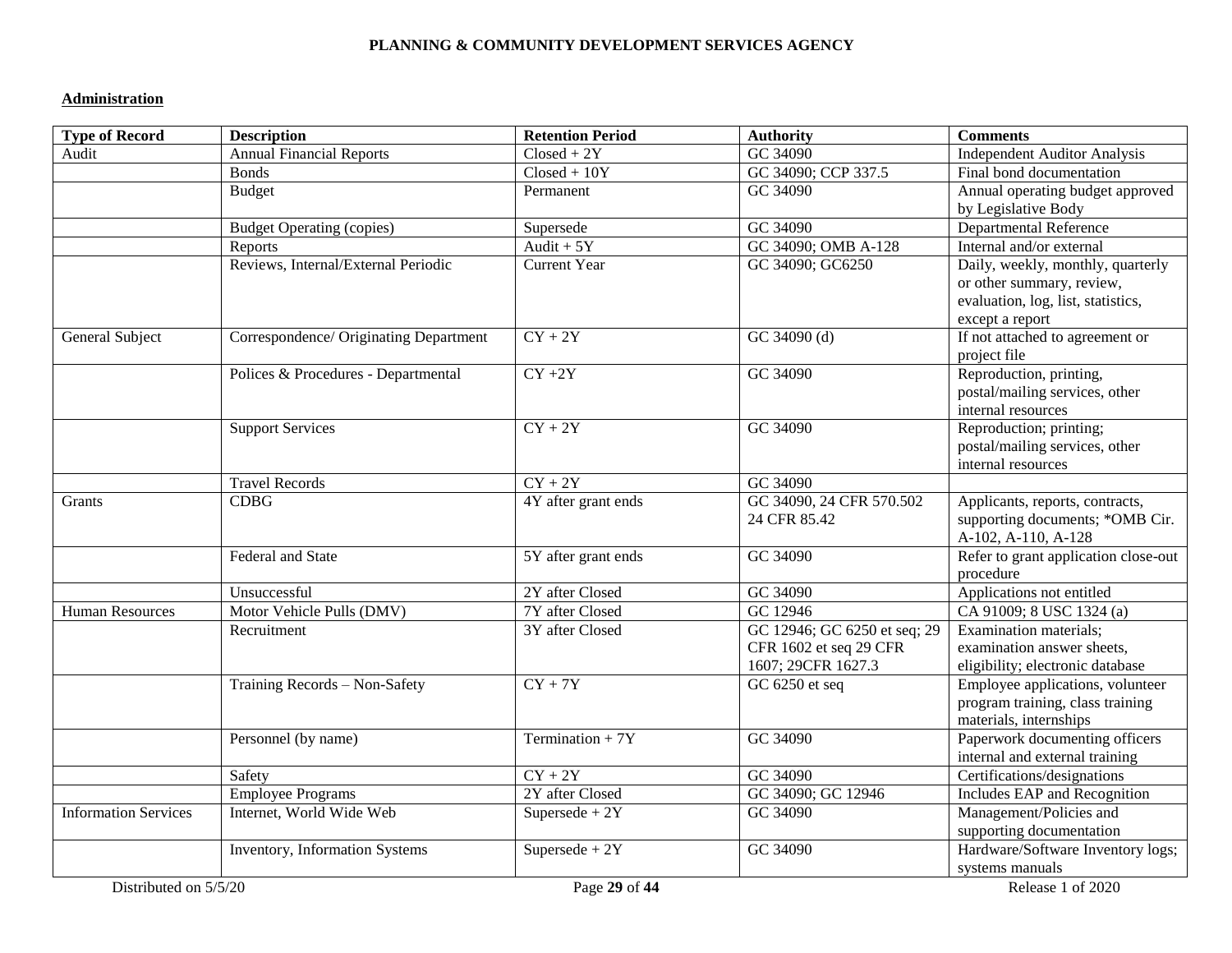#### **PLANNING & COMMUNITY DEVELOPMENT SERVICES AGENCY**

### **Administration**

| <b>Type of Record</b>       | <b>Description</b>                     | <b>Retention Period</b>         | <b>Authority</b>             | <b>Comments</b>                                           |
|-----------------------------|----------------------------------------|---------------------------------|------------------------------|-----------------------------------------------------------|
| Audit                       | <b>Annual Financial Reports</b>        | $\overline{\text{Closed}} + 2Y$ | GC 34090                     | <b>Independent Auditor Analysis</b>                       |
|                             | <b>Bonds</b>                           | $Closed + 10Y$                  | GC 34090; CCP 337.5          | Final bond documentation                                  |
|                             | <b>Budget</b>                          | Permanent                       | GC 34090                     | Annual operating budget approved                          |
|                             |                                        |                                 |                              | by Legislative Body                                       |
|                             | <b>Budget Operating (copies)</b>       | Supersede                       | GC 34090                     | <b>Departmental Reference</b>                             |
|                             | Reports                                | $\overline{Audit+5Y}$           | GC 34090; OMB A-128          | Internal and/or external                                  |
|                             | Reviews, Internal/External Periodic    | <b>Current Year</b>             | GC 34090; GC6250             | Daily, weekly, monthly, quarterly                         |
|                             |                                        |                                 |                              | or other summary, review,                                 |
|                             |                                        |                                 |                              | evaluation, log, list, statistics,                        |
|                             |                                        |                                 |                              | except a report                                           |
| General Subject             | Correspondence/ Originating Department | $\overline{CY+2Y}$              | $GC$ 34090 $(d)$             | If not attached to agreement or                           |
|                             |                                        |                                 |                              | project file                                              |
|                             | Polices & Procedures - Departmental    | $CY + 2Y$                       | GC 34090                     | Reproduction, printing,<br>postal/mailing services, other |
|                             |                                        |                                 |                              | internal resources                                        |
|                             | <b>Support Services</b>                | $CY + 2Y$                       | GC 34090                     | Reproduction; printing;                                   |
|                             |                                        |                                 |                              | postal/mailing services, other                            |
|                             |                                        |                                 |                              | internal resources                                        |
|                             | <b>Travel Records</b>                  | $CY + 2Y$                       | GC 34090                     |                                                           |
| Grants                      | <b>CDBG</b>                            | 4Y after grant ends             | GC 34090, 24 CFR 570.502     | Applicants, reports, contracts,                           |
|                             |                                        |                                 | 24 CFR 85.42                 | supporting documents; *OMB Cir.                           |
|                             |                                        |                                 |                              | A-102, A-110, A-128                                       |
|                             | Federal and State                      | 5Y after grant ends             | GC 34090                     | Refer to grant application close-out                      |
|                             |                                        |                                 |                              | procedure                                                 |
|                             | Unsuccessful                           | 2Y after Closed                 | GC 34090                     | Applications not entitled                                 |
| <b>Human Resources</b>      | Motor Vehicle Pulls (DMV)              | 7Y after Closed                 | GC 12946                     | CA 91009; 8 USC 1324 (a)                                  |
|                             | Recruitment                            | 3Y after Closed                 | GC 12946; GC 6250 et seq; 29 | Examination materials;                                    |
|                             |                                        |                                 | CFR 1602 et seq 29 CFR       | examination answer sheets,                                |
|                             |                                        |                                 | 1607; 29CFR 1627.3           | eligibility; electronic database                          |
|                             | Training Records - Non-Safety          | $CY + 7Y$                       | GC 6250 et seq               | Employee applications, volunteer                          |
|                             |                                        |                                 |                              | program training, class training                          |
|                             |                                        |                                 |                              | materials, internships                                    |
|                             | Personnel (by name)                    | Termination + $7Y$              | GC 34090                     | Paperwork documenting officers                            |
|                             |                                        |                                 |                              | internal and external training                            |
|                             | Safety                                 | $CY + 2Y$                       | GC 34090                     | Certifications/designations                               |
|                             | <b>Employee Programs</b>               | 2Y after Closed                 | GC 34090; GC 12946           | Includes EAP and Recognition                              |
| <b>Information Services</b> | Internet, World Wide Web               | Supersede + $2Y$                | GC 34090                     | Management/Policies and                                   |
|                             |                                        |                                 |                              | supporting documentation                                  |
|                             | Inventory, Information Systems         | Supersede + $2Y$                | GC 34090                     | Hardware/Software Inventory logs;                         |
|                             |                                        |                                 |                              | systems manuals                                           |
| Distributed on 5/5/20       |                                        | Page 29 of 44                   |                              | Release 1 of 2020                                         |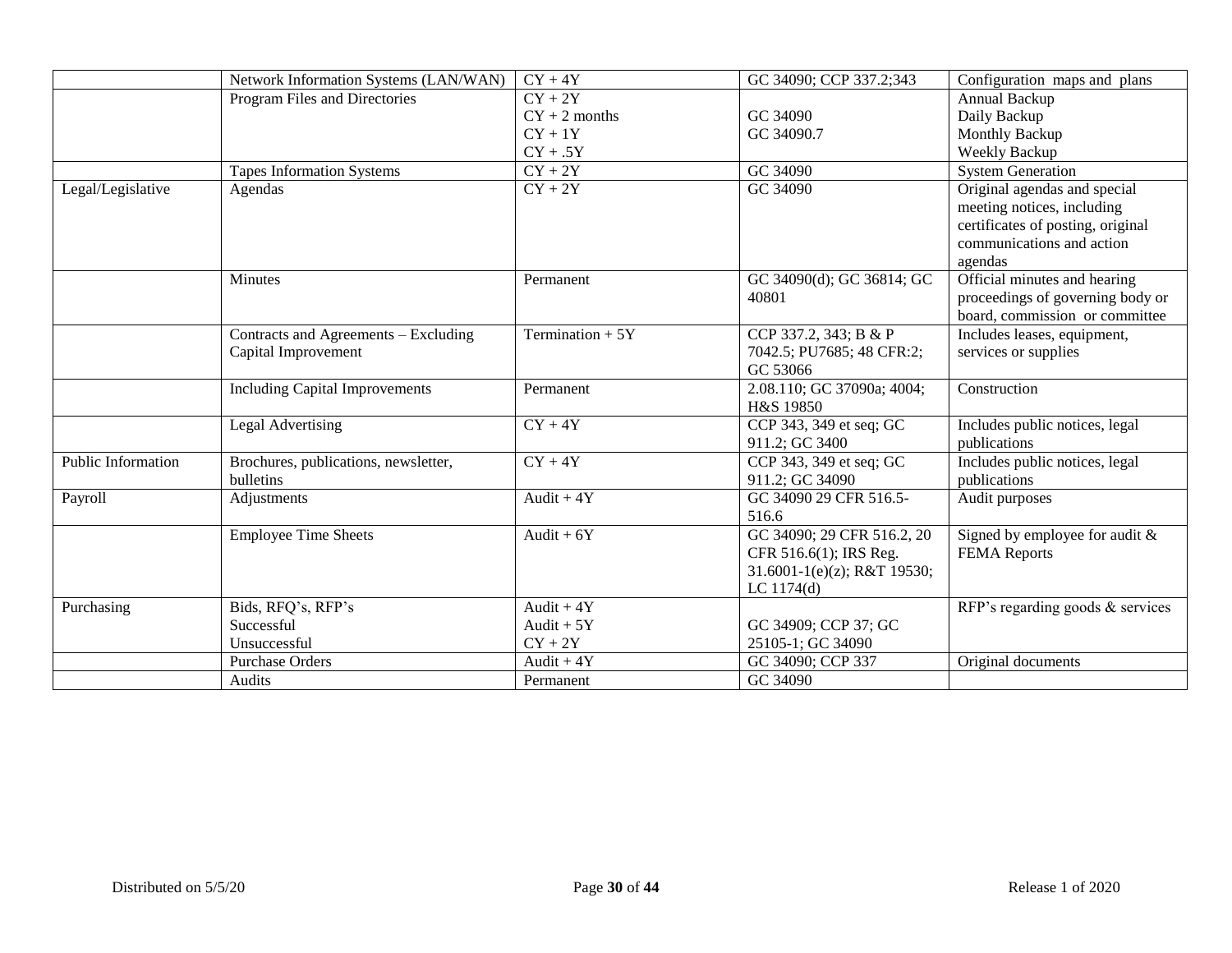|                    | Network Information Systems (LAN/WAN) | $CY + 4Y$         | GC 34090; CCP 337.2;343     | Configuration maps and plans      |
|--------------------|---------------------------------------|-------------------|-----------------------------|-----------------------------------|
|                    | Program Files and Directories         | $CY + 2Y$         |                             | Annual Backup                     |
|                    |                                       | $CY + 2$ months   | GC 34090                    | Daily Backup                      |
|                    |                                       | $CY + 1Y$         | GC 34090.7                  | Monthly Backup                    |
|                    |                                       | $CY + .5Y$        |                             | Weekly Backup                     |
|                    | <b>Tapes Information Systems</b>      | $CY + 2Y$         | GC 34090                    | <b>System Generation</b>          |
| Legal/Legislative  | Agendas                               | $CY + 2Y$         | GC 34090                    | Original agendas and special      |
|                    |                                       |                   |                             | meeting notices, including        |
|                    |                                       |                   |                             | certificates of posting, original |
|                    |                                       |                   |                             | communications and action         |
|                    |                                       |                   |                             | agendas                           |
|                    | Minutes                               | Permanent         | GC 34090(d); GC 36814; GC   | Official minutes and hearing      |
|                    |                                       |                   | 40801                       | proceedings of governing body or  |
|                    |                                       |                   |                             | board, commission or committee    |
|                    | Contracts and Agreements - Excluding  | Termination $+5Y$ | CCP 337.2, 343; B & P       | Includes leases, equipment,       |
|                    | Capital Improvement                   |                   | 7042.5; PU7685; 48 CFR:2;   | services or supplies              |
|                    |                                       |                   | GC 53066                    |                                   |
|                    | <b>Including Capital Improvements</b> | Permanent         | 2.08.110; GC 37090a; 4004;  | Construction                      |
|                    |                                       |                   | H&S 19850                   |                                   |
|                    | Legal Advertising                     | $CY + 4Y$         | CCP 343, 349 et seq; GC     | Includes public notices, legal    |
|                    |                                       |                   | 911.2; GC 3400              | publications                      |
| Public Information | Brochures, publications, newsletter,  | $CY + 4Y$         | CCP 343, 349 et seq; GC     | Includes public notices, legal    |
|                    | <b>bulletins</b>                      |                   | 911.2; GC 34090             | publications                      |
| Payroll            | Adjustments                           | Audit + $4Y$      | GC 34090 29 CFR 516.5-      | Audit purposes                    |
|                    |                                       |                   | 516.6                       |                                   |
|                    | <b>Employee Time Sheets</b>           | Audit + $6Y$      | GC 34090; 29 CFR 516.2, 20  | Signed by employee for audit $&$  |
|                    |                                       |                   | CFR 516.6(1); IRS Reg.      | <b>FEMA</b> Reports               |
|                    |                                       |                   | 31.6001-1(e)(z); R&T 19530; |                                   |
|                    |                                       |                   | LC 1174(d)                  |                                   |
| Purchasing         | Bids, RFQ's, RFP's                    | Audit + $4Y$      |                             | RFP's regarding goods & services  |
|                    | Successful                            | Audit $+5Y$       | GC 34909; CCP 37; GC        |                                   |
|                    | Unsuccessful                          | $CY + 2Y$         | 25105-1; GC 34090           |                                   |
|                    | <b>Purchase Orders</b>                | Audit $+4Y$       | GC 34090; CCP 337           | Original documents                |
|                    | Audits                                | Permanent         | GC 34090                    |                                   |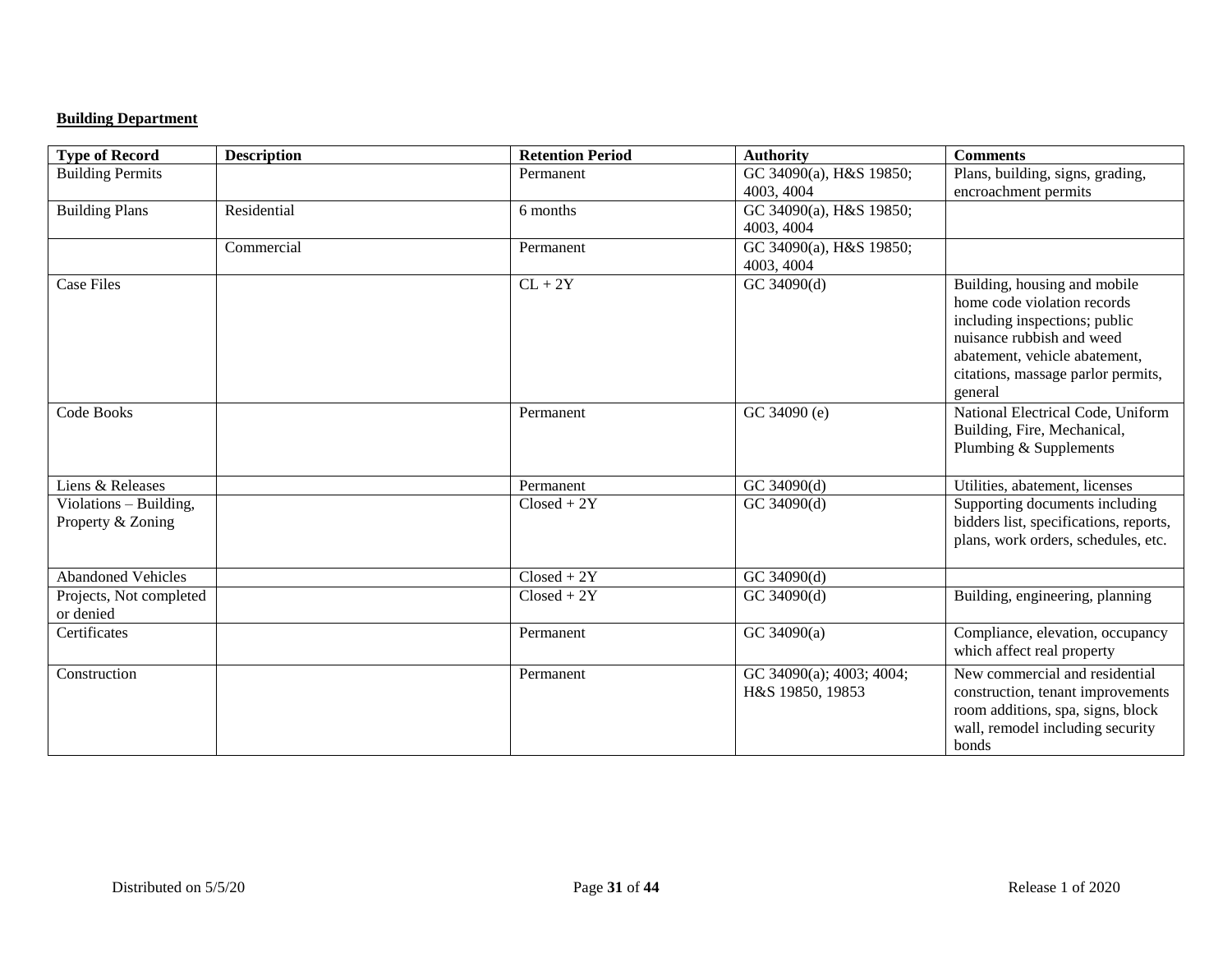## **Building Department**

| <b>Type of Record</b>     | <b>Description</b> | <b>Retention Period</b> | <b>Authority</b>         | <b>Comments</b>                        |
|---------------------------|--------------------|-------------------------|--------------------------|----------------------------------------|
| <b>Building Permits</b>   |                    | Permanent               | GC 34090(a), H&S 19850;  | Plans, building, signs, grading,       |
|                           |                    |                         | 4003, 4004               | encroachment permits                   |
| <b>Building Plans</b>     | Residential        | 6 months                | GC 34090(a), H&S 19850;  |                                        |
|                           |                    |                         | 4003, 4004               |                                        |
|                           | Commercial         | Permanent               | GC 34090(a), H&S 19850;  |                                        |
|                           |                    |                         | 4003, 4004               |                                        |
| <b>Case Files</b>         |                    | $CL + 2Y$               | GC 34090(d)              | Building, housing and mobile           |
|                           |                    |                         |                          | home code violation records            |
|                           |                    |                         |                          | including inspections; public          |
|                           |                    |                         |                          | nuisance rubbish and weed              |
|                           |                    |                         |                          | abatement, vehicle abatement,          |
|                           |                    |                         |                          | citations, massage parlor permits,     |
|                           |                    |                         |                          | general                                |
| Code Books                |                    | Permanent               | GC 34090 (e)             | National Electrical Code, Uniform      |
|                           |                    |                         |                          | Building, Fire, Mechanical,            |
|                           |                    |                         |                          | Plumbing & Supplements                 |
|                           |                    |                         |                          |                                        |
| Liens & Releases          |                    | Permanent               | GC 34090(d)              | Utilities, abatement, licenses         |
| Violations - Building,    |                    | $Closed + 2Y$           | GC 34090(d)              | Supporting documents including         |
| Property & Zoning         |                    |                         |                          | bidders list, specifications, reports, |
|                           |                    |                         |                          | plans, work orders, schedules, etc.    |
|                           |                    |                         |                          |                                        |
| <b>Abandoned Vehicles</b> |                    | $Closed + 2Y$           | GC 34090(d)              |                                        |
| Projects, Not completed   |                    | $Closed + 2Y$           | GC 34090(d)              | Building, engineering, planning        |
| or denied                 |                    |                         |                          |                                        |
| Certificates              |                    | Permanent               | GC 34090(a)              | Compliance, elevation, occupancy       |
|                           |                    |                         |                          | which affect real property             |
| Construction              |                    | Permanent               | GC 34090(a); 4003; 4004; | New commercial and residential         |
|                           |                    |                         | H&S 19850, 19853         | construction, tenant improvements      |
|                           |                    |                         |                          | room additions, spa, signs, block      |
|                           |                    |                         |                          | wall, remodel including security       |
|                           |                    |                         |                          | bonds                                  |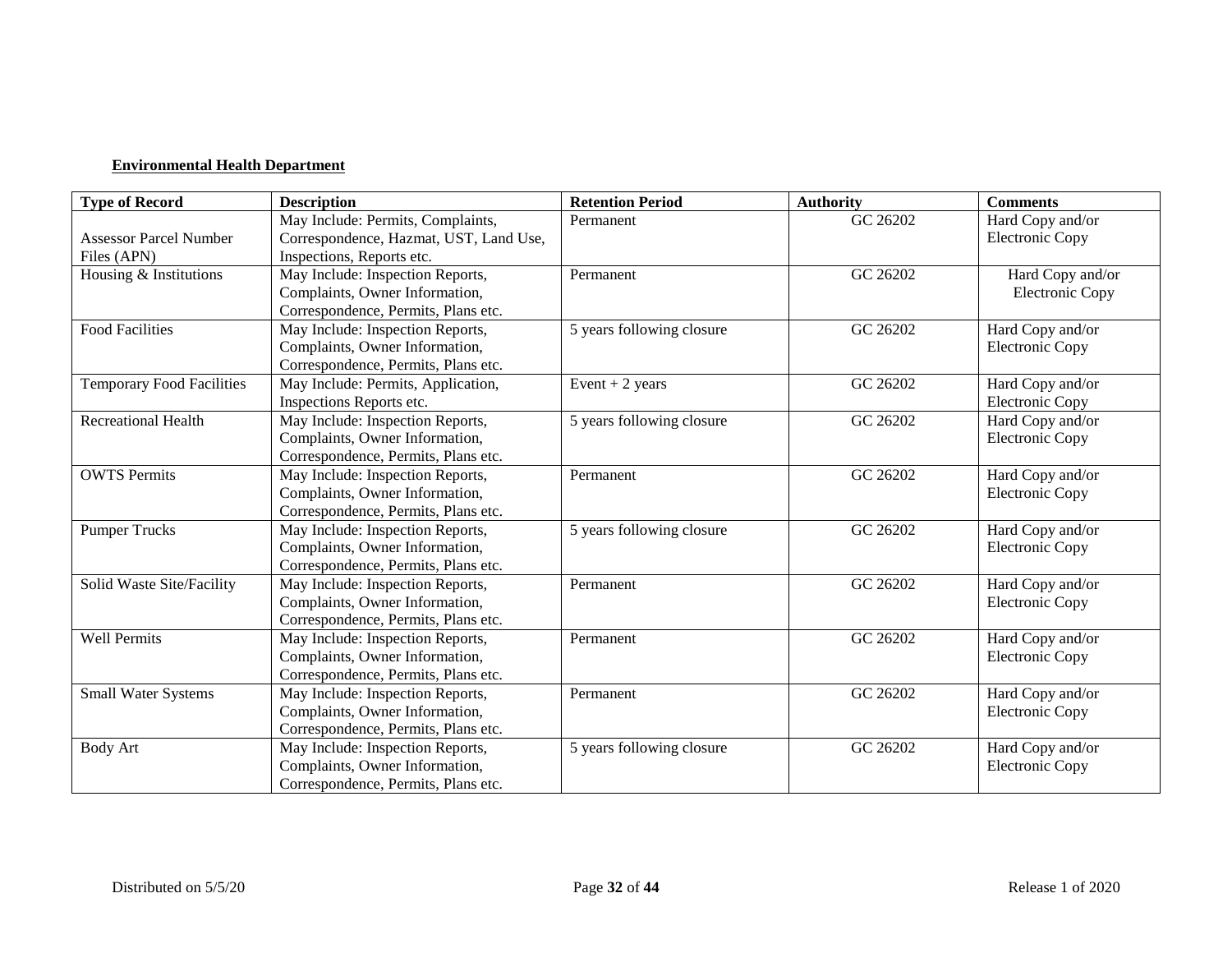## **Environmental Health Department**

| <b>Type of Record</b>            | <b>Description</b>                     | <b>Retention Period</b>   | <b>Authority</b> | <b>Comments</b>        |
|----------------------------------|----------------------------------------|---------------------------|------------------|------------------------|
|                                  | May Include: Permits, Complaints,      | Permanent                 | GC 26202         | Hard Copy and/or       |
| <b>Assessor Parcel Number</b>    | Correspondence, Hazmat, UST, Land Use, |                           |                  | <b>Electronic Copy</b> |
| Files (APN)                      | Inspections, Reports etc.              |                           |                  |                        |
| Housing & Institutions           | May Include: Inspection Reports,       | Permanent                 | GC 26202         | Hard Copy and/or       |
|                                  | Complaints, Owner Information,         |                           |                  | <b>Electronic Copy</b> |
|                                  | Correspondence, Permits, Plans etc.    |                           |                  |                        |
| <b>Food Facilities</b>           | May Include: Inspection Reports,       | 5 years following closure | GC 26202         | Hard Copy and/or       |
|                                  | Complaints, Owner Information,         |                           |                  | <b>Electronic Copy</b> |
|                                  | Correspondence, Permits, Plans etc.    |                           |                  |                        |
| <b>Temporary Food Facilities</b> | May Include: Permits, Application,     | Event $+2$ years          | GC 26202         | Hard Copy and/or       |
|                                  | Inspections Reports etc.               |                           |                  | <b>Electronic Copy</b> |
| <b>Recreational Health</b>       | May Include: Inspection Reports,       | 5 years following closure | GC 26202         | Hard Copy and/or       |
|                                  | Complaints, Owner Information,         |                           |                  | <b>Electronic Copy</b> |
|                                  | Correspondence, Permits, Plans etc.    |                           |                  |                        |
| <b>OWTS Permits</b>              | May Include: Inspection Reports,       | Permanent                 | GC 26202         | Hard Copy and/or       |
|                                  | Complaints, Owner Information,         |                           |                  | <b>Electronic Copy</b> |
|                                  | Correspondence, Permits, Plans etc.    |                           |                  |                        |
| <b>Pumper Trucks</b>             | May Include: Inspection Reports,       | 5 years following closure | GC 26202         | Hard Copy and/or       |
|                                  | Complaints, Owner Information,         |                           |                  | <b>Electronic Copy</b> |
|                                  | Correspondence, Permits, Plans etc.    |                           |                  |                        |
| Solid Waste Site/Facility        | May Include: Inspection Reports,       | Permanent                 | GC 26202         | Hard Copy and/or       |
|                                  | Complaints, Owner Information,         |                           |                  | <b>Electronic Copy</b> |
|                                  | Correspondence, Permits, Plans etc.    |                           |                  |                        |
| Well Permits                     | May Include: Inspection Reports,       | Permanent                 | GC 26202         | Hard Copy and/or       |
|                                  | Complaints, Owner Information,         |                           |                  | <b>Electronic Copy</b> |
|                                  | Correspondence, Permits, Plans etc.    |                           |                  |                        |
| Small Water Systems              | May Include: Inspection Reports,       | Permanent                 | GC 26202         | Hard Copy and/or       |
|                                  | Complaints, Owner Information,         |                           |                  | <b>Electronic Copy</b> |
|                                  | Correspondence, Permits, Plans etc.    |                           |                  |                        |
| <b>Body Art</b>                  | May Include: Inspection Reports,       | 5 years following closure | GC 26202         | Hard Copy and/or       |
|                                  | Complaints, Owner Information,         |                           |                  | <b>Electronic Copy</b> |
|                                  | Correspondence, Permits, Plans etc.    |                           |                  |                        |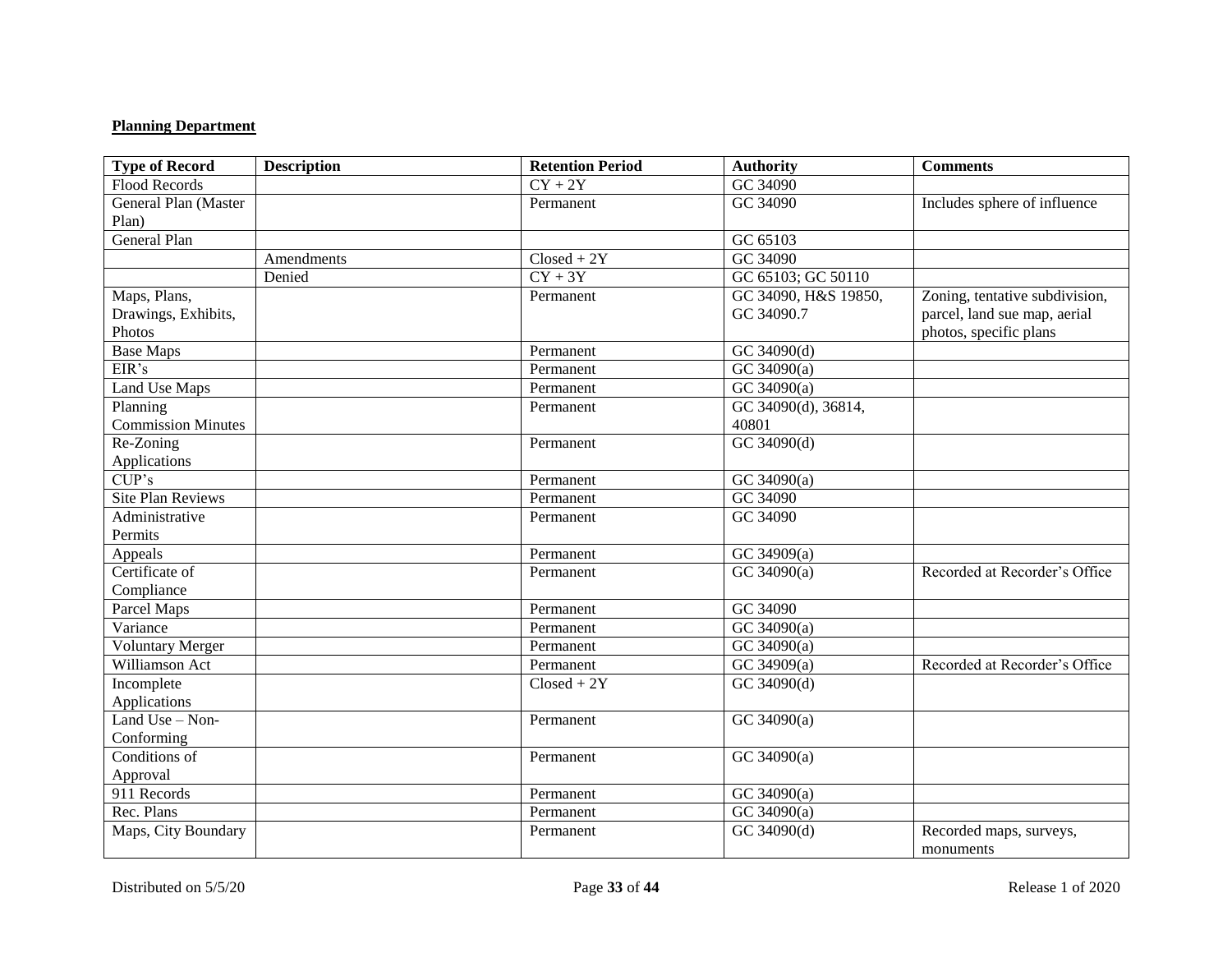## **Planning Department**

| <b>Type of Record</b>     | <b>Description</b> | <b>Retention Period</b> | <b>Authority</b>     | <b>Comments</b>                |
|---------------------------|--------------------|-------------------------|----------------------|--------------------------------|
| Flood Records             |                    | $\overline{CY+2Y}$      | GC 34090             |                                |
| General Plan (Master      |                    | Permanent               | GC 34090             | Includes sphere of influence   |
| Plan)                     |                    |                         |                      |                                |
| <b>General Plan</b>       |                    |                         | GC 65103             |                                |
|                           | Amendments         | $Closed + 2Y$           | GC 34090             |                                |
|                           | Denied             | $CY + 3Y$               | GC 65103; GC 50110   |                                |
| Maps, Plans,              |                    | Permanent               | GC 34090, H&S 19850, | Zoning, tentative subdivision, |
| Drawings, Exhibits,       |                    |                         | GC 34090.7           | parcel, land sue map, aerial   |
| Photos                    |                    |                         |                      | photos, specific plans         |
| <b>Base Maps</b>          |                    | Permanent               | GC 34090(d)          |                                |
| EIR's                     |                    | Permanent               | GC 34090(a)          |                                |
| Land Use Maps             |                    | Permanent               | GC 34090(a)          |                                |
| Planning                  |                    | Permanent               | GC 34090(d), 36814,  |                                |
| <b>Commission Minutes</b> |                    |                         | 40801                |                                |
| Re-Zoning                 |                    | Permanent               | $GC\,34090(d)$       |                                |
| Applications              |                    |                         |                      |                                |
| CUP's                     |                    | Permanent               | GC 34090(a)          |                                |
| Site Plan Reviews         |                    | Permanent               | GC 34090             |                                |
| Administrative            |                    | Permanent               | GC 34090             |                                |
| Permits                   |                    |                         |                      |                                |
| Appeals                   |                    | Permanent               | $GC$ 34909(a)        |                                |
| Certificate of            |                    | Permanent               | GC 34090(a)          | Recorded at Recorder's Office  |
| Compliance                |                    |                         |                      |                                |
| Parcel Maps               |                    | Permanent               | GC 34090             |                                |
| Variance                  |                    | Permanent               | $GC$ 34090(a)        |                                |
| <b>Voluntary Merger</b>   |                    | Permanent               | GC 34090(a)          |                                |
| Williamson Act            |                    | Permanent               | GC 34909(a)          | Recorded at Recorder's Office  |
| Incomplete                |                    | $Closed + 2Y$           | GC 34090(d)          |                                |
| Applications              |                    |                         |                      |                                |
| Land Use $-$ Non-         |                    | Permanent               | GC 34090(a)          |                                |
| Conforming                |                    |                         |                      |                                |
| Conditions of             |                    | Permanent               | GC 34090(a)          |                                |
| Approval                  |                    |                         |                      |                                |
| 911 Records               |                    | Permanent               | GC 34090(a)          |                                |
| Rec. Plans                |                    | Permanent               | GC 34090(a)          |                                |
| Maps, City Boundary       |                    | Permanent               | GC 34090(d)          | Recorded maps, surveys,        |
|                           |                    |                         |                      | monuments                      |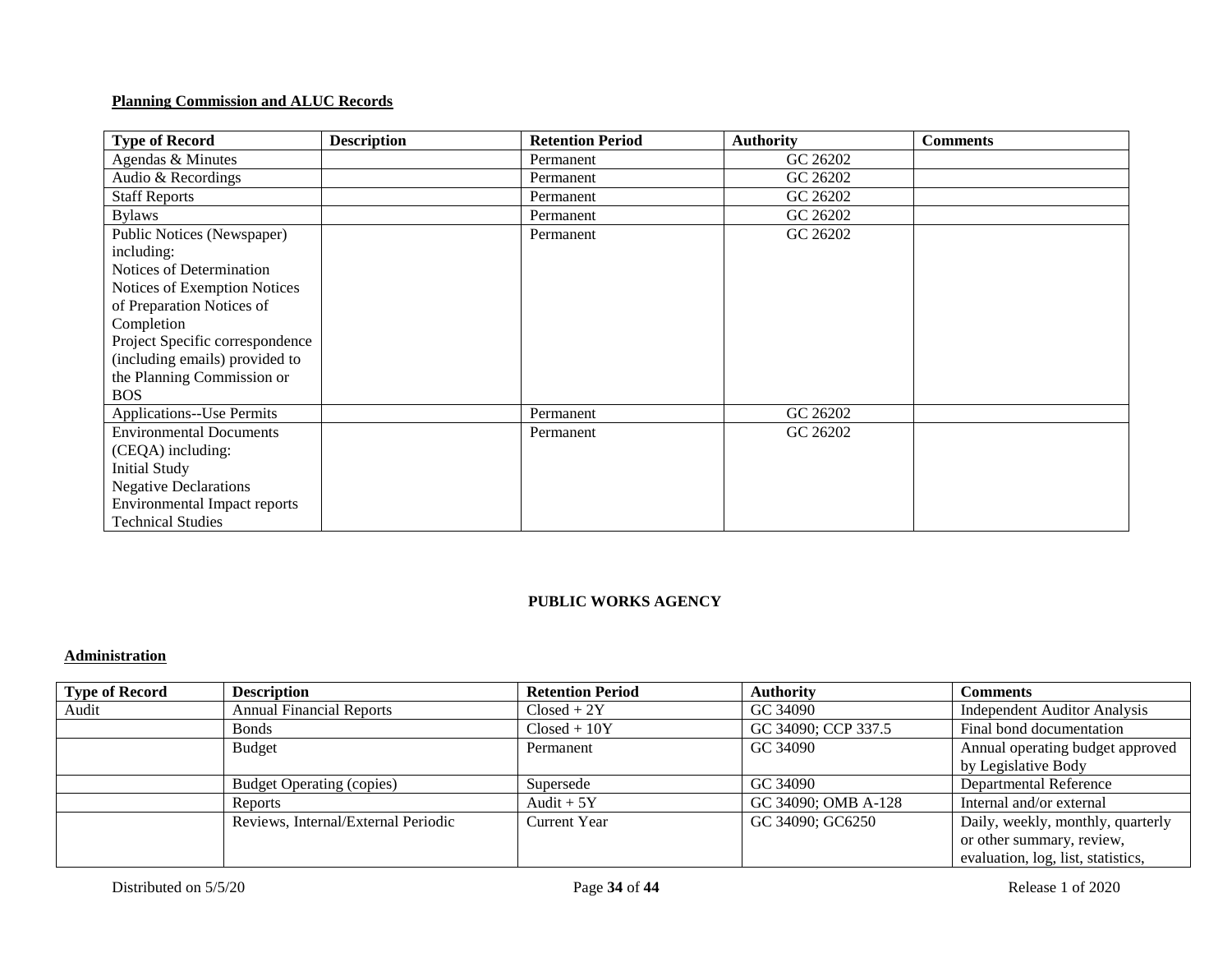### **Planning Commission and ALUC Records**

| <b>Type of Record</b>               | <b>Description</b> | <b>Retention Period</b> | <b>Authority</b> | <b>Comments</b> |
|-------------------------------------|--------------------|-------------------------|------------------|-----------------|
| Agendas & Minutes                   |                    | Permanent               | GC 26202         |                 |
| Audio & Recordings                  |                    | Permanent               | GC 26202         |                 |
| <b>Staff Reports</b>                |                    | Permanent               | GC 26202         |                 |
| <b>Bylaws</b>                       |                    | Permanent               | GC 26202         |                 |
| Public Notices (Newspaper)          |                    | Permanent               | GC 26202         |                 |
| including:                          |                    |                         |                  |                 |
| Notices of Determination            |                    |                         |                  |                 |
| Notices of Exemption Notices        |                    |                         |                  |                 |
| of Preparation Notices of           |                    |                         |                  |                 |
| Completion                          |                    |                         |                  |                 |
| Project Specific correspondence     |                    |                         |                  |                 |
| (including emails) provided to      |                    |                         |                  |                 |
| the Planning Commission or          |                    |                         |                  |                 |
| <b>BOS</b>                          |                    |                         |                  |                 |
| <b>Applications--Use Permits</b>    |                    | Permanent               | GC 26202         |                 |
| <b>Environmental Documents</b>      |                    | Permanent               | GC 26202         |                 |
| (CEQA) including:                   |                    |                         |                  |                 |
| <b>Initial Study</b>                |                    |                         |                  |                 |
| <b>Negative Declarations</b>        |                    |                         |                  |                 |
| <b>Environmental Impact reports</b> |                    |                         |                  |                 |
| <b>Technical Studies</b>            |                    |                         |                  |                 |

### **PUBLIC WORKS AGENCY**

## **Administration**

| <b>Type of Record</b> | <b>Description</b>                  | <b>Retention Period</b> | <b>Authority</b>    | <b>Comments</b>                    |
|-----------------------|-------------------------------------|-------------------------|---------------------|------------------------------------|
| Audit                 | <b>Annual Financial Reports</b>     | $Closed + 2Y$           | GC 34090            | Independent Auditor Analysis       |
|                       | <b>Bonds</b>                        | $Closed + 10Y$          | GC 34090; CCP 337.5 | Final bond documentation           |
|                       | <b>Budget</b>                       | Permanent               | GC 34090            | Annual operating budget approved   |
|                       |                                     |                         |                     | by Legislative Body                |
|                       | <b>Budget Operating (copies)</b>    | Supersede               | GC 34090            | Departmental Reference             |
|                       | Reports                             | Audit $+5Y$             | GC 34090; OMB A-128 | Internal and/or external           |
|                       | Reviews, Internal/External Periodic | <b>Current Year</b>     | GC 34090; GC6250    | Daily, weekly, monthly, quarterly  |
|                       |                                     |                         |                     | or other summary, review,          |
|                       |                                     |                         |                     | evaluation, log, list, statistics, |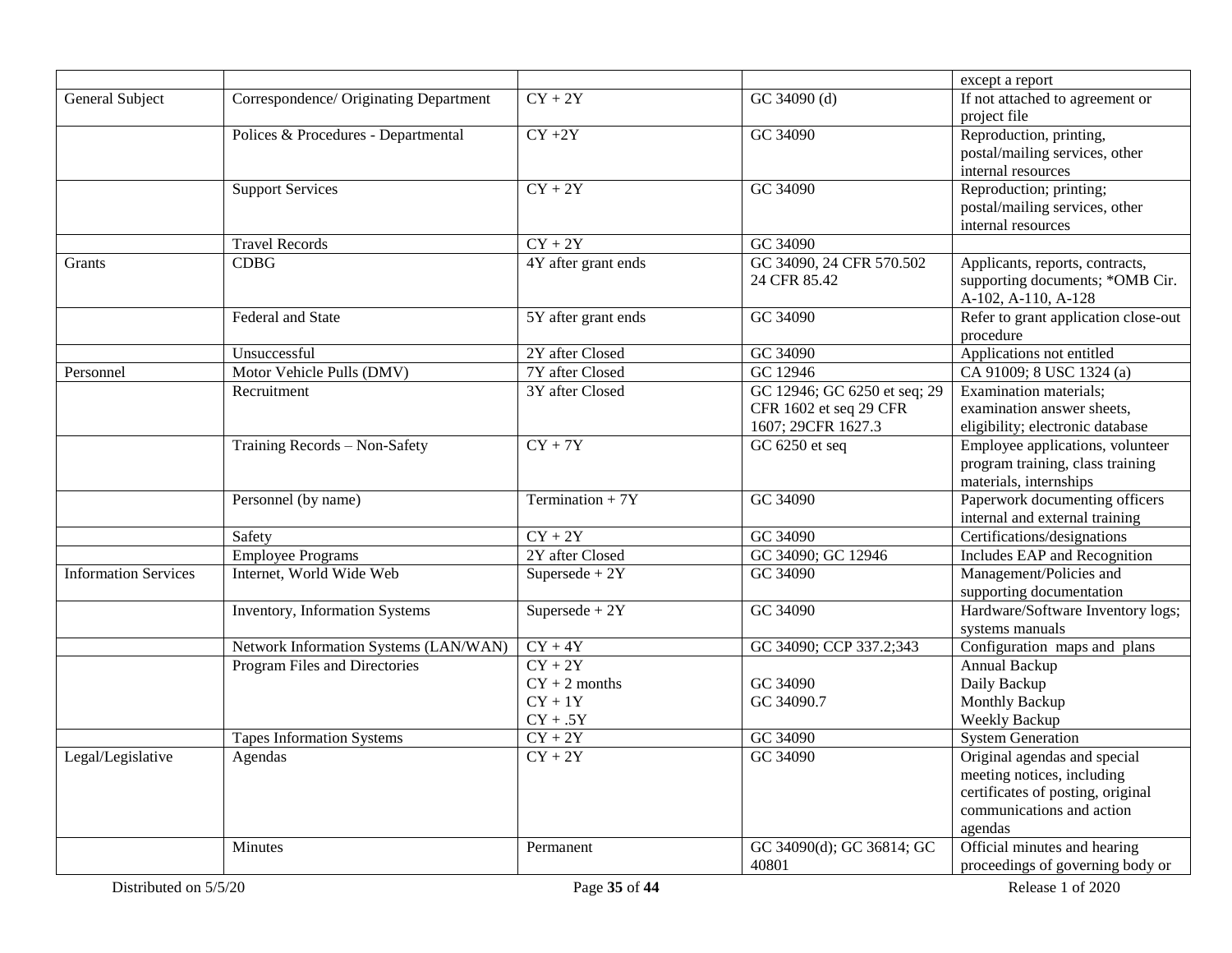|                             |                                        |                                                         |                                                                              | except a report                                                                                                                         |
|-----------------------------|----------------------------------------|---------------------------------------------------------|------------------------------------------------------------------------------|-----------------------------------------------------------------------------------------------------------------------------------------|
| General Subject             | Correspondence/ Originating Department | $CY + 2Y$                                               | GC 34090 (d)                                                                 | If not attached to agreement or<br>project file                                                                                         |
|                             | Polices & Procedures - Departmental    | $CY + 2Y$                                               | GC 34090                                                                     | Reproduction, printing,<br>postal/mailing services, other<br>internal resources                                                         |
|                             | <b>Support Services</b>                | $CY + 2Y$                                               | GC 34090                                                                     | Reproduction; printing;<br>postal/mailing services, other<br>internal resources                                                         |
|                             | <b>Travel Records</b>                  | $CY + 2Y$                                               | GC 34090                                                                     |                                                                                                                                         |
| Grants                      | <b>CDBG</b>                            | 4Y after grant ends                                     | GC 34090, 24 CFR 570.502<br>24 CFR 85.42                                     | Applicants, reports, contracts,<br>supporting documents; *OMB Cir.<br>A-102, A-110, A-128                                               |
|                             | Federal and State                      | 5Y after grant ends                                     | GC 34090                                                                     | Refer to grant application close-out<br>procedure                                                                                       |
|                             | Unsuccessful                           | 2Y after Closed                                         | GC 34090                                                                     | Applications not entitled                                                                                                               |
| Personnel                   | Motor Vehicle Pulls (DMV)              | 7Y after Closed                                         | GC 12946                                                                     | CA 91009; 8 USC 1324 (a)                                                                                                                |
|                             | Recruitment                            | 3Y after Closed                                         | GC 12946; GC 6250 et seq; 29<br>CFR 1602 et seq 29 CFR<br>1607; 29CFR 1627.3 | Examination materials;<br>examination answer sheets,<br>eligibility; electronic database                                                |
|                             | Training Records - Non-Safety          | $CY + 7Y$                                               | GC 6250 et seq                                                               | Employee applications, volunteer<br>program training, class training<br>materials, internships                                          |
|                             | Personnel (by name)                    | Termination + $7Y$                                      | GC 34090                                                                     | Paperwork documenting officers<br>internal and external training                                                                        |
|                             | Safety                                 | $CY + 2Y$                                               | GC 34090                                                                     | Certifications/designations                                                                                                             |
|                             | <b>Employee Programs</b>               | 2Y after Closed                                         | GC 34090; GC 12946                                                           | Includes EAP and Recognition                                                                                                            |
| <b>Information Services</b> | Internet, World Wide Web               | Supersede + $2Y$                                        | GC 34090                                                                     | Management/Policies and<br>supporting documentation                                                                                     |
|                             | Inventory, Information Systems         | Supersede + $2Y$                                        | GC 34090                                                                     | Hardware/Software Inventory logs;<br>systems manuals                                                                                    |
|                             | Network Information Systems (LAN/WAN)  | $CY + 4Y$                                               | GC 34090; CCP 337.2;343                                                      | Configuration maps and plans                                                                                                            |
|                             | Program Files and Directories          | $CY + 2Y$<br>$CY + 2$ months<br>$CY + 1Y$<br>$CY + .5Y$ | GC 34090<br>GC 34090.7                                                       | Annual Backup<br>Daily Backup<br>Monthly Backup<br>Weekly Backup                                                                        |
|                             | <b>Tapes Information Systems</b>       | $CY + 2Y$                                               | GC 34090                                                                     | <b>System Generation</b>                                                                                                                |
| Legal/Legislative           | Agendas                                | $CY + 2Y$                                               | GC 34090                                                                     | Original agendas and special<br>meeting notices, including<br>certificates of posting, original<br>communications and action<br>agendas |
|                             | Minutes                                | Permanent                                               | GC 34090(d); GC 36814; GC<br>40801                                           | Official minutes and hearing<br>proceedings of governing body or                                                                        |
| Distributed on 5/5/20       |                                        | Page 35 of 44                                           |                                                                              | Release 1 of 2020                                                                                                                       |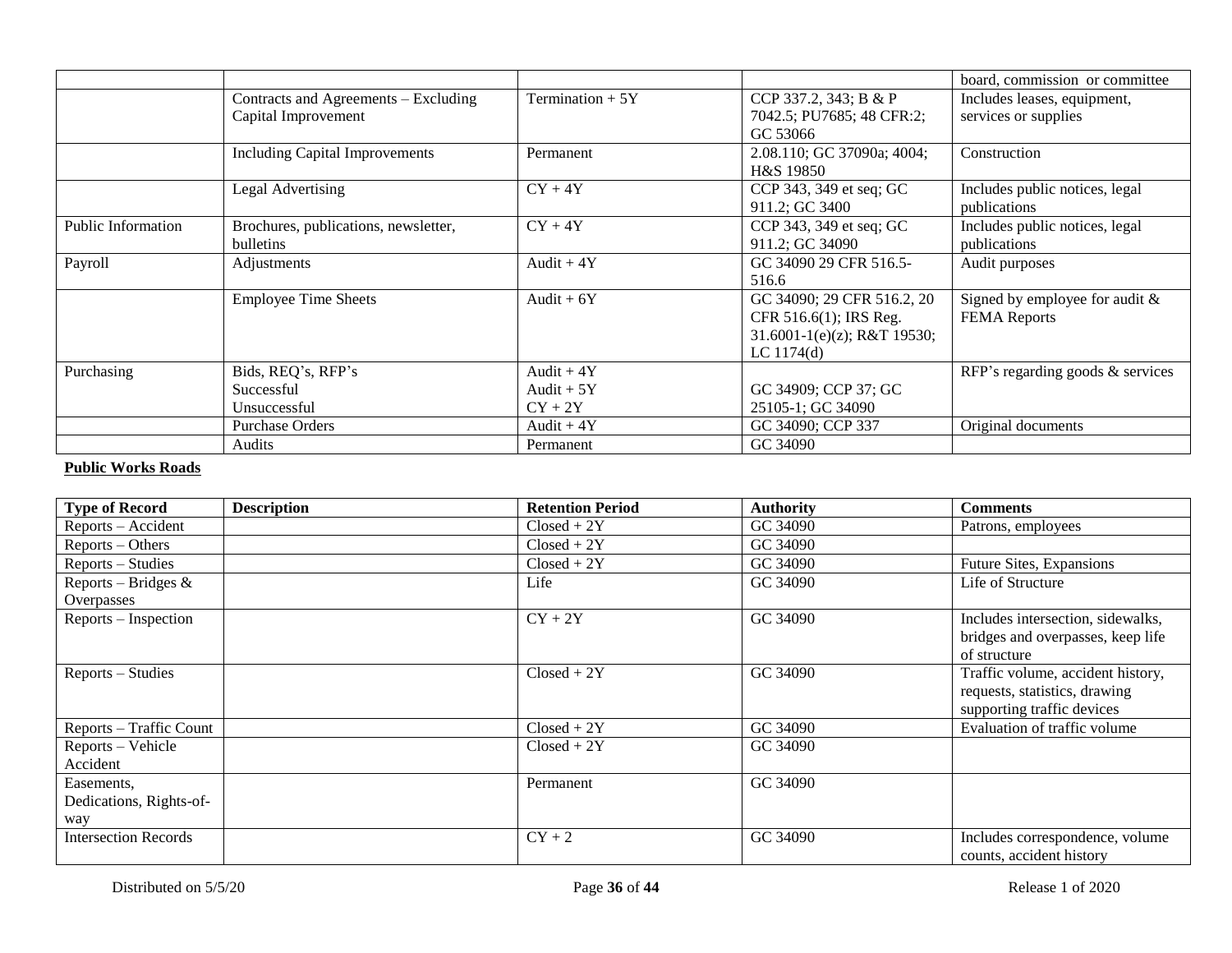|                    |                                                             |                                         |                                                                                                          | board, commission or committee                          |
|--------------------|-------------------------------------------------------------|-----------------------------------------|----------------------------------------------------------------------------------------------------------|---------------------------------------------------------|
|                    | Contracts and Agreements – Excluding<br>Capital Improvement | Termination $+5Y$                       | CCP 337.2, 343; B & P<br>7042.5; PU7685; 48 CFR:2;<br>GC 53066                                           | Includes leases, equipment,<br>services or supplies     |
|                    | <b>Including Capital Improvements</b>                       | Permanent                               | 2.08.110; GC 37090a; 4004;<br>H&S 19850                                                                  | Construction                                            |
|                    | Legal Advertising                                           | $CY + 4Y$                               | CCP 343, 349 et seq; GC<br>911.2; GC 3400                                                                | Includes public notices, legal<br>publications          |
| Public Information | Brochures, publications, newsletter,<br>bulletins           | $CY + 4Y$                               | CCP 343, 349 et seq; GC<br>911.2; GC 34090                                                               | Includes public notices, legal<br>publications          |
| Payroll            | Adjustments                                                 | Audit $+4Y$                             | GC 34090 29 CFR 516.5-<br>516.6                                                                          | Audit purposes                                          |
|                    | <b>Employee Time Sheets</b>                                 | Audit $+6Y$                             | GC 34090; 29 CFR 516.2, 20<br>CFR 516.6(1); IRS Reg.<br>$31.6001 - 1(e)(z)$ ; R&T 19530;<br>LC $1174(d)$ | Signed by employee for audit $&$<br><b>FEMA</b> Reports |
| Purchasing         | Bids, REQ's, RFP's<br>Successful<br>Unsuccessful            | Audit $+4Y$<br>Audit $+5Y$<br>$CY + 2Y$ | GC 34909; CCP 37; GC<br>25105-1; GC 34090                                                                | RFP's regarding goods & services                        |
|                    | <b>Purchase Orders</b><br>Audits                            | Audit $+4Y$<br>Permanent                | GC 34090; CCP 337<br>GC 34090                                                                            | Original documents                                      |

#### **Public Works Roads**

| <b>Type of Record</b>                        | <b>Description</b> | <b>Retention Period</b> | <b>Authority</b> | <b>Comments</b>                                                                                  |
|----------------------------------------------|--------------------|-------------------------|------------------|--------------------------------------------------------------------------------------------------|
| Reports – Accident                           |                    | $Closed + 2Y$           | GC 34090         | Patrons, employees                                                                               |
| $Reports - Others$                           |                    | $Closed + 2Y$           | GC 34090         |                                                                                                  |
| Reports – Studies                            |                    | $Closed + 2Y$           | GC 34090         | Future Sites, Expansions                                                                         |
| Reports – Bridges $\&$<br>Overpasses         |                    | Life                    | GC 34090         | Life of Structure                                                                                |
| Reports – Inspection                         |                    | $CY + 2Y$               | GC 34090         | Includes intersection, sidewalks,<br>bridges and overpasses, keep life<br>of structure           |
| Reports – Studies                            |                    | $Closed + 2Y$           | GC 34090         | Traffic volume, accident history,<br>requests, statistics, drawing<br>supporting traffic devices |
| Reports – Traffic Count                      |                    | $Closed + 2Y$           | GC 34090         | Evaluation of traffic volume                                                                     |
| Reports - Vehicle<br>Accident                |                    | $Closed + 2Y$           | GC 34090         |                                                                                                  |
| Easements,<br>Dedications, Rights-of-<br>way |                    | Permanent               | GC 34090         |                                                                                                  |
| <b>Intersection Records</b>                  |                    | $CY + 2$                | GC 34090         | Includes correspondence, volume<br>counts, accident history                                      |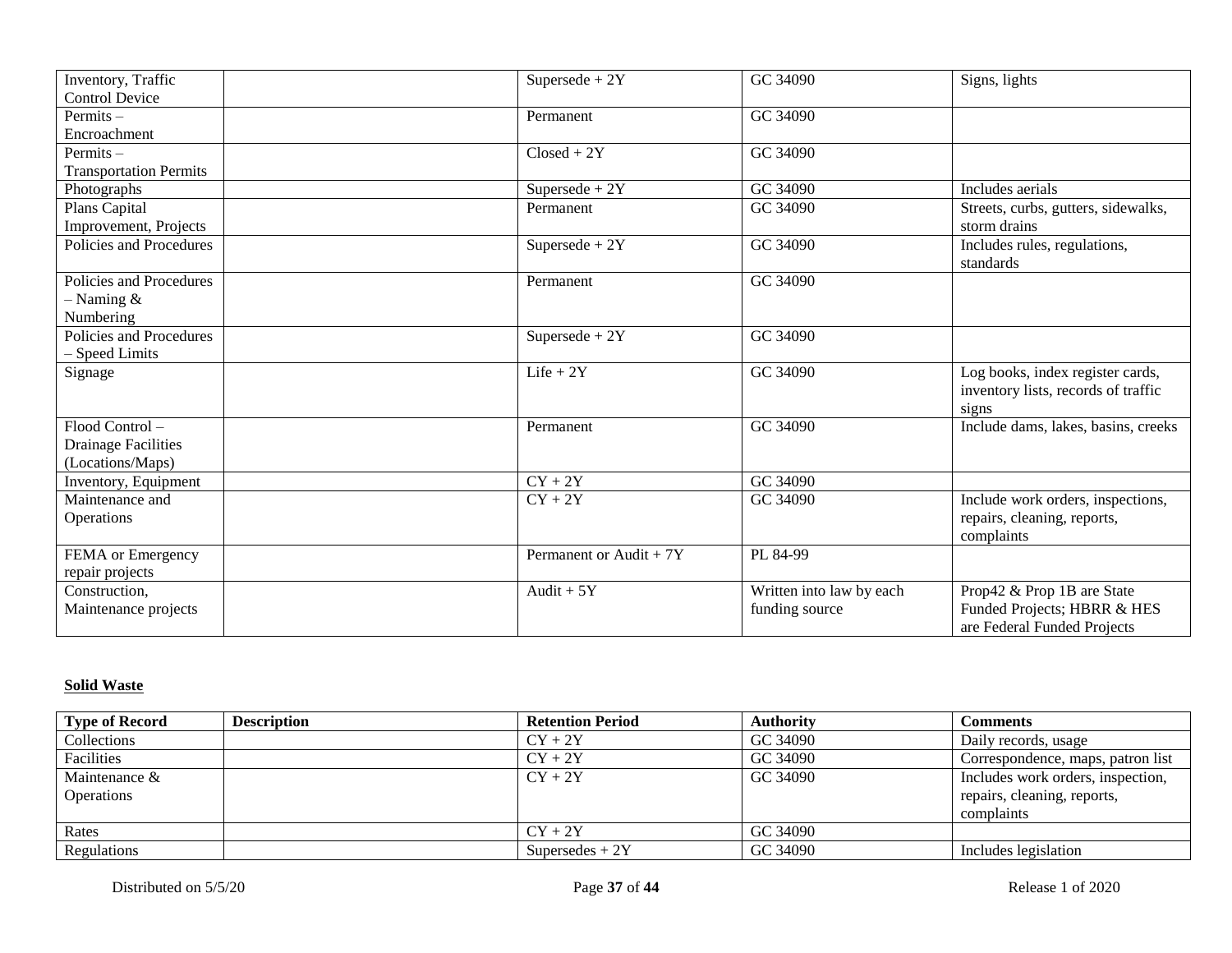| Inventory, Traffic<br><b>Control Device</b>                  | Supersede + $2Y$        | GC 34090                                   | Signs, lights                                                                            |
|--------------------------------------------------------------|-------------------------|--------------------------------------------|------------------------------------------------------------------------------------------|
| Permits $-$                                                  |                         | GC 34090                                   |                                                                                          |
| Encroachment                                                 | Permanent               |                                            |                                                                                          |
|                                                              |                         |                                            |                                                                                          |
| Permits $-$                                                  | $Closed + 2Y$           | GC 34090                                   |                                                                                          |
| <b>Transportation Permits</b>                                |                         |                                            |                                                                                          |
| Photographs                                                  | $Supersede + 2Y$        | GC 34090                                   | Includes aerials                                                                         |
| Plans Capital                                                | Permanent               | GC 34090                                   | Streets, curbs, gutters, sidewalks,                                                      |
| Improvement, Projects                                        |                         |                                            | storm drains                                                                             |
| Policies and Procedures                                      | Supersede + $2Y$        | GC 34090                                   | Includes rules, regulations,                                                             |
|                                                              |                         |                                            | standards                                                                                |
| Policies and Procedures                                      | Permanent               | GC 34090                                   |                                                                                          |
| $-$ Naming &                                                 |                         |                                            |                                                                                          |
| Numbering                                                    |                         |                                            |                                                                                          |
| Policies and Procedures                                      | Supersede + $2Y$        | GC 34090                                   |                                                                                          |
| - Speed Limits                                               |                         |                                            |                                                                                          |
| Signage                                                      | $Life + 2Y$             | GC 34090                                   | Log books, index register cards,                                                         |
|                                                              |                         |                                            | inventory lists, records of traffic                                                      |
|                                                              |                         |                                            | signs                                                                                    |
| Flood Control-                                               | Permanent               | GC 34090                                   | Include dams, lakes, basins, creeks                                                      |
| <b>Drainage Facilities</b>                                   |                         |                                            |                                                                                          |
| (Locations/Maps)                                             |                         |                                            |                                                                                          |
| Inventory, Equipment                                         | $CY + 2Y$               | GC 34090                                   |                                                                                          |
| Maintenance and                                              | $CY + 2Y$               | GC 34090                                   | Include work orders, inspections,                                                        |
| Operations                                                   |                         |                                            | repairs, cleaning, reports,                                                              |
|                                                              |                         |                                            | complaints                                                                               |
|                                                              | Permanent or Audit + 7Y | PL 84-99                                   |                                                                                          |
|                                                              |                         |                                            |                                                                                          |
| Construction,                                                | Audit + $5Y$            |                                            |                                                                                          |
|                                                              |                         |                                            |                                                                                          |
|                                                              |                         |                                            |                                                                                          |
| FEMA or Emergency<br>repair projects<br>Maintenance projects |                         | Written into law by each<br>funding source | Prop42 & Prop 1B are State<br>Funded Projects; HBRR & HES<br>are Federal Funded Projects |

## **Solid Waste**

| <b>Type of Record</b> | <b>Description</b> | <b>Retention Period</b> | <b>Authority</b> | <b>Comments</b>                   |
|-----------------------|--------------------|-------------------------|------------------|-----------------------------------|
| Collections           |                    | $CY + 2Y$               | GC 34090         | Daily records, usage              |
| Facilities            |                    | $CY + 2Y$               | GC 34090         | Correspondence, maps, patron list |
| Maintenance $\&$      |                    | $CY + 2Y$               | GC 34090         | Includes work orders, inspection, |
| <b>Operations</b>     |                    |                         |                  | repairs, cleaning, reports,       |
|                       |                    |                         |                  | complaints                        |
| Rates                 |                    | $CY + 2Y$               | GC 34090         |                                   |
| Regulations           |                    | Supersedes $+2Y$        | GC 34090         | Includes legislation              |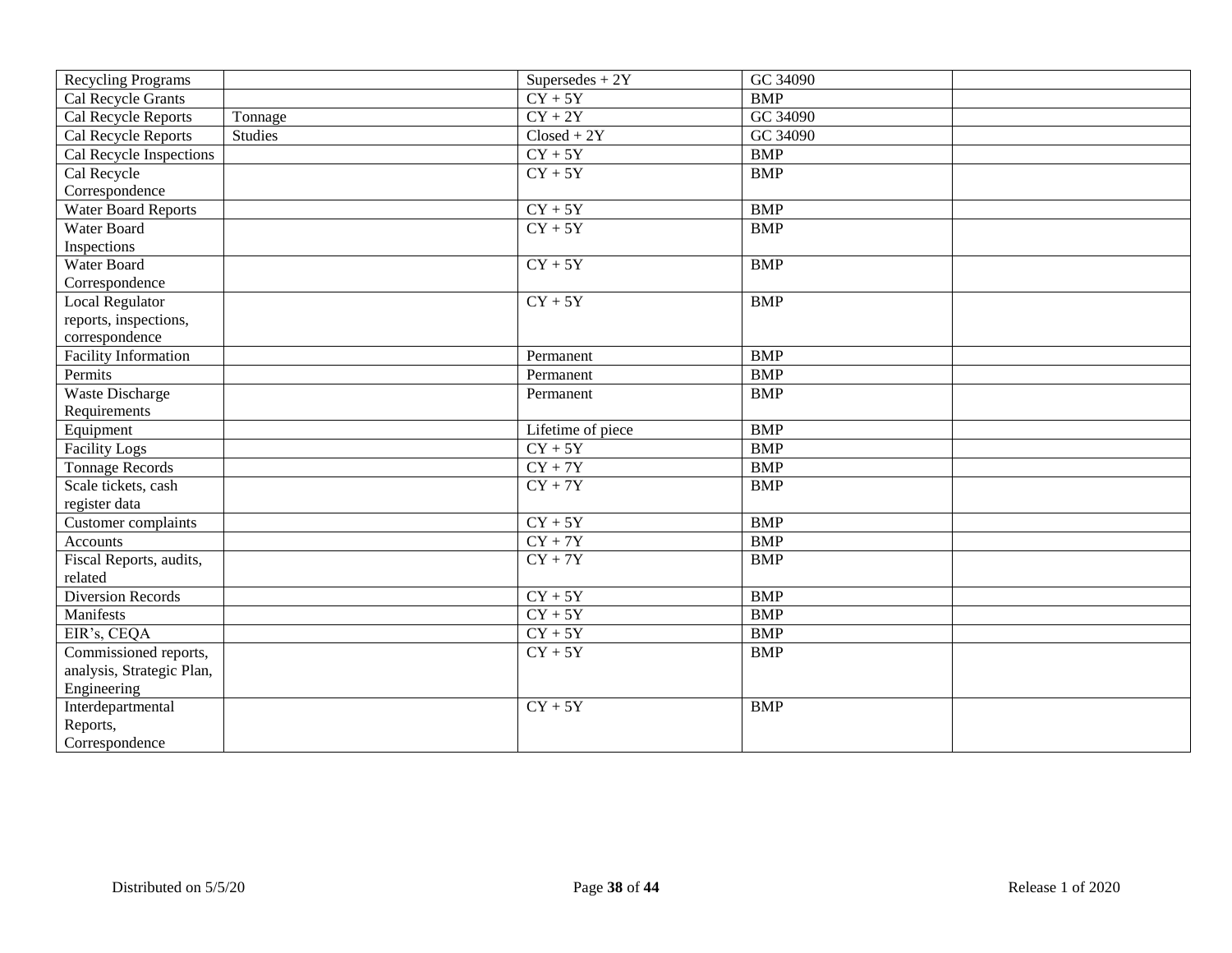| <b>Recycling Programs</b>   |         | Supersedes $+2Y$  | GC 34090   |
|-----------------------------|---------|-------------------|------------|
| Cal Recycle Grants          |         | $CY + 5Y$         | <b>BMP</b> |
| Cal Recycle Reports         | Tonnage | $CY + 2Y$         | GC 34090   |
| Cal Recycle Reports         | Studies | $Closed + 2Y$     | GC 34090   |
| Cal Recycle Inspections     |         | $CY + 5Y$         | <b>BMP</b> |
| Cal Recycle                 |         | $CY + 5Y$         | <b>BMP</b> |
| Correspondence              |         |                   |            |
| <b>Water Board Reports</b>  |         | $CY + 5Y$         | <b>BMP</b> |
| Water Board                 |         | $CY + 5Y$         | <b>BMP</b> |
| Inspections                 |         |                   |            |
| Water Board                 |         | $CY + 5Y$         | <b>BMP</b> |
| Correspondence              |         |                   |            |
| <b>Local Regulator</b>      |         | $CY + 5Y$         | <b>BMP</b> |
| reports, inspections,       |         |                   |            |
| correspondence              |         |                   |            |
| <b>Facility Information</b> |         | Permanent         | <b>BMP</b> |
| Permits                     |         | Permanent         | <b>BMP</b> |
| <b>Waste Discharge</b>      |         | Permanent         | <b>BMP</b> |
| Requirements                |         |                   |            |
| Equipment                   |         | Lifetime of piece | <b>BMP</b> |
| Facility Logs               |         | $CY + 5Y$         | <b>BMP</b> |
| <b>Tonnage Records</b>      |         | $CY + 7Y$         | <b>BMP</b> |
| Scale tickets, cash         |         | $CY + 7Y$         | <b>BMP</b> |
| register data               |         |                   |            |
| Customer complaints         |         | $CY + 5Y$         | <b>BMP</b> |
| Accounts                    |         | $CY + 7Y$         | <b>BMP</b> |
| Fiscal Reports, audits,     |         | $CY + 7Y$         | <b>BMP</b> |
| related                     |         |                   |            |
| <b>Diversion Records</b>    |         | $CY + 5Y$         | <b>BMP</b> |
| Manifests                   |         | $CY + 5Y$         | <b>BMP</b> |
| EIR's, CEQA                 |         | $CY + 5Y$         | <b>BMP</b> |
| Commissioned reports,       |         | $CY + 5Y$         | <b>BMP</b> |
| analysis, Strategic Plan,   |         |                   |            |
| Engineering                 |         |                   |            |
| Interdepartmental           |         | $CY + 5Y$         | <b>BMP</b> |
| Reports,                    |         |                   |            |
| Correspondence              |         |                   |            |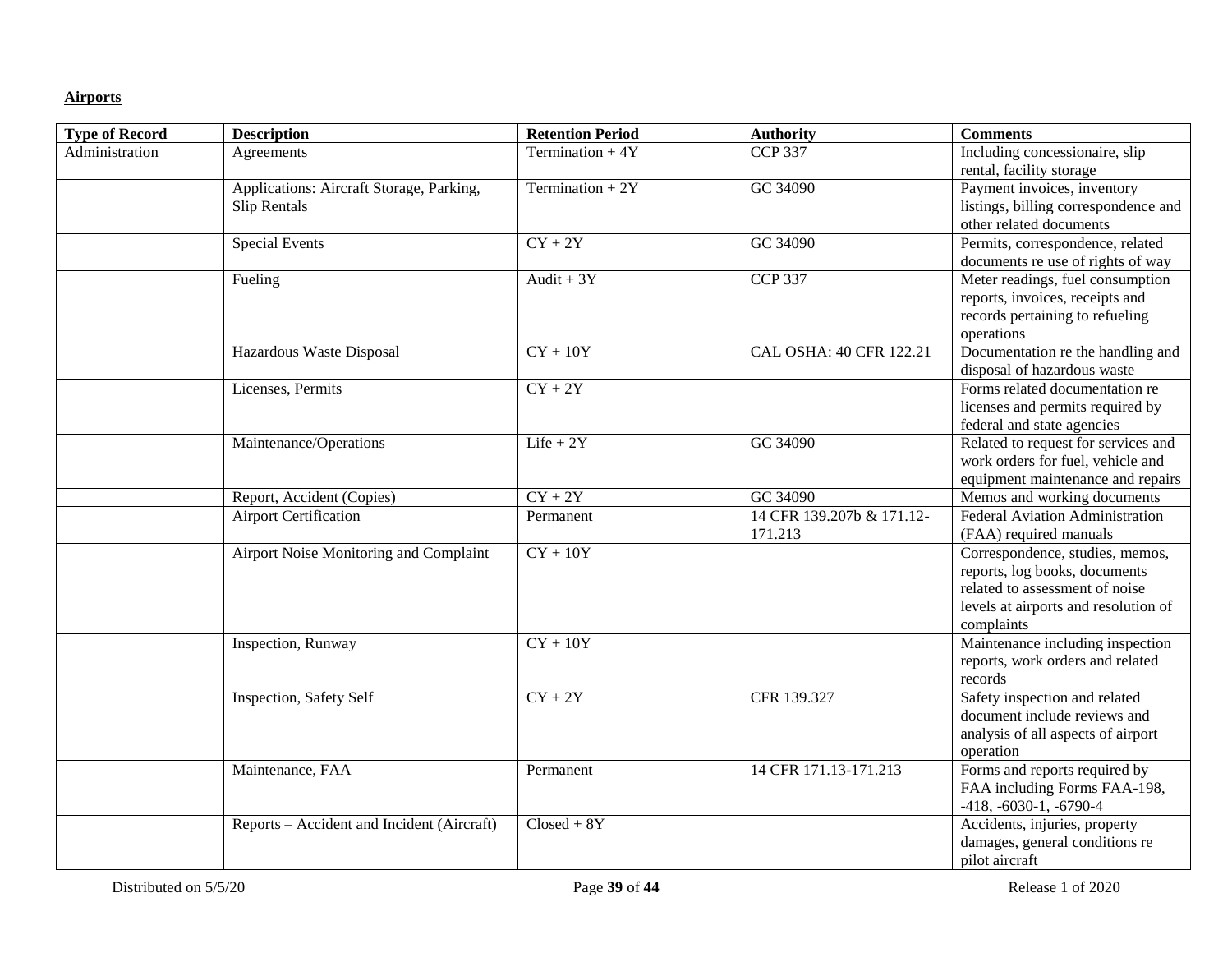### **Airports**

| <b>Type of Record</b> | <b>Description</b>                         | <b>Retention Period</b> | <b>Authority</b>          | <b>Comments</b>                                 |
|-----------------------|--------------------------------------------|-------------------------|---------------------------|-------------------------------------------------|
| Administration        | Agreements                                 | Termination $+4Y$       | <b>CCP 337</b>            | Including concessionaire, slip                  |
|                       |                                            |                         |                           | rental, facility storage                        |
|                       | Applications: Aircraft Storage, Parking,   | Termination + $2Y$      | GC 34090                  | Payment invoices, inventory                     |
|                       | Slip Rentals                               |                         |                           | listings, billing correspondence and            |
|                       |                                            |                         |                           | other related documents                         |
|                       | <b>Special Events</b>                      | $CY + 2Y$               | GC 34090                  | Permits, correspondence, related                |
|                       |                                            |                         |                           | documents re use of rights of way               |
|                       | Fueling                                    | Audit + $3Y$            | <b>CCP 337</b>            | Meter readings, fuel consumption                |
|                       |                                            |                         |                           | reports, invoices, receipts and                 |
|                       |                                            |                         |                           | records pertaining to refueling                 |
|                       |                                            |                         |                           | operations                                      |
|                       | Hazardous Waste Disposal                   | $CY + 10Y$              | CAL OSHA: 40 CFR 122.21   | Documentation re the handling and               |
|                       |                                            |                         |                           | disposal of hazardous waste                     |
|                       | Licenses, Permits                          | $CY + 2Y$               |                           | Forms related documentation re                  |
|                       |                                            |                         |                           | licenses and permits required by                |
|                       |                                            |                         |                           | federal and state agencies                      |
|                       | Maintenance/Operations                     | $Life + 2Y$             | GC 34090                  | Related to request for services and             |
|                       |                                            |                         |                           | work orders for fuel, vehicle and               |
|                       |                                            |                         |                           | equipment maintenance and repairs               |
|                       | Report, Accident (Copies)                  | $CY + 2Y$               | GC 34090                  | Memos and working documents                     |
|                       | <b>Airport Certification</b>               | Permanent               | 14 CFR 139.207b & 171.12- | Federal Aviation Administration                 |
|                       |                                            |                         | 171.213                   | (FAA) required manuals                          |
|                       | Airport Noise Monitoring and Complaint     | $CY + 10Y$              |                           | Correspondence, studies, memos,                 |
|                       |                                            |                         |                           | reports, log books, documents                   |
|                       |                                            |                         |                           | related to assessment of noise                  |
|                       |                                            |                         |                           | levels at airports and resolution of            |
|                       |                                            |                         |                           | complaints                                      |
|                       | Inspection, Runway                         | $CY + 10Y$              |                           | Maintenance including inspection                |
|                       |                                            |                         |                           | reports, work orders and related<br>records     |
|                       | <b>Inspection, Safety Self</b>             | $CY + 2Y$               | CFR 139.327               | Safety inspection and related                   |
|                       |                                            |                         |                           | document include reviews and                    |
|                       |                                            |                         |                           |                                                 |
|                       |                                            |                         |                           | analysis of all aspects of airport<br>operation |
|                       | Maintenance, FAA                           | Permanent               | 14 CFR 171.13-171.213     | Forms and reports required by                   |
|                       |                                            |                         |                           | FAA including Forms FAA-198,                    |
|                       |                                            |                         |                           | $-418, -6030-1, -6790-4$                        |
|                       | Reports - Accident and Incident (Aircraft) | $Closed + 8Y$           |                           | Accidents, injuries, property                   |
|                       |                                            |                         |                           | damages, general conditions re                  |
|                       |                                            |                         |                           | pilot aircraft                                  |
|                       |                                            |                         |                           |                                                 |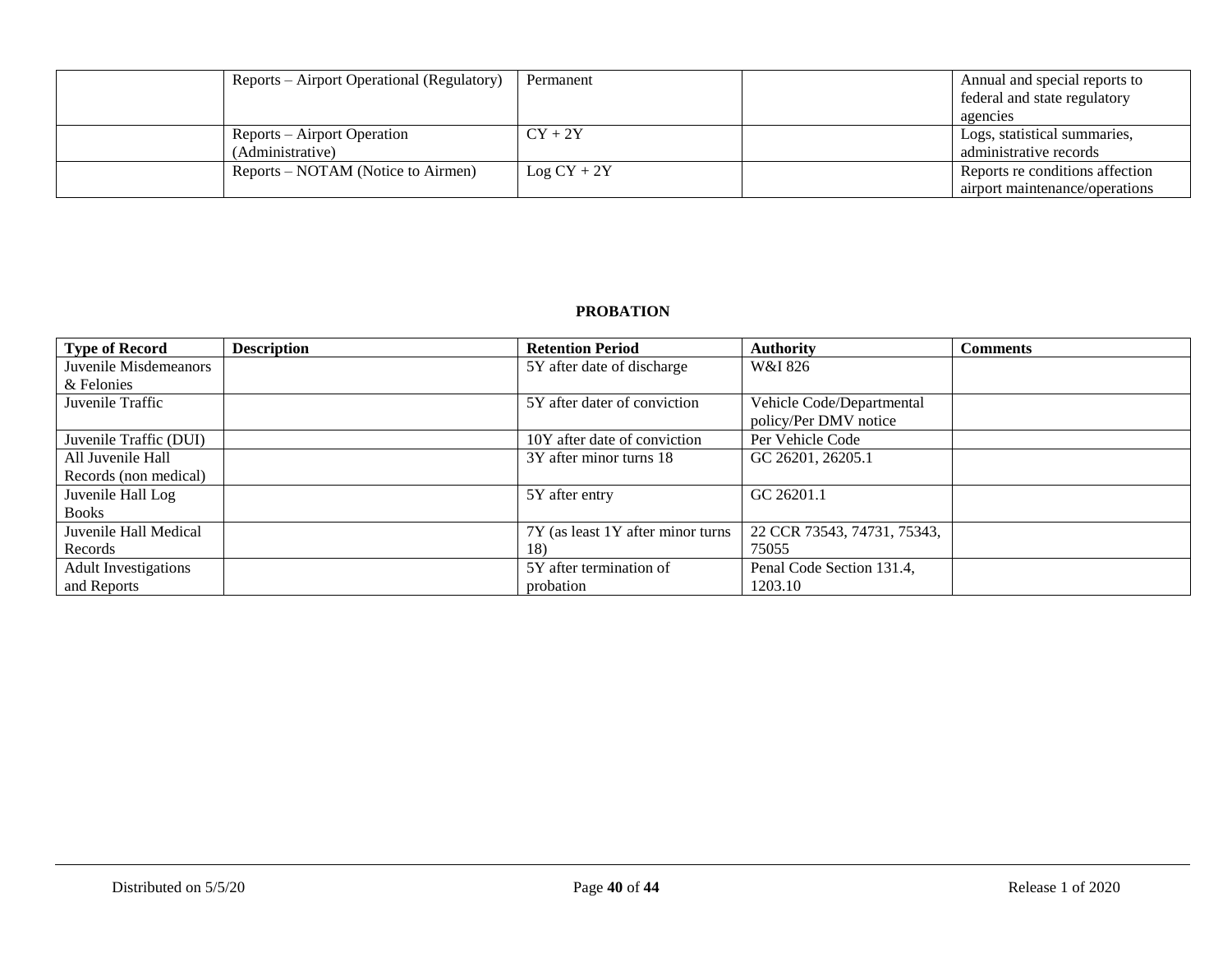| Reports – Airport Operational (Regulatory) | Permanent     | Annual and special reports to<br>federal and state regulatory |
|--------------------------------------------|---------------|---------------------------------------------------------------|
|                                            |               | agencies                                                      |
| Reports – Airport Operation                | $CY + 2Y$     | Logs, statistical summaries,                                  |
| (Administrative)                           |               | administrative records                                        |
| Reports – NOTAM (Notice to Airmen)         | $Log CY + 2Y$ | Reports re conditions affection                               |
|                                            |               | airport maintenance/operations                                |

### **PROBATION**

| <b>Type of Record</b>       | <b>Description</b> | <b>Retention Period</b>            | <b>Authority</b>            | <b>Comments</b> |
|-----------------------------|--------------------|------------------------------------|-----------------------------|-----------------|
| Juvenile Misdemeanors       |                    | 5Y after date of discharge         | W&I 826                     |                 |
| & Felonies                  |                    |                                    |                             |                 |
| Juvenile Traffic            |                    | 5Y after dater of conviction       | Vehicle Code/Departmental   |                 |
|                             |                    |                                    | policy/Per DMV notice       |                 |
| Juvenile Traffic (DUI)      |                    | 10Y after date of conviction       | Per Vehicle Code            |                 |
| All Juvenile Hall           |                    | 3Y after minor turns 18            | GC 26201, 26205.1           |                 |
| Records (non medical)       |                    |                                    |                             |                 |
| Juvenile Hall Log           |                    | 5Y after entry                     | GC 26201.1                  |                 |
| <b>Books</b>                |                    |                                    |                             |                 |
| Juvenile Hall Medical       |                    | 7Y (as least 1Y after minor turns) | 22 CCR 73543, 74731, 75343, |                 |
| Records                     |                    | 18)                                | 75055                       |                 |
| <b>Adult Investigations</b> |                    | 5Y after termination of            | Penal Code Section 131.4,   |                 |
| and Reports                 |                    | probation                          | 1203.10                     |                 |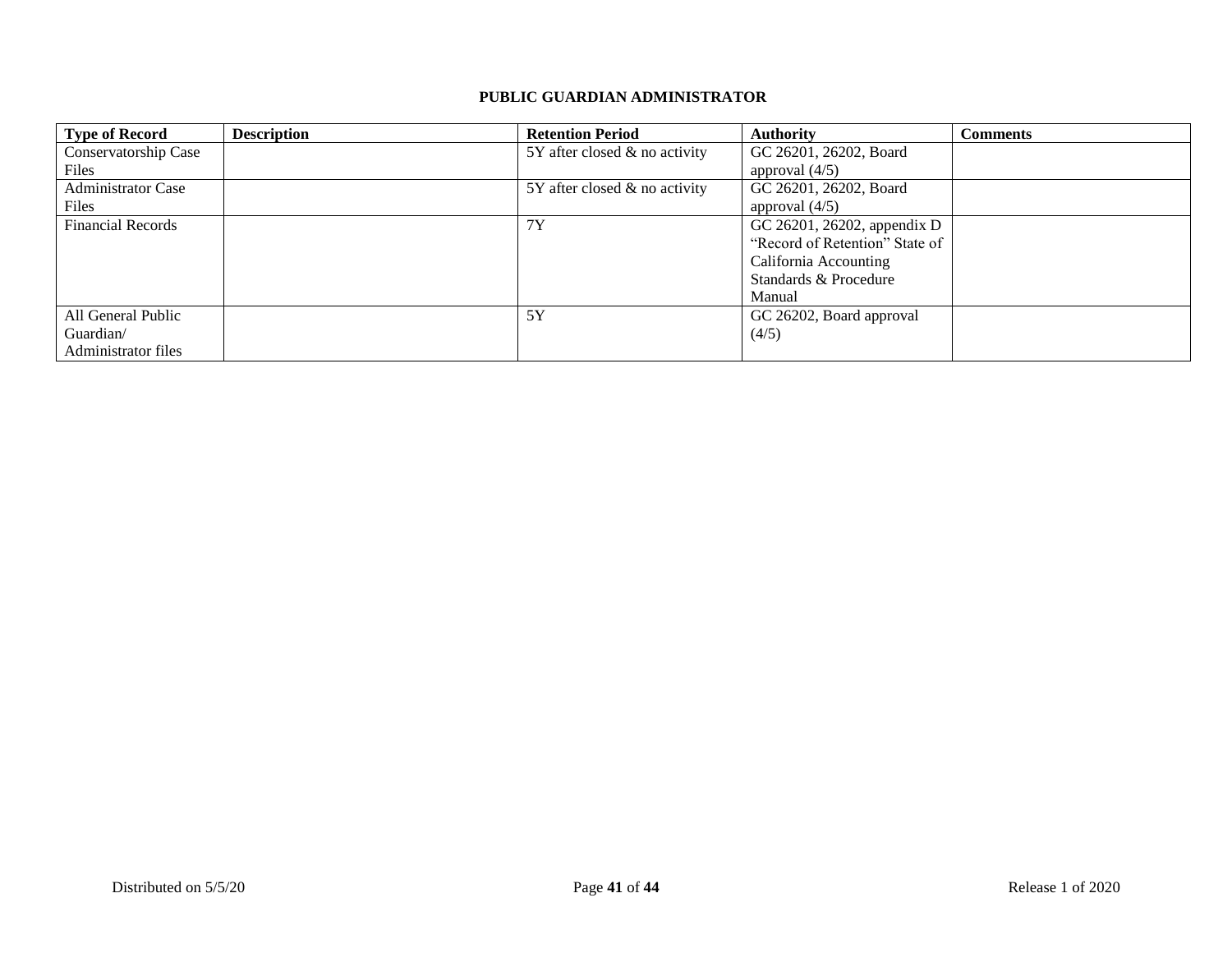#### **PUBLIC GUARDIAN ADMINISTRATOR**

| <b>Type of Record</b>     | <b>Description</b> | <b>Retention Period</b>            | <b>Authority</b>               | <b>Comments</b> |
|---------------------------|--------------------|------------------------------------|--------------------------------|-----------------|
| Conservatorship Case      |                    | $5Y$ after closed $\&$ no activity | GC 26201, 26202, Board         |                 |
| Files                     |                    |                                    | approval $(4/5)$               |                 |
| <b>Administrator Case</b> |                    | $5Y$ after closed $\&$ no activity | GC 26201, 26202, Board         |                 |
| Files                     |                    |                                    | approval $(4/5)$               |                 |
| <b>Financial Records</b>  |                    | 7Y                                 | GC 26201, 26202, appendix D    |                 |
|                           |                    |                                    | "Record of Retention" State of |                 |
|                           |                    |                                    | California Accounting          |                 |
|                           |                    |                                    | Standards & Procedure          |                 |
|                           |                    |                                    | Manual                         |                 |
| All General Public        |                    | 5Y                                 | GC 26202, Board approval       |                 |
| Guardian/                 |                    |                                    | (4/5)                          |                 |
| Administrator files       |                    |                                    |                                |                 |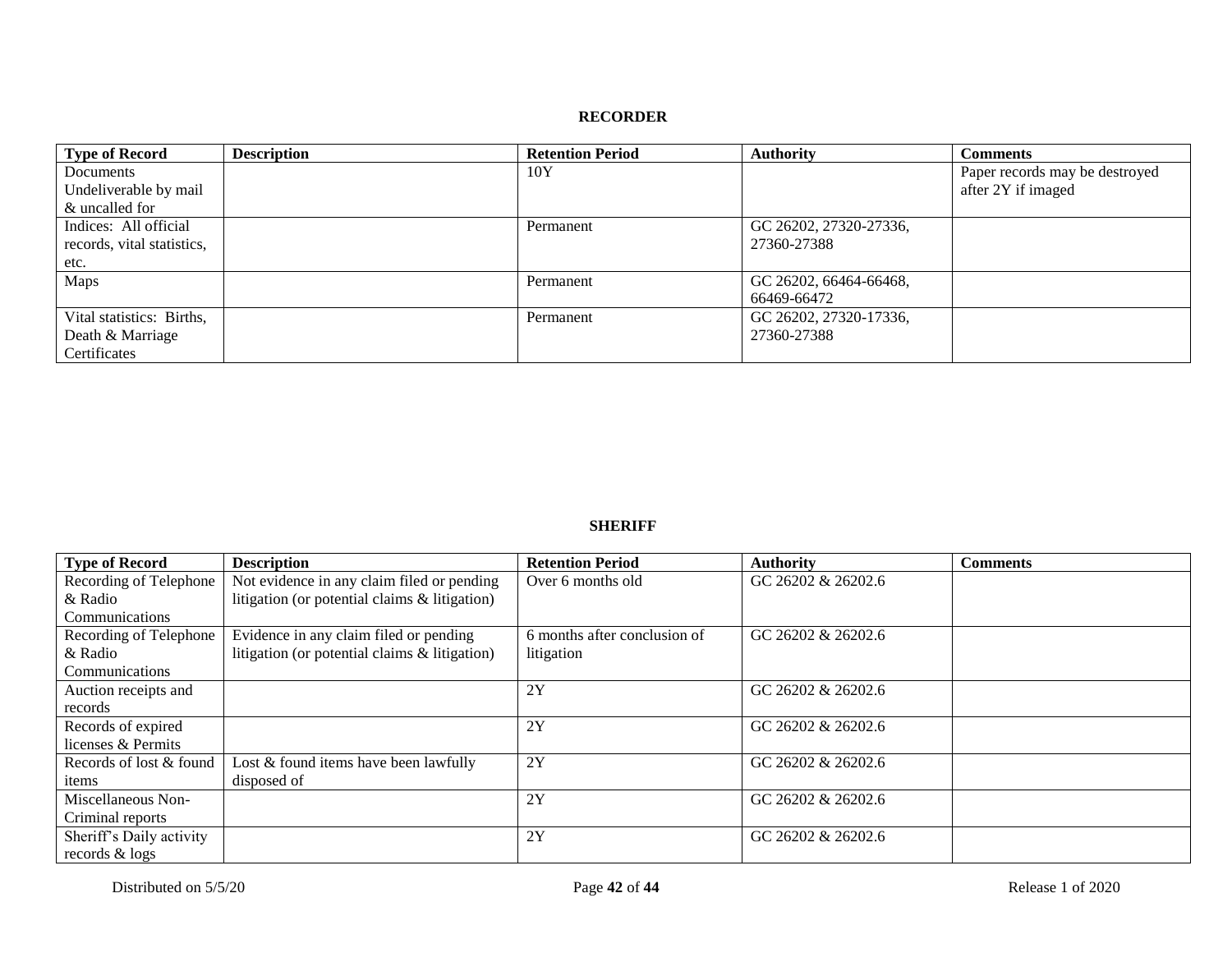#### **RECORDER**

| <b>Type of Record</b>      | <b>Description</b> | <b>Retention Period</b> | <b>Authority</b>       | <b>Comments</b>                |
|----------------------------|--------------------|-------------------------|------------------------|--------------------------------|
| Documents                  |                    | 10Y                     |                        | Paper records may be destroyed |
| Undeliverable by mail      |                    |                         |                        | after 2Y if imaged             |
| & uncalled for             |                    |                         |                        |                                |
| Indices: All official      |                    | Permanent               | GC 26202, 27320-27336, |                                |
| records, vital statistics, |                    |                         | 27360-27388            |                                |
| etc.                       |                    |                         |                        |                                |
| Maps                       |                    | Permanent               | GC 26202, 66464-66468, |                                |
|                            |                    |                         | 66469-66472            |                                |
| Vital statistics: Births,  |                    | Permanent               | GC 26202, 27320-17336, |                                |
| Death & Marriage           |                    |                         | 27360-27388            |                                |
| Certificates               |                    |                         |                        |                                |

#### **SHERIFF**

| <b>Type of Record</b>    | <b>Description</b>                            | <b>Retention Period</b>      | <b>Authority</b>   | <b>Comments</b> |
|--------------------------|-----------------------------------------------|------------------------------|--------------------|-----------------|
| Recording of Telephone   | Not evidence in any claim filed or pending    | Over 6 months old            | GC 26202 & 26202.6 |                 |
| & Radio                  | litigation (or potential claims & litigation) |                              |                    |                 |
| Communications           |                                               |                              |                    |                 |
| Recording of Telephone   | Evidence in any claim filed or pending        | 6 months after conclusion of | GC 26202 & 26202.6 |                 |
| & Radio                  | litigation (or potential claims & litigation) | litigation                   |                    |                 |
| Communications           |                                               |                              |                    |                 |
| Auction receipts and     |                                               | 2Y                           | GC 26202 & 26202.6 |                 |
| records                  |                                               |                              |                    |                 |
| Records of expired       |                                               | 2Y                           | GC 26202 & 26202.6 |                 |
| licenses & Permits       |                                               |                              |                    |                 |
| Records of lost & found  | Lost $&$ found items have been lawfully       | 2Y                           | GC 26202 & 26202.6 |                 |
| items                    | disposed of                                   |                              |                    |                 |
| Miscellaneous Non-       |                                               | 2Y                           | GC 26202 & 26202.6 |                 |
| Criminal reports         |                                               |                              |                    |                 |
| Sheriff's Daily activity |                                               | 2Y                           | GC 26202 & 26202.6 |                 |
| records & logs           |                                               |                              |                    |                 |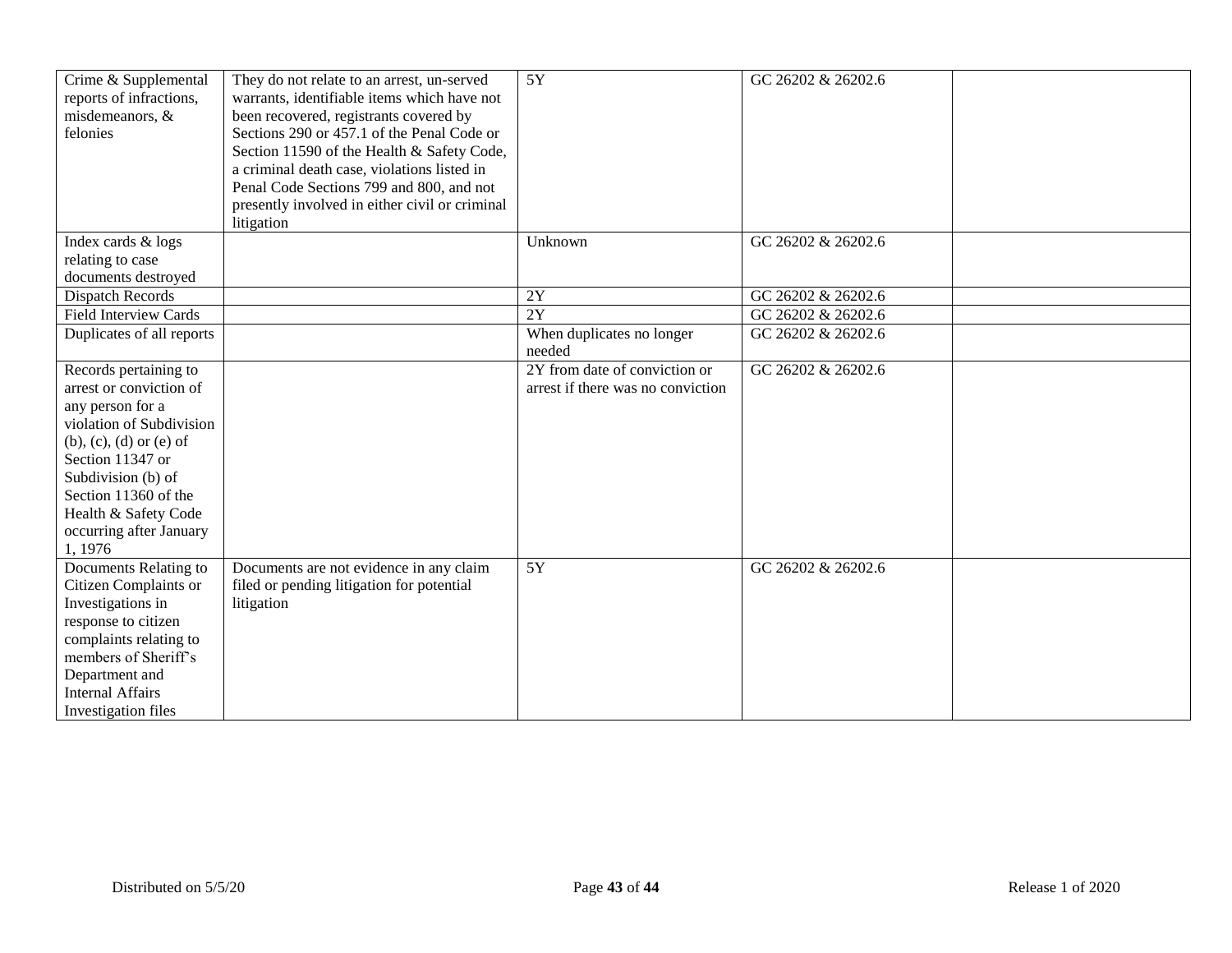| Crime & Supplemental<br>reports of infractions,<br>misdemeanors, &<br>felonies                                                                                                                                                                                        | They do not relate to an arrest, un-served<br>warrants, identifiable items which have not<br>been recovered, registrants covered by<br>Sections 290 or 457.1 of the Penal Code or<br>Section 11590 of the Health & Safety Code,<br>a criminal death case, violations listed in<br>Penal Code Sections 799 and 800, and not<br>presently involved in either civil or criminal<br>litigation | 5Y                                                                 | GC 26202 & 26202.6 |  |
|-----------------------------------------------------------------------------------------------------------------------------------------------------------------------------------------------------------------------------------------------------------------------|--------------------------------------------------------------------------------------------------------------------------------------------------------------------------------------------------------------------------------------------------------------------------------------------------------------------------------------------------------------------------------------------|--------------------------------------------------------------------|--------------------|--|
| Index cards & logs                                                                                                                                                                                                                                                    |                                                                                                                                                                                                                                                                                                                                                                                            | Unknown                                                            | GC 26202 & 26202.6 |  |
| relating to case                                                                                                                                                                                                                                                      |                                                                                                                                                                                                                                                                                                                                                                                            |                                                                    |                    |  |
| documents destroyed<br>Dispatch Records                                                                                                                                                                                                                               |                                                                                                                                                                                                                                                                                                                                                                                            | 2Y                                                                 | GC 26202 & 26202.6 |  |
| <b>Field Interview Cards</b>                                                                                                                                                                                                                                          |                                                                                                                                                                                                                                                                                                                                                                                            | 2Y                                                                 | GC 26202 & 26202.6 |  |
| Duplicates of all reports                                                                                                                                                                                                                                             |                                                                                                                                                                                                                                                                                                                                                                                            | When duplicates no longer                                          | GC 26202 & 26202.6 |  |
|                                                                                                                                                                                                                                                                       |                                                                                                                                                                                                                                                                                                                                                                                            | needed                                                             |                    |  |
| Records pertaining to<br>arrest or conviction of<br>any person for a<br>violation of Subdivision<br>$(b)$ , $(c)$ , $(d)$ or $(e)$ of<br>Section 11347 or<br>Subdivision (b) of<br>Section 11360 of the<br>Health & Safety Code<br>occurring after January<br>1, 1976 |                                                                                                                                                                                                                                                                                                                                                                                            | 2Y from date of conviction or<br>arrest if there was no conviction | GC 26202 & 26202.6 |  |
| Documents Relating to<br>Citizen Complaints or<br>Investigations in<br>response to citizen<br>complaints relating to<br>members of Sheriff's<br>Department and<br><b>Internal Affairs</b><br>Investigation files                                                      | Documents are not evidence in any claim<br>filed or pending litigation for potential<br>litigation                                                                                                                                                                                                                                                                                         | $\overline{5Y}$                                                    | GC 26202 & 26202.6 |  |